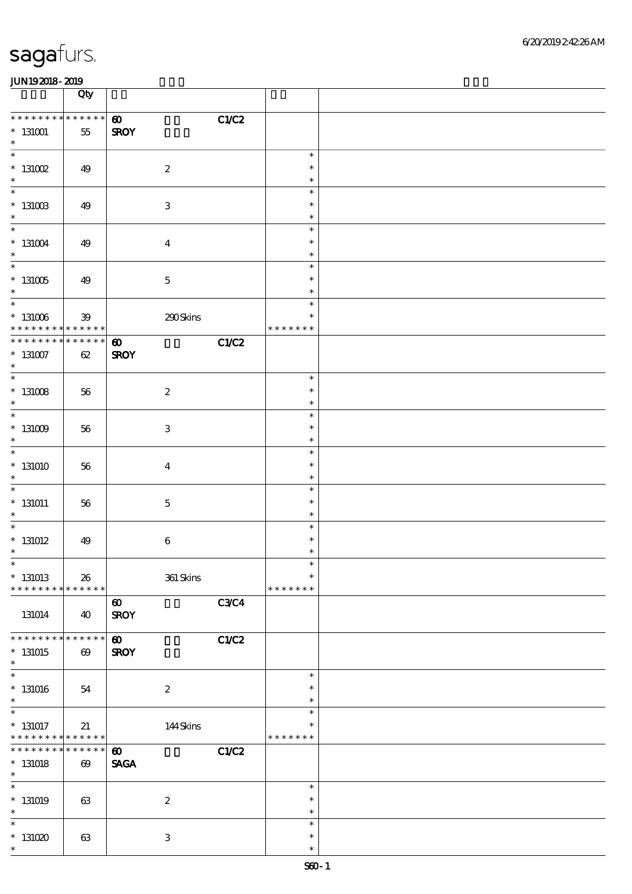|                                                                           | Qty                                  |                                               |                                   |  |
|---------------------------------------------------------------------------|--------------------------------------|-----------------------------------------------|-----------------------------------|--|
| * * * * * * * * * * * * * *<br>$^*$ 131001 $\,$<br>$\ast$                 | $55\,$                               | C1/C2<br>$\boldsymbol{\omega}$<br><b>SROY</b> |                                   |  |
| $\overline{\ast}$<br>$*$ 131002<br>$\ast$                                 | 49                                   | $\boldsymbol{2}$                              | $\ast$<br>$\ast$<br>$\ast$        |  |
| $\overline{\ast}$<br>$^*$ 131003<br>$\ast$                                | 49                                   | $\ensuremath{\mathbf{3}}$                     | $\ast$<br>$\ast$<br>$\ast$        |  |
| $\overline{\ast}$<br>$^\ast$ 131004<br>$\ast$                             | 49                                   | $\boldsymbol{4}$                              | $\ast$<br>$\ast$<br>$\ast$        |  |
| $\overline{\phantom{0}}$<br>$^\ast$ 131005<br>$\ast$                      | 49                                   | $\mathbf 5$                                   | $\ast$<br>$\ast$<br>$\ast$        |  |
| $\overline{\phantom{0}}$<br>$^\ast$ 131006<br>* * * * * * * * * * * * * * | ${\bf 39}$                           | 290Skins                                      | $\ast$<br>$\ast$<br>* * * * * * * |  |
| * * * * * * * *<br>$^\ast$ 131007<br>$\ast$                               | * * * * * *<br>62                    | C1/C2<br>$\boldsymbol{\omega}$<br><b>SROY</b> |                                   |  |
| $\overline{\phantom{0}}$<br>$^*$ 131008 $\,$<br>$\ast$                    | 56                                   | $\boldsymbol{2}$                              | $\ast$<br>$\ast$<br>$\ast$        |  |
| $\overline{\phantom{0}}$<br>$^*$ 131009 $\,$<br>$\ast$                    | 56                                   | $\,3$                                         | $\ast$<br>$\ast$<br>$\ast$        |  |
| $\overline{\ast}$<br>$*131010$<br>$\ast$                                  | 56                                   | $\boldsymbol{4}$                              | $\ast$<br>$\ast$<br>$\ast$        |  |
| $\overline{\phantom{0}}$<br>$^\ast$ 131011<br>$\ast$                      | 56                                   | $\mathbf 5$                                   | $\ast$<br>$\ast$<br>$\ast$        |  |
| $\overline{\ast}$<br>$*$ 131012<br>$\ast$                                 | 49                                   | $\,6\,$                                       | $\ast$<br>$\ast$<br>$\ast$        |  |
| $*$<br>$*$ 131013<br>* * * * * * * * * * * * * *                          | 26                                   | $361$ Skins                                   | $\ast$<br>$\ast$<br>* * * * * * * |  |
| 131014                                                                    | 40                                   | C3C4<br>$\boldsymbol{\omega}$<br><b>SROY</b>  |                                   |  |
| * * * * * * * *<br>$*131015$<br>$\ast$                                    | * * * * * *<br>$\boldsymbol{\omega}$ | C1/C2<br>$\boldsymbol{\omega}$<br><b>SROY</b> |                                   |  |
| $\ast$<br>$*$ 131016<br>$\ast$                                            | 54                                   | $\boldsymbol{2}$                              | $\ast$<br>$\ast$<br>$\ast$        |  |
| $\overline{\phantom{0}}$<br>$*$ 131017<br>* * * * * * * *                 | 21<br>* * * * * *                    | 144Skins                                      | $\ast$<br>$\ast$<br>* * * * * * * |  |
| * * * * * * * *<br>$*$ 131018<br>$\ast$                                   | * * * * * *<br>$\boldsymbol{\omega}$ | C1/C2<br>$\boldsymbol{\omega}$<br><b>SAGA</b> |                                   |  |
| $\ast$<br>$*$ 131019<br>$\ast$                                            | 63                                   | $\boldsymbol{2}$                              | $\ast$<br>$\ast$<br>$\ast$        |  |
| $\ast$<br>$*131020$<br>$\ast$                                             | 63                                   | $\,3$                                         | $\ast$<br>$\ast$<br>$\ast$        |  |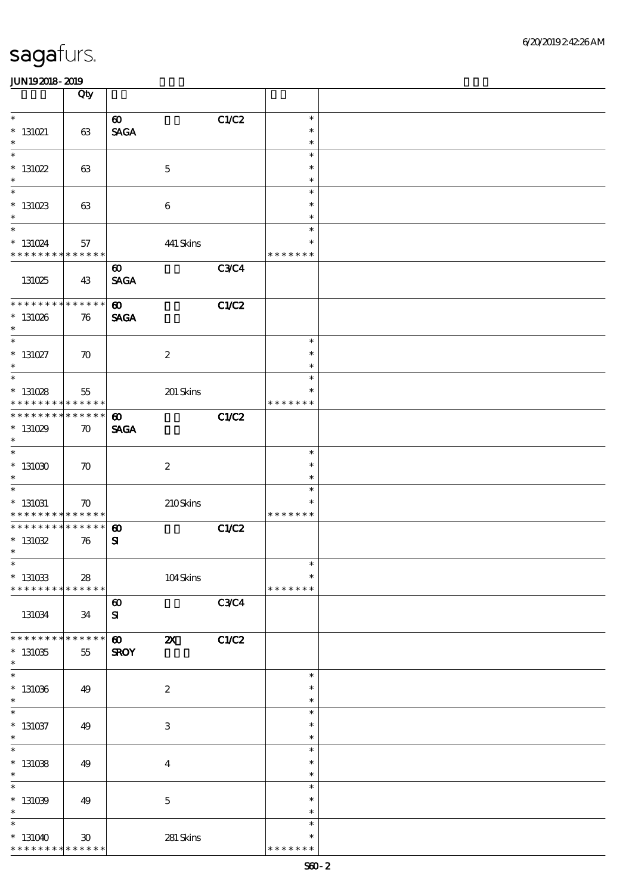|                                                                 | Qty                               |                                                         |                           |             |                                   |  |
|-----------------------------------------------------------------|-----------------------------------|---------------------------------------------------------|---------------------------|-------------|-----------------------------------|--|
| $\ast$<br>$* 131021$<br>$\ast$                                  | 63                                | $\boldsymbol{\omega}$<br>$\operatorname{\mathsf{SAGA}}$ |                           | C1/C2       | $\ast$<br>$\ast$<br>$\ast$        |  |
| $\overline{\ast}$<br>$* 131022$<br>$\ast$                       | 63                                |                                                         | $\mathbf 5$               |             | $\ast$<br>$\ast$<br>$\ast$        |  |
| $\overline{\ast}$<br>$* 131023$<br>$\ast$                       | 63                                |                                                         | $\boldsymbol{6}$          |             | $\ast$<br>$\ast$<br>$\ast$        |  |
| $\ast$<br>$* 131024$<br>* * * * * * * *                         | 57<br>* * * * * *                 |                                                         | 441 Skins                 |             | $\ast$<br>$\ast$<br>* * * * * * * |  |
| 131025                                                          | 43                                | $\boldsymbol{\omega}$<br><b>SAGA</b>                    |                           | <b>C3C4</b> |                                   |  |
| ********<br>$*131026$<br>$\ast$                                 | * * * * * *<br>76                 | $\boldsymbol{\omega}$<br><b>SAGA</b>                    |                           | C1/C2       |                                   |  |
| $\ast$<br>$* 131027$<br>$\ast$                                  | $\boldsymbol{\pi}$                |                                                         | $\boldsymbol{2}$          |             | $\ast$<br>$\ast$<br>$\ast$        |  |
| $\overline{\phantom{0}}$<br>$*131028$<br>* * * * * * * *        | 55<br>* * * * * *                 |                                                         | 201 Skins                 |             | $\ast$<br>$\ast$<br>* * * * * * * |  |
| * * * * * * *<br>$*131029$<br>$\ast$                            | * * * * * *<br>$\boldsymbol{\pi}$ | $\boldsymbol{\omega}$<br><b>SAGA</b>                    |                           | C1/C2       |                                   |  |
| $\ast$<br>$*131030$<br>$\ast$                                   | $\boldsymbol{\pi}$                |                                                         | $\boldsymbol{z}$          |             | $\ast$<br>$\ast$<br>$\ast$        |  |
| $\ast$<br>$*$ 131031<br>* * * * * * * *                         | $\boldsymbol{\pi}$<br>* * * * * * |                                                         | 210Skins                  |             | $\ast$<br>$\ast$<br>* * * * * * * |  |
| * * * * * * *<br>$^*$ 131032<br>$\ast$                          | * * * * * *<br>76                 | $\boldsymbol{\omega}$<br>${\bf s}$                      |                           | C1/C2       |                                   |  |
| $*$<br>$^*$ 131033<br>* * * * * * * *                           | ${\bf 28}$<br>* * * * * *         |                                                         | 104Skins                  |             | $\ast$<br>$\ast$<br>* * * * * * * |  |
| 131034                                                          | 34                                | $\boldsymbol{\omega}$<br>${\bf s}$                      |                           | C3C4        |                                   |  |
| * * * * * * *<br>$*131035$<br>$\ast$                            | * * * * * *<br>$55\,$             | $\boldsymbol{\omega}$<br><b>SROY</b>                    | $\boldsymbol{\mathsf{z}}$ | C1/C2       |                                   |  |
| $\ast$<br>$*131036$<br>$\ast$                                   | 49                                |                                                         | $\boldsymbol{2}$          |             | $\ast$<br>$\ast$<br>$\ast$        |  |
| $\overline{\phantom{0}}$<br>$* 131037$<br>$\ast$                | 49                                |                                                         | $\ensuremath{\mathbf{3}}$ |             | $\ast$<br>$\ast$<br>$\ast$        |  |
| $\overline{\ast}$<br>$*131038$<br>$\ast$                        | 49                                |                                                         | $\boldsymbol{4}$          |             | $\ast$<br>$\ast$<br>$\ast$        |  |
| $\ast$<br>$*131039$<br>$\ast$                                   | 49                                |                                                         | $\mathbf 5$               |             | $\ast$<br>$\ast$<br>$\ast$        |  |
| $\ast$<br>$*131040$<br>* * * * * * * * <mark>* * * * * *</mark> | 30 <sup>°</sup>                   |                                                         | 281 Skins                 |             | $\ast$<br>$\ast$<br>* * * * * * * |  |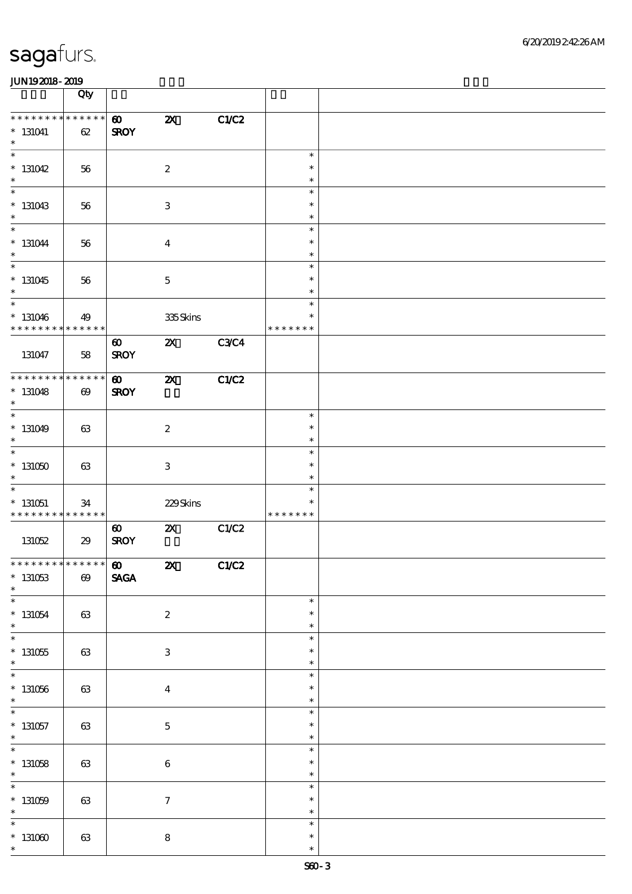|                                                      | Qty                   |                                      |                           |       |                                   |  |
|------------------------------------------------------|-----------------------|--------------------------------------|---------------------------|-------|-----------------------------------|--|
| * * * * * * * *<br>$* 131041$<br>$\ast$              | * * * * * *<br>$62\,$ | $\boldsymbol{\omega}$<br><b>SROY</b> | $\boldsymbol{\mathsf{z}}$ | C1/C2 |                                   |  |
| $\overline{\phantom{0}}$<br>$*131042$<br>$\ast$      | 56                    |                                      | $\boldsymbol{2}$          |       | $\ast$<br>$\ast$<br>$\ast$        |  |
| $\overline{\phantom{0}}$<br>$*131043$<br>$\ast$      | 56                    |                                      | $\ensuremath{\mathbf{3}}$ |       | $\ast$<br>$\ast$<br>$\ast$        |  |
| $\ast$<br>$* 131044$<br>$\ast$                       | 56                    |                                      | $\boldsymbol{4}$          |       | $\ast$<br>$\ast$<br>$\ast$        |  |
| $\overline{\ast}$<br>$*131045$<br>$\ast$             | 56                    |                                      | $\mathbf 5$               |       | $\ast$<br>$\ast$<br>$\ast$        |  |
| $\overline{\ast}$<br>$* 131046$<br>* * * * * * * *   | 49<br>* * * * * *     |                                      | 335Skins                  |       | $\ast$<br>$\ast$<br>* * * * * * * |  |
| 131047                                               | 58                    | $\boldsymbol{\omega}$<br><b>SROY</b> | $\boldsymbol{\mathsf{z}}$ | C3C4  |                                   |  |
| * * * * * * * * * * * * * *<br>$*131048$<br>$\ast$   | $\boldsymbol{\omega}$ | $\boldsymbol{\omega}$<br><b>SROY</b> | $\boldsymbol{\mathsf{z}}$ | C1/C2 |                                   |  |
| $\overline{\phantom{0}}$<br>$*131049$<br>$\ast$      | 63                    |                                      | $\boldsymbol{2}$          |       | $\ast$<br>$\ast$<br>$\ast$        |  |
| $\ast$<br>$*131050$<br>$\ast$                        | 63                    |                                      | $\ensuremath{\mathbf{3}}$ |       | $\ast$<br>$\ast$<br>$\ast$        |  |
| $\ast$<br>$*131051$<br>* * * * * * * *               | 34<br>* * * * * *     |                                      | 229Skins                  |       | $\ast$<br>$\ast$<br>* * * * * * * |  |
| 131052                                               | 29                    | $\boldsymbol{\omega}$<br><b>SROY</b> | $\boldsymbol{\mathsf{z}}$ | C1/C2 |                                   |  |
| ******** <mark>******</mark><br>$* 131053$<br>$\ast$ | $\pmb{\infty}$        | $\boldsymbol{\omega}$<br><b>SAGA</b> | $\boldsymbol{\mathsf{z}}$ | C1/C2 |                                   |  |
| $\ast$<br>$* 131054$<br>$\ast$                       | 63                    |                                      | $\boldsymbol{2}$          |       | $\ast$<br>$\ast$<br>$\ast$        |  |
| $\overline{\ast}$<br>$*131055$<br>$\ast$             | 63                    |                                      | $\ensuremath{\mathbf{3}}$ |       | $\ast$<br>$\ast$<br>$\ast$        |  |
| $\ast$<br>$*131056$<br>$\ast$                        | $63\,$                |                                      | $\boldsymbol{4}$          |       | $\ast$<br>$\ast$<br>$\ast$        |  |
| $\overline{\phantom{0}}$<br>$*$ 131057<br>$\ast$     | 63                    |                                      | $\bf 5$                   |       | $\ast$<br>$\ast$<br>$\ast$        |  |
| $\overline{\ast}$<br>$* 131058$<br>$\ast$            | 63                    |                                      | $\,6\,$                   |       | $\ast$<br>$\ast$<br>$\ast$        |  |
| $\ast$<br>$*131059$<br>$\ast$                        | $63\,$                |                                      | $\boldsymbol{7}$          |       | $\ast$<br>$\ast$<br>$\ast$        |  |
| $\ast$<br>$*131000$<br>$\ast$                        | 63                    |                                      | $\bf 8$                   |       | $\ast$<br>$\ast$<br>$\ast$        |  |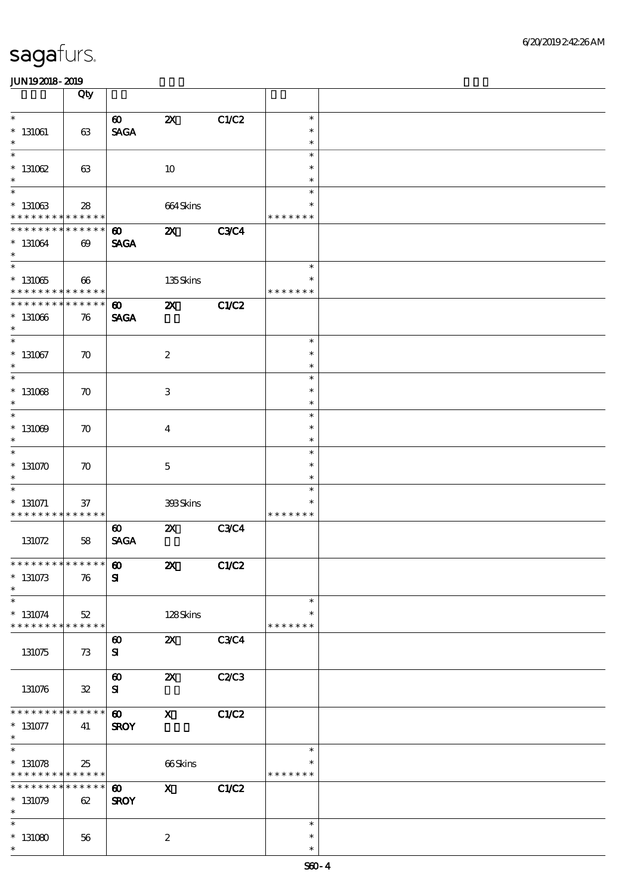|                                                                                      | Qty                                  |                                                         |                           |              |                                   |  |
|--------------------------------------------------------------------------------------|--------------------------------------|---------------------------------------------------------|---------------------------|--------------|-----------------------------------|--|
| $\ast$<br>$* 131061$<br>$\ast$                                                       | 63                                   | $\boldsymbol{\omega}$<br><b>SAGA</b>                    | $\boldsymbol{\mathsf{z}}$ | C1/C2        | $\ast$<br>$\ast$<br>$\ast$        |  |
| $\overline{\ast}$<br>$* 131062$<br>$\ast$                                            | 63                                   |                                                         | 10                        |              | $\ast$<br>$\ast$<br>$\ast$        |  |
| $\overline{\ast}$<br>$^\ast$ 131063<br>* * * * * * * *                               | 28<br>* * * * * *                    |                                                         | 664Skins                  |              | $\ast$<br>∗<br>* * * * * * *      |  |
| * * * * * * * *<br>$*131064$<br>$\ast$                                               | * * * * * *<br>$\boldsymbol{\omega}$ | $\boldsymbol{\omega}$<br><b>SAGA</b>                    | $\boldsymbol{\mathsf{z}}$ | <b>C3C4</b>  |                                   |  |
| $\overline{\phantom{0}}$<br>$^\ast$ 131065<br>* * * * * * * * * * * * * *            | 66                                   |                                                         | 135Skins                  |              | $\ast$<br>$\ast$<br>* * * * * * * |  |
| * * * * * * * *<br>$*131066$<br>$\ast$                                               | * * * * * *<br>76                    | $\boldsymbol{\omega}$<br><b>SAGA</b>                    | $\boldsymbol{\mathsf{z}}$ | <b>C1/C2</b> |                                   |  |
| $\ast$<br>$*$ 131067<br>$\ast$                                                       | $\boldsymbol{\pi}$                   |                                                         | $\boldsymbol{2}$          |              | $\ast$<br>$\ast$<br>$\ast$        |  |
| $\overline{\ast}$<br>$*$ 131068<br>$\ast$                                            | $\boldsymbol{\pi}$                   |                                                         | $\,3\,$                   |              | $\ast$<br>$\ast$<br>$\ast$        |  |
| $\ast$<br>$*131009$<br>$\ast$                                                        | $\boldsymbol{\pi}$                   |                                                         | $\boldsymbol{4}$          |              | $\ast$<br>$\ast$<br>$\ast$        |  |
| $\ast$<br>$*131070$<br>$\ast$                                                        | $\boldsymbol{\pi}$                   |                                                         | $\mathbf 5$               |              | $\ast$<br>$\ast$<br>$\ast$        |  |
| $\ast$<br>$* 131071$<br>* * * * * * * * <mark>* * * * * * *</mark>                   | $37\,$                               |                                                         | 393Skins                  |              | $\ast$<br>$\ast$<br>* * * * * * * |  |
| 131072                                                                               | 58                                   | $\boldsymbol{\omega}$<br>$\operatorname{\mathsf{SAGA}}$ | $\boldsymbol{\mathsf{z}}$ | <b>C3C4</b>  |                                   |  |
| **************<br>$* 131073$<br>$\ast$                                               | 76                                   | $\boldsymbol{\omega}$<br>${\bf s}$                      | $\boldsymbol{\mathsf{z}}$ | C1/C2        |                                   |  |
| $\ast$<br>$*131074$<br>* * * * * * * * * * * * * *                                   | $52\,$                               |                                                         | 128Skins                  |              | $\ast$<br>$\ast$<br>* * * * * * * |  |
| 131075                                                                               | 73                                   | $\boldsymbol{\omega}$<br>${\bf s}$                      | $\boldsymbol{\mathsf{Z}}$ | <b>C3C4</b>  |                                   |  |
| 131076                                                                               | ${\bf 3\!}$                          | $\boldsymbol{\omega}$<br>${\bf s}$                      | $\boldsymbol{\mathsf{X}}$ | C2/C3        |                                   |  |
| * * * * * * * *<br>$* 131077$<br>$*$                                                 | * * * * * *<br>41                    | $\boldsymbol{\omega}$<br><b>SROY</b>                    | $\mathbf{X}$              | C1/C2        |                                   |  |
| $\overline{\phantom{1}}$<br>$* 131078$<br>* * * * * * * * <mark>* * * * * * *</mark> | 25                                   |                                                         | 66Skins                   |              | $\ast$<br>* * * * * * *           |  |
| * * * * * * * *<br>$*131079$<br>$\ast$                                               | * * * * * *<br>62                    | $\boldsymbol{\omega}$<br><b>SROY</b>                    | $\mathbf{x}$              | C1/C2        |                                   |  |
| $\ast$<br>$*131080$<br>$\ast$                                                        | 56                                   |                                                         | $\boldsymbol{2}$          |              | $\ast$<br>$\ast$<br>$\ast$        |  |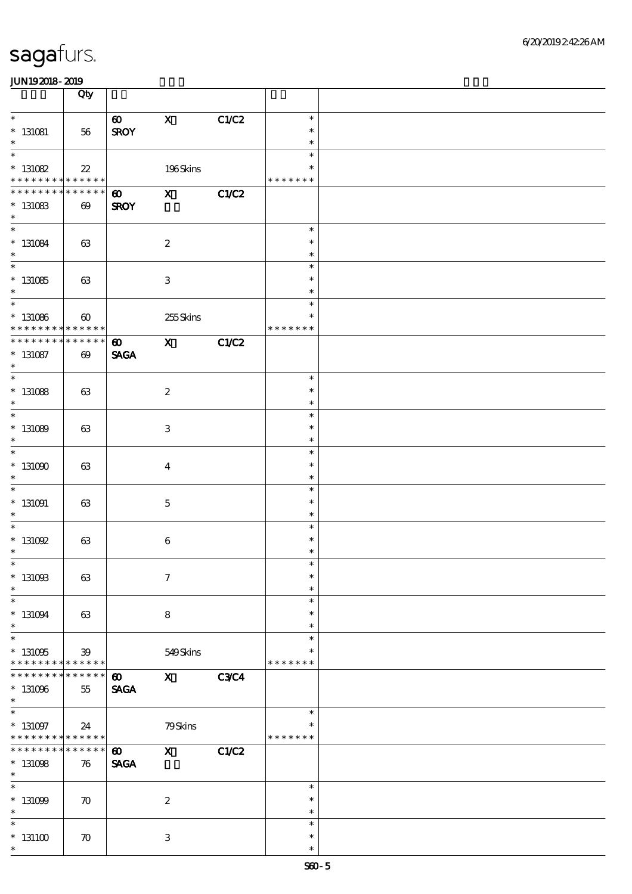|                                                                    | Qty                                                 |                                      |                           |              |                                   |  |
|--------------------------------------------------------------------|-----------------------------------------------------|--------------------------------------|---------------------------|--------------|-----------------------------------|--|
| $\ast$<br>$*$ 131081<br>$\ast$                                     | 56                                                  | $\boldsymbol{\omega}$<br><b>SROY</b> | $\mathbf X$               | C1/C2        | $\ast$<br>$\ast$<br>$\ast$        |  |
| $\ast$<br>$* 131082$<br>* * * * * * * * <mark>* * * * * * *</mark> | $2\!2$                                              |                                      | 196Skins                  |              | $\ast$<br>$\ast$<br>* * * * * * * |  |
| * * * * * * *<br>$* 131083$<br>$\ast$                              | * * * * * *<br>$\boldsymbol{\omega}$                | $\boldsymbol{\omega}$<br><b>SROY</b> | $\mathbf{x}$              | C1/C2        |                                   |  |
| $\overline{\ast}$<br>$^\ast$ 131084<br>$\ast$                      | 63                                                  |                                      | $\boldsymbol{2}$          |              | $\ast$<br>$\ast$<br>$\ast$        |  |
| $\overline{\phantom{0}}$<br>$* 131085$<br>$\ast$                   | 63                                                  |                                      | $\ensuremath{\mathbf{3}}$ |              | $\ast$<br>$\ast$<br>$\ast$        |  |
| $* 131086$<br>* * * * * * * *                                      | $\boldsymbol{\omega}$<br>$\ast\ast\ast\ast\ast\ast$ |                                      | 255Skins                  |              | $\ast$<br>$\ast$<br>* * * * * * * |  |
| * * * * * * * *<br>$* 131087$<br>$\ast$                            | * * * * * *<br>$\boldsymbol{\omega}$                | $\boldsymbol{\omega}$<br><b>SAGA</b> | $\mathbf{x}$              | C1/C2        |                                   |  |
| $\overline{\ast}$<br>$* 131088$<br>$\ast$                          | 63                                                  |                                      | $\boldsymbol{2}$          |              | $\ast$<br>$\ast$<br>$\ast$        |  |
| $* 131089$<br>$\ast$                                               | 63                                                  |                                      | $\ensuremath{\mathbf{3}}$ |              | $\ast$<br>$\ast$<br>$\ast$        |  |
| $\overline{\phantom{0}}$<br>$*131000$<br>$\ast$                    | 63                                                  |                                      | $\boldsymbol{4}$          |              | $\ast$<br>$\ast$<br>$\ast$        |  |
| $\overline{\phantom{0}}$<br>$* 131091$<br>$\ast$                   | 63                                                  |                                      | $\mathbf 5$               |              | $\ast$<br>$\ast$<br>$\ast$        |  |
| $\ast$<br>$*$ 131092<br>$\ast$                                     | 63                                                  |                                      | $\bf 6$                   |              | $\ast$<br>$\ast$<br>$\ast$        |  |
| $*$<br>$^\ast$ 131003<br>$\ast$                                    | 63                                                  |                                      | $\boldsymbol{7}$          |              | $\ast$<br>$\ast$<br>$\ast$        |  |
| $\ast$<br>$^\ast$ 131094<br>$\ast$                                 | 63                                                  |                                      | $\bf8$                    |              | $\ast$<br>$\ast$<br>$\ast$        |  |
| $\ast$<br>$* 131005$<br>* * * * * * * *                            | 39<br>* * * * * *                                   |                                      | 549Skins                  |              | $\ast$<br>∗<br>* * * * * * *      |  |
| * * * * * * *<br>$*131096$<br>$\ast$                               | * * * * * *<br>55                                   | $\boldsymbol{\omega}$<br><b>SAGA</b> | $\boldsymbol{\mathrm{X}}$ | <b>C3C4</b>  |                                   |  |
| $\overline{\ast}$<br>$^\ast$ 131097<br>* * * * * * * *             | 24<br>* * * * * *                                   |                                      | 79Skins                   |              | $\ast$<br>$\ast$<br>* * * * * * * |  |
| * * * * * * *<br>$*131098$<br>$\ast$                               | * * * * * *<br>76                                   | $\boldsymbol{\omega}$<br><b>SAGA</b> | $\mathbf x$               | <b>C1/C2</b> |                                   |  |
| $\ast$<br>$* 131009$<br>$\ast$                                     | $\boldsymbol{\pi}$                                  |                                      | $\boldsymbol{2}$          |              | $\ast$<br>$\ast$<br>$\ast$        |  |
| $\ast$<br>$*131100$<br>$\ast$                                      | $\boldsymbol{\pi}$                                  |                                      | 3                         |              | $\ast$<br>$\ast$<br>$\ast$        |  |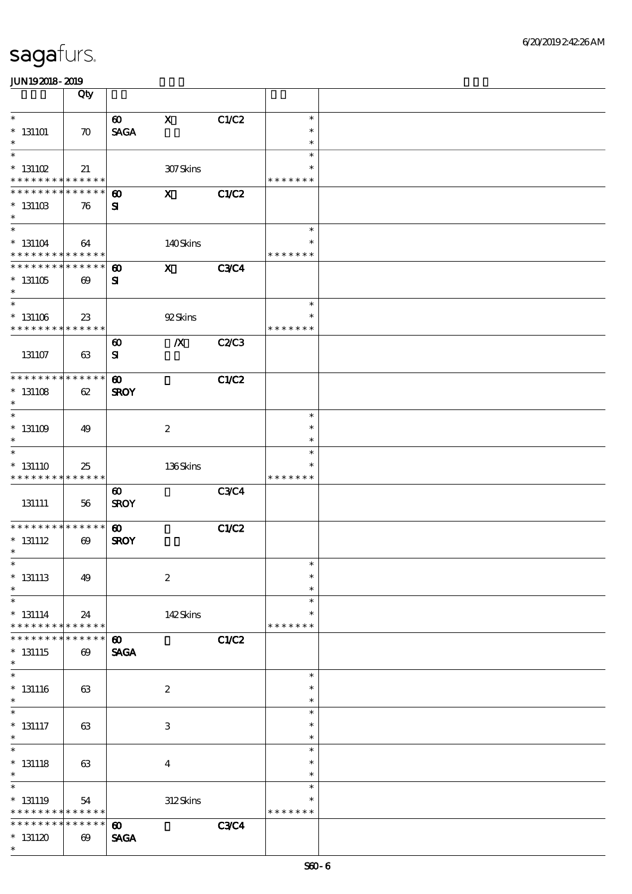|                                                          | Qty                   |                                    |                           |              |                              |  |
|----------------------------------------------------------|-----------------------|------------------------------------|---------------------------|--------------|------------------------------|--|
| $\ast$                                                   |                       | $\boldsymbol{\omega}$              | $\mathbf X$               | C1/C2        | $\ast$                       |  |
| $*131101$<br>$\ast$                                      | $\boldsymbol{\pi}$    | <b>SAGA</b>                        |                           |              | $\ast$<br>$\ast$             |  |
| $\ast$                                                   |                       |                                    |                           |              | $\ast$                       |  |
| $*$ 131102                                               | 21                    |                                    | 307Skins                  |              | $\ast$<br>* * * * * * *      |  |
| * * * * * * * * <mark>* * * * * * *</mark>               |                       |                                    |                           |              |                              |  |
| * * * * * * * *<br>$* 13110B$<br>$\ast$                  | * * * * * *<br>76     | $\boldsymbol{\omega}$<br>${\bf s}$ | $\mathbf{x}$              | <b>C1/C2</b> |                              |  |
|                                                          |                       |                                    |                           |              |                              |  |
| $\ast$<br>$* 131104$<br>* * * * * * * *                  | 64<br>* * * * * *     |                                    | 140Skins                  |              | $\ast$<br>*<br>* * * * * * * |  |
| * * * * * * * * * * * * * *                              |                       |                                    |                           |              |                              |  |
| $*131105$<br>$\ast$                                      | $\boldsymbol{\omega}$ | $\boldsymbol{\omega}$<br>${\bf s}$ | $\boldsymbol{\mathrm{X}}$ | <b>C3C4</b>  |                              |  |
| $\ast$                                                   |                       |                                    |                           |              | $\ast$                       |  |
| $^\ast$ 131106<br>* * * * * * * * * * * * * *            | 23                    |                                    | 92Skins                   |              | *<br>* * * * * * *           |  |
|                                                          |                       | $\boldsymbol{\omega}$              | $\boldsymbol{X}$          | C2/C3        |                              |  |
| 131107                                                   | 63                    | $\mathbf{S}$                       |                           |              |                              |  |
| * * * * * * * * * * * * * *                              |                       | $\boldsymbol{\omega}$              |                           | <b>C1/C2</b> |                              |  |
| $* 131108$<br>$\ast$                                     | 62                    | <b>SROY</b>                        |                           |              |                              |  |
| $\ast$                                                   |                       |                                    |                           |              | $\ast$                       |  |
| $* 131109$<br>$\ast$                                     | 49                    |                                    | $\boldsymbol{2}$          |              | $\ast$<br>$\ast$             |  |
| $\ast$                                                   |                       |                                    |                           |              | $\ast$                       |  |
| $* 131110$<br>* * * * * * * * * * * * * *                | 25                    |                                    | 136Skins                  |              | *<br>* * * * * * *           |  |
|                                                          |                       | $\boldsymbol{\omega}$              |                           | <b>C3C4</b>  |                              |  |
| 131111                                                   | 56                    | <b>SROY</b>                        |                           |              |                              |  |
| * * * * * * * * * * * * * *                              |                       | $\boldsymbol{\omega}$              |                           | C1/C2        |                              |  |
| $*$ 131112<br>$\ast$                                     | $\boldsymbol{\omega}$ | <b>SROY</b>                        |                           |              |                              |  |
| $\ast$                                                   |                       |                                    |                           |              | $\ast$                       |  |
| $*$ 131113<br>$\ast$                                     | 49                    |                                    | $\boldsymbol{2}$          |              | $\ast$<br>$\ast$             |  |
| $\ast$                                                   |                       |                                    |                           |              | $\ast$                       |  |
| $*$ 131114<br>* * * * * * * *                            | 24<br>$* * * * * * *$ |                                    | 142Skins                  |              | $\ast$<br>* * * * * * *      |  |
| * * * * * * *                                            | * * * * * *           | $\boldsymbol{\omega}$              |                           | <b>C1/C2</b> |                              |  |
| $* 131115$<br>$\ast$                                     | $\boldsymbol{\omega}$ | <b>SAGA</b>                        |                           |              |                              |  |
| $\ast$                                                   |                       |                                    |                           |              | $\ast$                       |  |
| $* 131116$<br>$\ast$                                     | 63                    |                                    | $\boldsymbol{z}$          |              | $\ast$<br>$\ast$             |  |
| $\ast$                                                   |                       |                                    |                           |              | $\ast$                       |  |
| $*$ 131117<br>$\ast$                                     | 63                    |                                    | $\ensuremath{\mathbf{3}}$ |              | $\ast$<br>$\ast$             |  |
| $\overline{\ast}$                                        |                       |                                    |                           |              | $\ast$                       |  |
| $*$ 131118<br>$\ast$                                     | 63                    |                                    | $\boldsymbol{4}$          |              | $\ast$<br>$\ast$             |  |
| $\ast$                                                   |                       |                                    |                           |              | $\ast$                       |  |
| $*$ 131119<br>* * * * * * * * <mark>* * * * * * *</mark> | 54                    |                                    | 312Skins                  |              | $\ast$<br>* * * * * * *      |  |
| * * * * * * * *                                          | * * * * * *           | $\boldsymbol{\omega}$              |                           | <b>C3C4</b>  |                              |  |
| $*131120$                                                | $\boldsymbol{\omega}$ | <b>SAGA</b>                        |                           |              |                              |  |
| $\ast$                                                   |                       |                                    |                           |              |                              |  |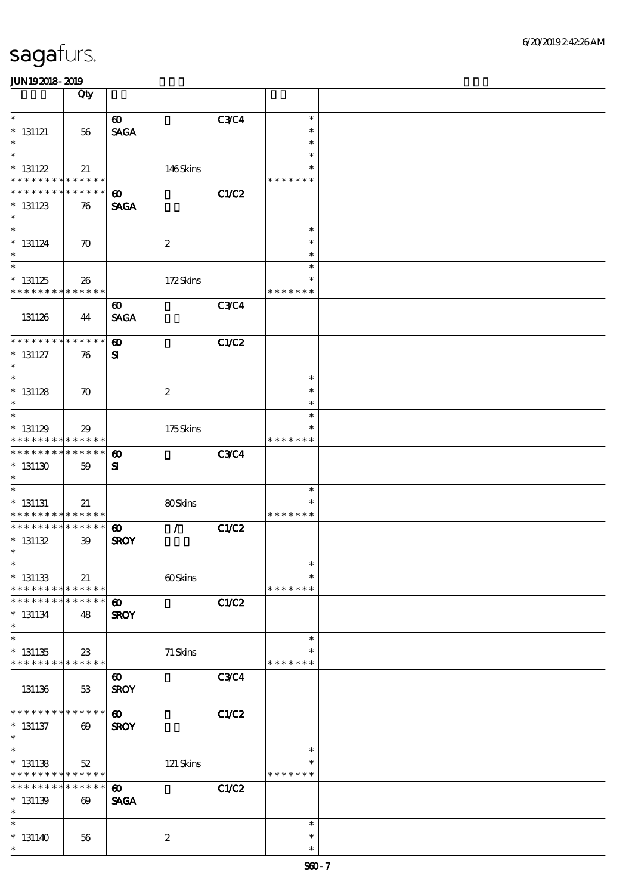|                                            | Qty                   |                                      |                  |              |                         |  |
|--------------------------------------------|-----------------------|--------------------------------------|------------------|--------------|-------------------------|--|
| $\ast$                                     |                       | $\boldsymbol{\omega}$                |                  | <b>C3C4</b>  | $\ast$                  |  |
| $* 131121$                                 | 56                    | <b>SAGA</b>                          |                  |              | $\ast$                  |  |
| $\ast$<br>$\ast$                           |                       |                                      |                  |              | $\ast$<br>$\ast$        |  |
| $* 131122$                                 | 21                    |                                      | 146Skins         |              | $\ast$                  |  |
| * * * * * * * * <mark>* * * * * * *</mark> |                       |                                      |                  |              | * * * * * * *           |  |
| * * * * * * * *                            | * * * * * *           | $\boldsymbol{\omega}$                |                  | <b>C1/C2</b> |                         |  |
| $* 131123$<br>$\ast$                       | 76                    | <b>SAGA</b>                          |                  |              |                         |  |
| $\ast$                                     |                       |                                      |                  |              | $\ast$                  |  |
| $* 131124$                                 | $\boldsymbol{\pi}$    |                                      | $\boldsymbol{2}$ |              | $\ast$                  |  |
| $\ast$<br>$\overline{\ast}$                |                       |                                      |                  |              | $\ast$<br>$\ast$        |  |
| $*131125$                                  | 26                    |                                      | 172Skins         |              | $\ast$                  |  |
| * * * * * * * *                            | * * * * * *           |                                      |                  |              | * * * * * * *           |  |
|                                            |                       | $\boldsymbol{\omega}$                |                  | <b>C3C4</b>  |                         |  |
| 131126                                     | 44                    | <b>SAGA</b>                          |                  |              |                         |  |
| * * * * * * * *                            | * * * * * *           | $\boldsymbol{\omega}$                |                  | <b>C1/C2</b> |                         |  |
| $* 131127$                                 | 76                    | ${\bf s}$                            |                  |              |                         |  |
| $\ast$<br>$\ast$                           |                       |                                      |                  |              | $\ast$                  |  |
| $* 131128$                                 | $\boldsymbol{\pi}$    |                                      | $\boldsymbol{2}$ |              | $\ast$                  |  |
| $\ast$                                     |                       |                                      |                  |              | $\ast$                  |  |
| $\ast$                                     |                       |                                      |                  |              | $\ast$                  |  |
| $* 131129$<br>* * * * * * * * * * * * * *  | 29                    |                                      | 175Skins         |              | * * * * * * *           |  |
| * * * * * * * *                            | * * * * * *           | $\boldsymbol{\omega}$                |                  | <b>C3C4</b>  |                         |  |
| $*131130$                                  | 59                    | ${\bf s}$                            |                  |              |                         |  |
| $\ast$                                     |                       |                                      |                  |              | $\ast$                  |  |
| $* 131131$                                 | 21                    |                                      | 80Skins          |              | $\ast$                  |  |
| * * * * * * * * * * * * * *                |                       |                                      |                  |              | * * * * * * *           |  |
| * * * * * * * * * * * * * *<br>$* 131132$  | 39                    | $\boldsymbol{\omega}$<br><b>SROY</b> | $\mathcal{L}$    | <b>C1/C2</b> |                         |  |
| $\ast$                                     |                       |                                      |                  |              |                         |  |
| $\ast$                                     |                       |                                      |                  |              | $\ast$                  |  |
| $*$ 131133<br>* * * * * * * *              | 21<br>* * * * * *     |                                      | 60Skins          |              | $\ast$<br>* * * * * * * |  |
| * * * * * * *                              | * * * * * *           | $\boldsymbol{\omega}$                |                  | C1/C2        |                         |  |
| $* 131134$                                 | 48                    | <b>SROY</b>                          |                  |              |                         |  |
| $\ast$<br>$\ast$                           |                       |                                      |                  |              | $\ast$                  |  |
| $*131135$                                  | 23                    |                                      | 71 Skins         |              | ∗                       |  |
| * * * * * * * * <mark>* * * * * *</mark>   |                       |                                      |                  |              | * * * * * * *           |  |
|                                            |                       | $\boldsymbol{\omega}$                |                  | <b>C3C4</b>  |                         |  |
| 131136                                     | 53                    | <b>SROY</b>                          |                  |              |                         |  |
| * * * * * * *                              | * * * * * *           | $\boldsymbol{\omega}$                |                  | C1/C2        |                         |  |
| $* 131137$                                 | $\boldsymbol{\omega}$ | <b>SROY</b>                          |                  |              |                         |  |
| $\ast$<br>$\ast$                           |                       |                                      |                  |              | $\ast$                  |  |
| $* 131138$                                 | $52\,$                |                                      | 121 Skins        |              | ∗                       |  |
| * * * * * * * * * * * * * *                |                       |                                      |                  |              | * * * * * * *           |  |
| * * * * * * *<br>$* 131139$                | * * * * * *           | $\boldsymbol{\omega}$<br><b>SAGA</b> |                  | <b>C1/C2</b> |                         |  |
| $\ast$                                     | $\boldsymbol{\omega}$ |                                      |                  |              |                         |  |
| $\ast$                                     |                       |                                      |                  |              | $\ast$                  |  |
| $* 131140$<br>$\ast$                       | 56                    |                                      | $\boldsymbol{2}$ |              | $\ast$<br>$\ast$        |  |
|                                            |                       |                                      |                  |              |                         |  |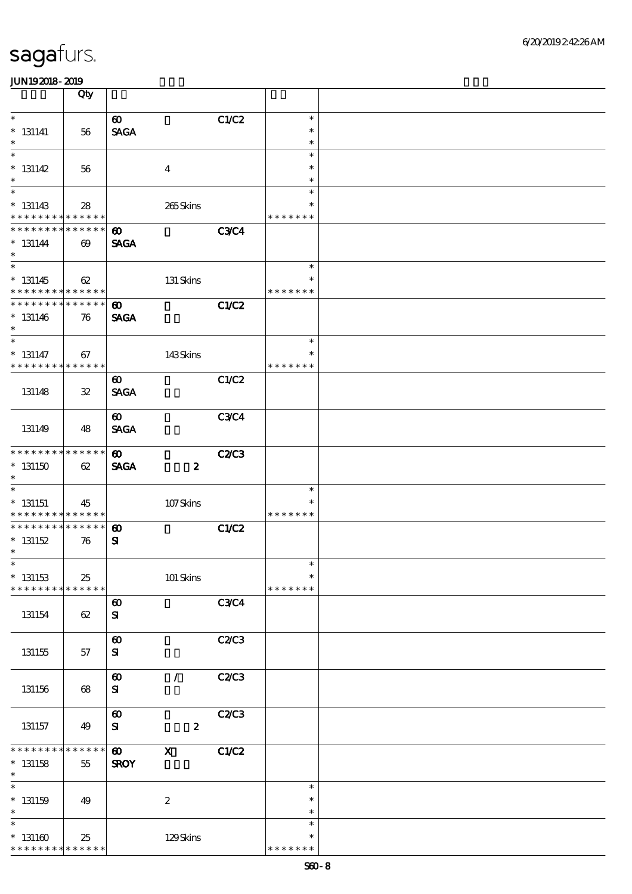|                                                          | Qty                   |                                      |                  |              |                         |  |
|----------------------------------------------------------|-----------------------|--------------------------------------|------------------|--------------|-------------------------|--|
| $\ast$                                                   |                       | $\boldsymbol{\omega}$                |                  | C1/C2        | $\ast$                  |  |
| $* 131141$                                               | 56                    | <b>SAGA</b>                          |                  |              | $\ast$                  |  |
| $\ast$                                                   |                       |                                      |                  |              | $\ast$                  |  |
| $\ast$                                                   |                       |                                      |                  |              | $\ast$<br>$\ast$        |  |
| $* 131142$<br>$\ast$                                     | 56                    |                                      | $\boldsymbol{4}$ |              | $\ast$                  |  |
| $\overline{\phantom{0}}$                                 |                       |                                      |                  |              | $\ast$                  |  |
| $* 131143$                                               | 28                    |                                      | 265Skins         |              | $\ast$                  |  |
| * * * * * * * * * * * * * *                              |                       |                                      |                  |              | * * * * * * *           |  |
| * * * * * * * * * * * * * *<br>$* 131144$                | $\boldsymbol{\omega}$ | $\boldsymbol{\omega}$<br><b>SAGA</b> |                  | <b>C3C4</b>  |                         |  |
| $\ast$                                                   |                       |                                      |                  |              |                         |  |
| $\overline{\phantom{0}}$                                 |                       |                                      |                  |              | $\ast$                  |  |
| $* 131145$<br>* * * * * * * * * * * * * *                | 62                    |                                      | 131 Skins        |              | $\ast$<br>* * * * * * * |  |
| * * * * * * * * * * * * * *                              |                       | $\boldsymbol{\omega}$                |                  | C1/C2        |                         |  |
| $* 131146$                                               | 76                    | <b>SAGA</b>                          |                  |              |                         |  |
| $\ast$                                                   |                       |                                      |                  |              |                         |  |
| $\overline{\ast}$                                        |                       |                                      |                  |              | $\ast$                  |  |
| $*$ 131147<br>* * * * * * * * <mark>* * * * * * *</mark> | 67                    |                                      | 143Skins         |              | $\ast$<br>* * * * * * * |  |
|                                                          |                       | $\boldsymbol{\omega}$                |                  | C1/C2        |                         |  |
| 131148                                                   | ${\bf 3\!}$           | <b>SAGA</b>                          |                  |              |                         |  |
|                                                          |                       |                                      |                  |              |                         |  |
| 131149                                                   | 48                    | $\boldsymbol{\omega}$<br><b>SAGA</b> |                  | <b>C3C4</b>  |                         |  |
|                                                          |                       |                                      |                  |              |                         |  |
| * * * * * * * * * * * * * *                              |                       | $\boldsymbol{\omega}$                |                  | <b>C2/C3</b> |                         |  |
| $^*$ 131150 $\,$                                         | 62                    | <b>SAGA</b>                          | $\boldsymbol{z}$ |              |                         |  |
| $\ast$<br>$\ast$                                         |                       |                                      |                  |              | $\ast$                  |  |
| $*$ 131151                                               | 45                    |                                      | $107$ Skins      |              | ∗                       |  |
| * * * * * * * * * * * * * *                              |                       |                                      |                  |              | * * * * * * *           |  |
| * * * * * * * * * * * * * *                              |                       | $\boldsymbol{\omega}$                |                  | CLC2         |                         |  |
| $* 131152$<br>$\ast$                                     | 76                    | ${\bf s}$                            |                  |              |                         |  |
| $*$                                                      |                       |                                      |                  |              | $\ast$                  |  |
| $*$ 131153                                               | 25                    |                                      | 101 Skins        |              | $\ast$                  |  |
| * * * * * * * * * * * * * *                              |                       |                                      |                  |              | * * * * * * *           |  |
| 131154                                                   | 62                    | $\boldsymbol{\omega}$<br>${\bf s}$   |                  | <b>C3C4</b>  |                         |  |
|                                                          |                       |                                      |                  |              |                         |  |
|                                                          |                       | $\boldsymbol{\omega}$                |                  | <b>C2/C3</b> |                         |  |
| 131155                                                   | 57                    | ${\bf s}$                            |                  |              |                         |  |
|                                                          |                       | $\boldsymbol{\omega}$                | $\mathcal{L}$    | C2/C3        |                         |  |
| 131156                                                   | 68                    | ${\bf s}$                            |                  |              |                         |  |
|                                                          |                       |                                      |                  |              |                         |  |
|                                                          |                       | $\boldsymbol{\omega}$                |                  | C2/C3        |                         |  |
| 131157                                                   | 49                    | ${\bf s}$                            | $\boldsymbol{z}$ |              |                         |  |
| * * * * * * * *                                          | * * * * * *           | $\boldsymbol{\omega}$                | $\mathbf X$      | C1/C2        |                         |  |
| $* 131158$                                               | 55                    | <b>SROY</b>                          |                  |              |                         |  |
| $\ast$<br>$\overline{\ast}$                              |                       |                                      |                  |              | $\ast$                  |  |
| $*$ 131159                                               | 49                    |                                      | $\boldsymbol{2}$ |              | $\ast$                  |  |
| $\ast$                                                   |                       |                                      |                  |              | $\ast$                  |  |
| $\ast$                                                   |                       |                                      |                  |              | $\ast$                  |  |
| $^*$ 131160 $\,$<br>* * * * * * * * * * * * * *          | 25                    |                                      | 129Skins         |              | $\ast$<br>* * * * * * * |  |
|                                                          |                       |                                      |                  |              |                         |  |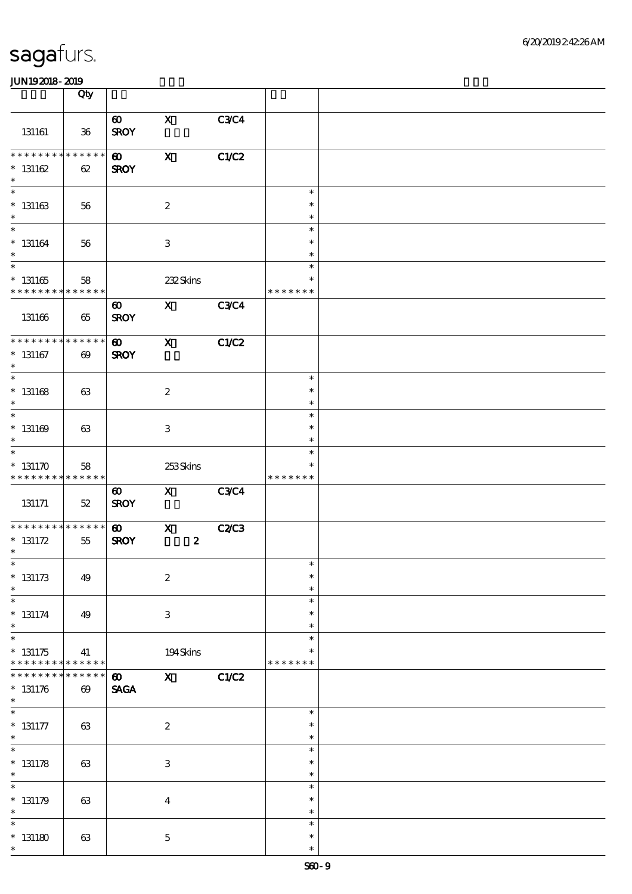|                                                               | Qty                                  |                                      |                                  |             |                                   |  |
|---------------------------------------------------------------|--------------------------------------|--------------------------------------|----------------------------------|-------------|-----------------------------------|--|
| 131161                                                        | $36\,$                               | $\boldsymbol{\omega}$<br><b>SROY</b> | $\mathbf X$                      | <b>C3C4</b> |                                   |  |
| * * * * * * * *<br>$* 131162$<br>$\ast$                       | * * * * * *<br>62                    | $\boldsymbol{\omega}$<br><b>SROY</b> | $\boldsymbol{\mathrm{X}}$        | C1/C2       |                                   |  |
| $\overline{\phantom{0}}$<br>$* 131163$<br>$\ast$              | 56                                   |                                      | $\boldsymbol{2}$                 |             | $\ast$<br>$\ast$<br>$\ast$        |  |
| $\overline{\ast}$<br>$* 131164$<br>$\ast$                     | 56                                   |                                      | $\ensuremath{\mathbf{3}}$        |             | $\ast$<br>$\ast$<br>$\ast$        |  |
| $\overline{\phantom{1}}$<br>$^\ast$ 131165<br>* * * * * * * * | 58<br>* * * * * *                    |                                      | 232Skins                         |             | $\ast$<br>$\ast$<br>* * * * * * * |  |
| 131166                                                        | 65                                   | $\boldsymbol{\omega}$<br><b>SROY</b> | $\mathbf{x}$                     | <b>C3C4</b> |                                   |  |
| * * * * * * * *<br>$*$ 131167<br>$\ast$                       | * * * * * *<br>$\boldsymbol{\omega}$ | $\boldsymbol{\omega}$<br><b>SROY</b> | $\mathbf{x}$                     | C1/C2       |                                   |  |
| $\overline{\phantom{0}}$<br>$* 131168$<br>$\ast$              | 63                                   |                                      | $\boldsymbol{z}$                 |             | $\ast$<br>$\ast$<br>$\ast$        |  |
| $\ast$<br>$* 131169$<br>$\ast$                                | 63                                   |                                      | 3                                |             | $\ast$<br>$\ast$<br>$\ast$        |  |
| $\ast$<br>$* 131170$<br>* * * * * * * *                       | 58<br>* * * * * *                    |                                      | 253Skins                         |             | $\ast$<br>$\ast$<br>* * * * * * * |  |
| 131171                                                        | $52\,$                               | $\boldsymbol{\omega}$<br><b>SROY</b> | $\mathbf{X}$                     | <b>C3C4</b> |                                   |  |
| * * * * * * * *<br>* $131172$<br>$\ast$                       | * * * * * *<br>55                    | $\boldsymbol{\omega}$<br><b>SROY</b> | $\mathbf{X}$<br>$\boldsymbol{2}$ | C2C3        |                                   |  |
| $\ast$<br>$* 131173$<br>$\ast$                                | 49                                   |                                      | $\boldsymbol{2}$                 |             | $\ast$<br>$\ast$<br>$\ast$        |  |
| $\ast$<br>$* 131174$<br>$\ast$                                | 49                                   |                                      | 3                                |             | $\ast$<br>$\ast$<br>$\ast$        |  |
| $\ast$<br>$* 131175$<br>* * * * * * * *                       | 41<br>* * * * * *                    |                                      | 194Skins                         |             | $\ast$<br>* * * * * * *           |  |
| * * * * * * *<br>$* 131176$<br>$\ast$                         | * * * * * *<br>$\boldsymbol{\omega}$ | $\boldsymbol{\omega}$<br><b>SAGA</b> | $\mathbf{x}$                     | C1/C2       |                                   |  |
| $\ast$<br>$* 131177$<br>$\ast$                                | 63                                   |                                      | $\boldsymbol{2}$                 |             | $\ast$<br>$\ast$<br>$\ast$        |  |
| $\ast$<br>$* 131178$<br>$\ast$                                | 63                                   |                                      | $\ensuremath{\mathsf{3}}$        |             | $\ast$<br>$\ast$<br>$\ast$        |  |
| $\ast$<br>$* 131179$<br>$\ast$                                | 63                                   |                                      | $\bf{4}$                         |             | $\ast$<br>$\ast$<br>$\ast$        |  |
| $\ast$<br>$*131180$<br>$\ast$                                 | 63                                   |                                      | $\bf 5$                          |             | $\ast$<br>$\ast$<br>$\ast$        |  |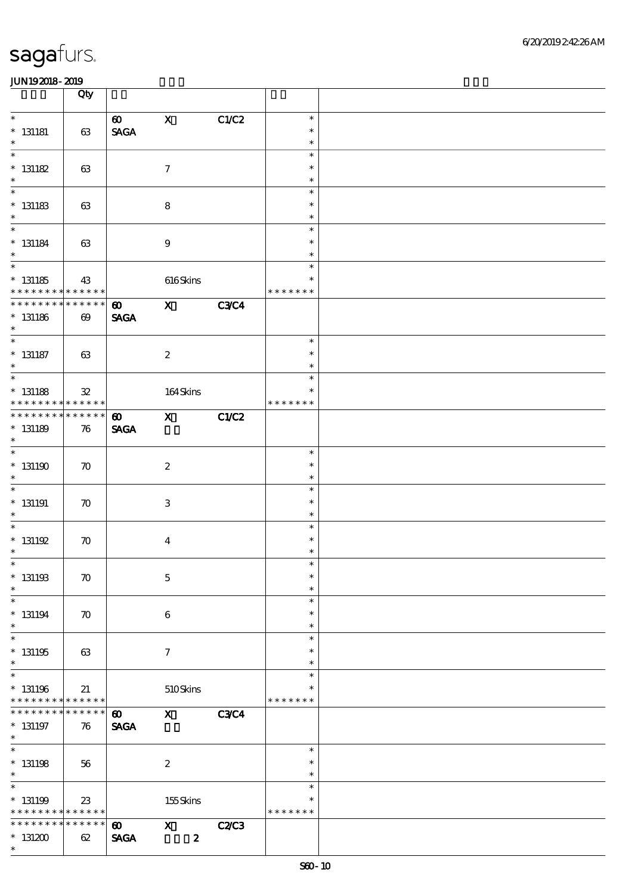|                                                                      | Qty                               |                                                         |                                 |             |                                   |  |
|----------------------------------------------------------------------|-----------------------------------|---------------------------------------------------------|---------------------------------|-------------|-----------------------------------|--|
| $\ast$<br>$*$ 131181<br>$\ast$                                       | 63                                | $\boldsymbol{\omega}$<br>$\operatorname{\mathsf{SAGA}}$ | $\mathbf x$                     | C1/C2       | $\ast$<br>$\ast$<br>$\ast$        |  |
| $\overline{\ast}$<br>$* 131182$<br>$\ast$                            | 63                                |                                                         | $\boldsymbol{\tau}$             |             | $\ast$<br>$\ast$<br>$\ast$        |  |
| $\overline{\phantom{0}}$<br>$^\ast$ 131183<br>$\ast$                 | 63                                |                                                         | $\bf8$                          |             | $\ast$<br>$\ast$<br>$\ast$        |  |
| $\overline{\ast}$<br>$*$ 131184<br>$\ast$                            | 63                                |                                                         | $\boldsymbol{9}$                |             | $\ast$<br>$\ast$<br>$\ast$        |  |
| $\overline{\phantom{0}}$<br>$^*$ 131185<br>$* * * * * * * * *$       | 43<br>* * * * * *                 |                                                         | $616$ Skins                     |             | $\ast$<br>$\ast$<br>* * * * * * * |  |
| ********<br>$*$ 131186<br>$\ast$                                     | $******$<br>$\boldsymbol{\omega}$ | $\boldsymbol{\omega}$<br><b>SAGA</b>                    | $\mathbf{x}$                    | <b>C3C4</b> |                                   |  |
| $\overline{\ast}$<br>$*$ 131187<br>$\ast$                            | 63                                |                                                         | $\boldsymbol{z}$                |             | $\ast$<br>$\ast$<br>$\ast$        |  |
| $\overline{\phantom{0}}$<br>$*$ 131188<br>* * * * * * * *            | $\mathbf{32}$<br>$* * * * * * *$  |                                                         | $164$ Skins                     |             | $\ast$<br>$\ast$<br>* * * * * * * |  |
| * * * * * * *<br>$* 131189$<br>$\ast$                                | * * * * * *<br>76                 | $\boldsymbol{\omega}$<br><b>SAGA</b>                    | $\mathbf{x}$                    | C1/C2       |                                   |  |
| $^*$ 131190 $\,$<br>$\ast$                                           | $\boldsymbol{\pi}$                |                                                         | $\boldsymbol{2}$                |             | $\ast$<br>$\ast$<br>$\ast$        |  |
| $\overline{\phantom{0}}$<br>$*$ 131191<br>$\ast$                     | $\boldsymbol{\pi}$                |                                                         | $\ensuremath{\mathsf{3}}$       |             | $\ast$<br>$\ast$<br>$\ast$        |  |
| $\overline{\phantom{0}}$<br>$^*$ 131192<br>$\ast$                    | $\boldsymbol{\pi}$                |                                                         | $\boldsymbol{4}$                |             | $\ast$<br>$\ast$<br>$\ast$        |  |
| $*$<br>$^*$ 131193<br>$\ast$                                         | $\boldsymbol{\pi}$                |                                                         | $\mathbf 5$                     |             | $\ast$<br>$\ast$<br>$\ast$        |  |
| $\ast$<br>$^*$ 131194 $\,$<br>$\ast$                                 | $\boldsymbol{\pi}$                |                                                         | 6                               |             | $\ast$<br>$\ast$<br>$\ast$        |  |
| $\overline{\ast}$<br>$* 131195$<br>$\ast$                            | 63                                |                                                         | $\boldsymbol{\tau}$             |             | $\ast$<br>$\ast$<br>$\ast$        |  |
| $\ast$<br>$^\ast$ 131196<br>* * * * * * * * <mark>* * * * * *</mark> | 21                                |                                                         | $510S$ kins                     |             | $\ast$<br>$\ast$<br>* * * * * * * |  |
| * * * * * * *<br>$*$ 131197<br>$*$                                   | * * * * * *<br>76                 | $\boldsymbol{\omega}$<br><b>SAGA</b>                    | $\mathbf{x}$                    | <b>C3C4</b> |                                   |  |
| $\overline{\ast}$<br>$*$ 131198<br>$\ast$                            | 56                                |                                                         | $\boldsymbol{2}$                |             | $\ast$<br>$\ast$<br>$\ast$        |  |
| $\ast$<br>$* 131199$<br>* * * * * * * * <mark>* * * * * *</mark>     | $23\,$                            |                                                         | 155Skins                        |             | $\ast$<br>$\ast$<br>* * * * * * * |  |
| * * * * * * *<br>$*131200$<br>$\ast$                                 | * * * * * *<br>62                 | $\boldsymbol{\omega}$<br><b>SAGA</b>                    | $\mathbf x$<br>$\boldsymbol{z}$ | C2C3        |                                   |  |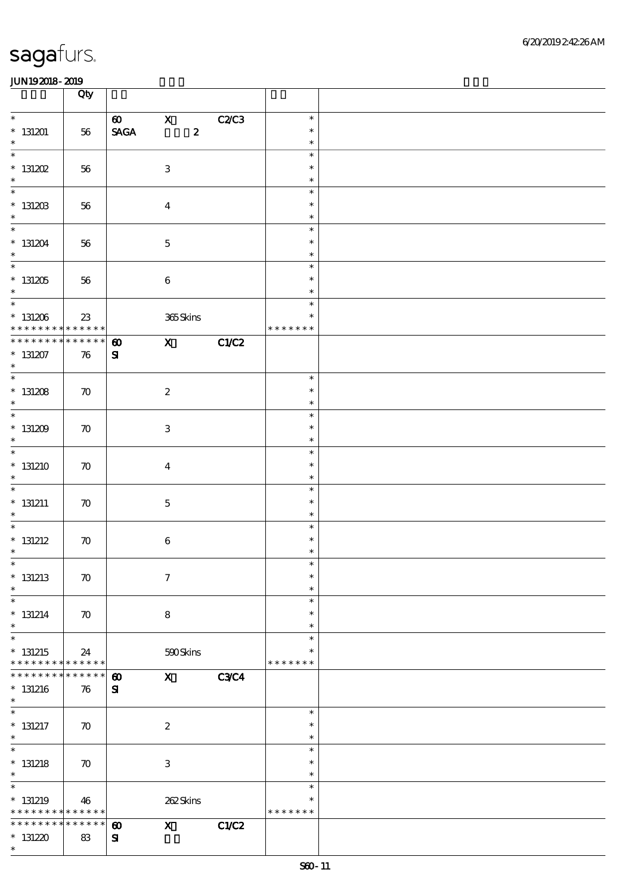|                                                                          | Qty                |                                                       |                           |                  |             |                                      |  |
|--------------------------------------------------------------------------|--------------------|-------------------------------------------------------|---------------------------|------------------|-------------|--------------------------------------|--|
| $\ast$<br>$*131201$<br>$\ast$                                            | 56                 | $\boldsymbol{\omega}$<br>$\ensuremath{\mathsf{SAGA}}$ | $\mathbf{X}$              | $\boldsymbol{z}$ | C2C3        | $\ast$<br>$\ast$<br>$\ast$           |  |
| $\ast$<br>$*$ 131202<br>$\ast$                                           | 56                 |                                                       | $\ensuremath{\mathbf{3}}$ |                  |             | $\ast$<br>$\ast$<br>$\ast$           |  |
| $\overline{\phantom{0}}$<br>$*$ 131203<br>$\ast$                         | 56                 |                                                       | $\overline{4}$            |                  |             | $\ast$<br>$\ast$<br>$\ast$           |  |
| $\overline{\ast}$<br>$* 131204$<br>$\ast$                                | 56                 |                                                       | $\mathbf 5$               |                  |             | $\ast$<br>$\ast$<br>$\ast$           |  |
| $\overline{\phantom{0}}$<br>$* 131205$<br>$\ast$                         | 56                 |                                                       | $\bf 6$                   |                  |             | $\ast$<br>$\ast$<br>$\ast$           |  |
| $* 131206$<br>* * * * * * * * * * * * * *                                | 23                 |                                                       | 365Skins                  |                  |             | $\ast$<br>$\ast$<br>* * * * * * *    |  |
| * * * * * * * *<br>$* 131207$<br>$\ast$                                  | * * * * * *<br>76  | $\boldsymbol{\omega}$<br>${\bf s}$                    |                           |                  | $X$ C1/C2   |                                      |  |
| $\overline{\phantom{a}^*}$<br>$* 131208$<br>$\ast$                       | $\boldsymbol{\pi}$ |                                                       | $\boldsymbol{2}$          |                  |             | $\ast$<br>$\ast$<br>$\ast$           |  |
| $\overline{\phantom{0}}$<br>$* 131209$<br>$\ast$                         | $\boldsymbol{\pi}$ |                                                       | $\ensuremath{\mathbf{3}}$ |                  |             | $\ast$<br>$\ast$<br>$\ast$           |  |
| $\ast$<br>$*$ 131210<br>$\ast$                                           | $\boldsymbol{\pi}$ |                                                       | $\boldsymbol{4}$          |                  |             | $\ast$<br>$\ast$<br>$\ast$           |  |
| $\overline{\ast}$<br>$* 131211$<br>$\ast$<br>$\overline{\ast}$           | $\boldsymbol{\pi}$ |                                                       | $\mathbf 5$               |                  |             | $\ast$<br>$\ast$<br>$\ast$           |  |
| $*$ 131212<br>$\ast$                                                     | $\boldsymbol{\pi}$ |                                                       | $\bf 6$                   |                  |             | $\ast$<br>$\ast$<br>$\ast$           |  |
| $*$<br>$*$ 131213<br>$\ast$<br>$\ast$                                    | $\boldsymbol{\pi}$ |                                                       | $\boldsymbol{7}$          |                  |             | $\ast$<br>$\ast$<br>$\ast$           |  |
| $*$ 131214<br>$\ast$<br>$\ast$                                           | $\boldsymbol{\pi}$ |                                                       | 8                         |                  |             | $\ast$<br>$\ast$<br>$\ast$<br>$\ast$ |  |
| $*131215$<br>* * * * * * * * * * * * * *<br>* * * * * * *                | 24<br>* * * * * *  |                                                       | 590Skins                  |                  |             | *<br>* * * * * * *                   |  |
| $*131216$<br>$\ast$<br>$\ast$                                            | 76                 | $\boldsymbol{\omega}$<br>${\bf s}$                    | $\mathbf{x}$              |                  | <b>C3C4</b> |                                      |  |
| $*$ 131217<br>$\ast$<br>$\overline{\ast}$                                | $\boldsymbol{\pi}$ |                                                       | $\boldsymbol{2}$          |                  |             | $\ast$<br>$\ast$<br>$\ast$           |  |
| $*$ 131218<br>$\ast$<br>$\ast$                                           | $\boldsymbol{\pi}$ |                                                       | $\ensuremath{\mathbf{3}}$ |                  |             | $\ast$<br>$\ast$<br>$\ast$<br>$\ast$ |  |
| $*131219$<br>* * * * * * * * <mark>* * * * * *</mark><br>* * * * * * * * | 46<br>* * * * * *  |                                                       | 262Skins                  |                  |             | $\ast$<br>* * * * * * *              |  |
| $*131220$<br>$\ast$                                                      | 83                 | $\boldsymbol{\omega}$<br>${\bf s}$                    | $\mathbf{x}$              |                  | C1/C2       |                                      |  |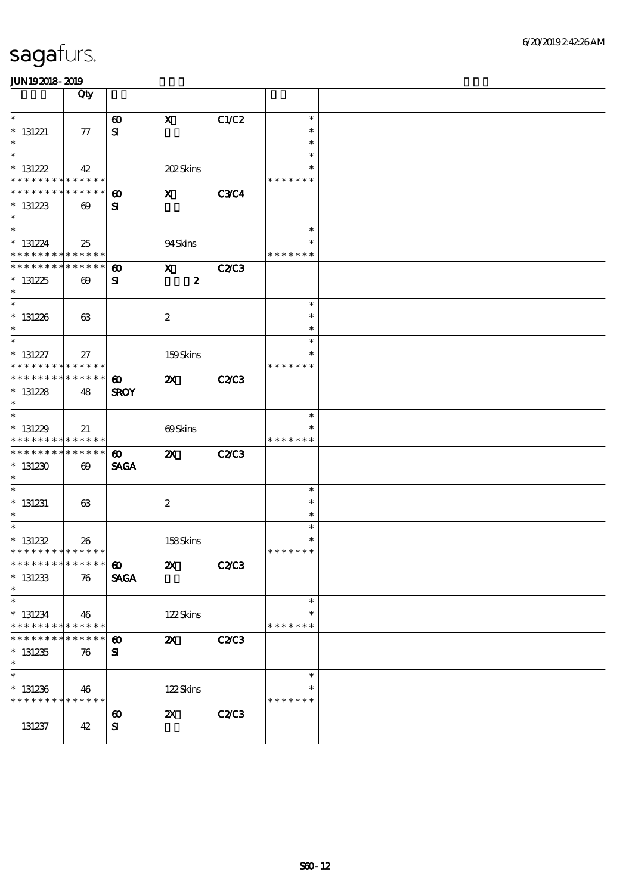|                                           | Qty                                      |                                      |                           |              |                  |  |
|-------------------------------------------|------------------------------------------|--------------------------------------|---------------------------|--------------|------------------|--|
| $\ast$                                    |                                          | $\boldsymbol{\omega}$                | $\mathbf{x}$              | C1/C2        | $\ast$           |  |
| $*$ 131221                                | $\tau$                                   | ${\bf s}$                            |                           |              | $\ast$           |  |
| $\ast$<br>$\overline{\ast}$               |                                          |                                      |                           |              | $\ast$<br>$\ast$ |  |
| $* 131222$                                | 42                                       |                                      | 202Skins                  |              | $\ast$           |  |
| * * * * * * * * <mark>* * * * * *</mark>  |                                          |                                      |                           |              | * * * * * * *    |  |
| * * * * * * * *                           | * * * * * *                              | $\boldsymbol{\omega}$                | $\mathbf{x}$              | <b>C3C4</b>  |                  |  |
| $*131223$                                 | $\boldsymbol{\omega}$                    | ${\bf s}$                            |                           |              |                  |  |
| $\ast$<br>$\overline{\ast}$               |                                          |                                      |                           |              | $\ast$           |  |
| $* 131224$                                | 25                                       |                                      | 94Skins                   |              | $\ast$           |  |
| * * * * * * * * * * * * * *               |                                          |                                      |                           |              | * * * * * * *    |  |
| * * * * * * * * * * * * * *               |                                          | $\boldsymbol{\omega}$                | $\mathbf X$               | <b>C2/C3</b> |                  |  |
| $* 131225$                                | $\boldsymbol{\omega}$                    | ${\bf s}$                            | $\boldsymbol{z}$          |              |                  |  |
| $\ast$                                    |                                          |                                      |                           |              |                  |  |
| $* 131226$                                | 63                                       |                                      | $\boldsymbol{2}$          |              | $\ast$<br>$\ast$ |  |
| $\ast$                                    |                                          |                                      |                           |              | $\ast$           |  |
| $\overline{\ast}$                         |                                          |                                      |                           |              | $\ast$           |  |
| $* 131227$                                | 27                                       |                                      | 159Skins                  |              | $\ast$           |  |
| * * * * * * * * <mark>* * * * * *</mark>  |                                          |                                      |                           |              | * * * * * * *    |  |
| * * * * * * * * * * * * * *<br>$* 131228$ |                                          | $\boldsymbol{\omega}$<br><b>SROY</b> | $\boldsymbol{\mathsf{Z}}$ | <b>C2/C3</b> |                  |  |
| $\ast$                                    | 48                                       |                                      |                           |              |                  |  |
| $\overline{\ast}$                         |                                          |                                      |                           |              | $\ast$           |  |
| $*131229$                                 | 21                                       |                                      | 69Skins                   |              |                  |  |
| * * * * * * * * * * * * * *               |                                          |                                      |                           |              | * * * * * * *    |  |
| * * * * * * * *<br>$*131230$              | $* * * * * * *$<br>$\boldsymbol{\omega}$ | $\boldsymbol{\omega}$<br><b>SAGA</b> | $\boldsymbol{\mathsf{z}}$ | <b>C2/C3</b> |                  |  |
| $\ast$                                    |                                          |                                      |                           |              |                  |  |
|                                           |                                          |                                      |                           |              | $\ast$           |  |
| $* 131231$                                | 63                                       |                                      | $\boldsymbol{2}$          |              | $\ast$           |  |
| $\ast$                                    |                                          |                                      |                           |              | $\ast$<br>$\ast$ |  |
| $* 131232$                                | 26                                       |                                      | 158Skins                  |              | $\ast$           |  |
| * * * * * * * * * * * * * * *             |                                          |                                      |                           |              | * * * * * * *    |  |
| ************** 10                         |                                          |                                      | <b>2X</b> C2/C3           |              |                  |  |
| $*$ 131233                                | 76                                       | <b>SAGA</b>                          |                           |              |                  |  |
| $\ast$<br>$\ast$                          |                                          |                                      |                           |              | $\ast$           |  |
| $* 131234$                                | 46                                       |                                      | 122Skins                  |              | $\ast$           |  |
| * * * * * * * *                           | * * * * * *                              |                                      |                           |              | * * * * * * *    |  |
|                                           | * * * * * *                              | $\boldsymbol{\omega}$                | $\boldsymbol{\mathsf{z}}$ | <b>C2/C3</b> |                  |  |
| $*131235$                                 | 76                                       | ${\bf s}$                            |                           |              |                  |  |
| $\ast$<br>$\ast$                          |                                          |                                      |                           |              | $\ast$           |  |
| $*131236$                                 | 46                                       |                                      | 122Skins                  |              | $\ast$           |  |
| * * * * * * * * * * * * * *               |                                          |                                      |                           |              | * * * * * * *    |  |
|                                           |                                          | $\boldsymbol{\omega}$                | $\boldsymbol{\mathsf{X}}$ | C2C3         |                  |  |
| 131237                                    | 42                                       | ${\bf s}$                            |                           |              |                  |  |
|                                           |                                          |                                      |                           |              |                  |  |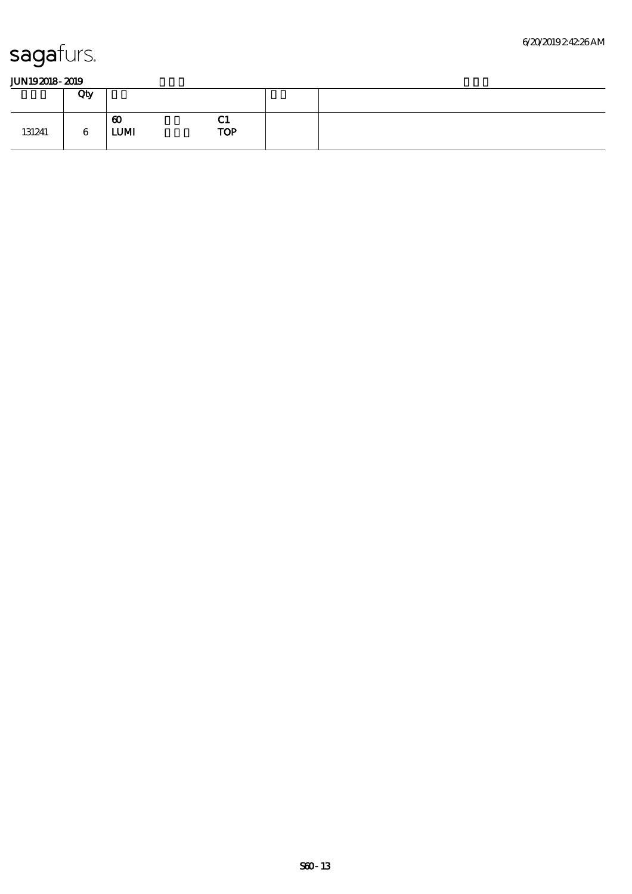|        | Qty                        |                                                        |
|--------|----------------------------|--------------------------------------------------------|
| 131241 | $\boldsymbol{\omega}$<br>6 | --<br>u<br><b>TOP</b><br>${\bf L}\mathbf{U}\mathbf{M}$ |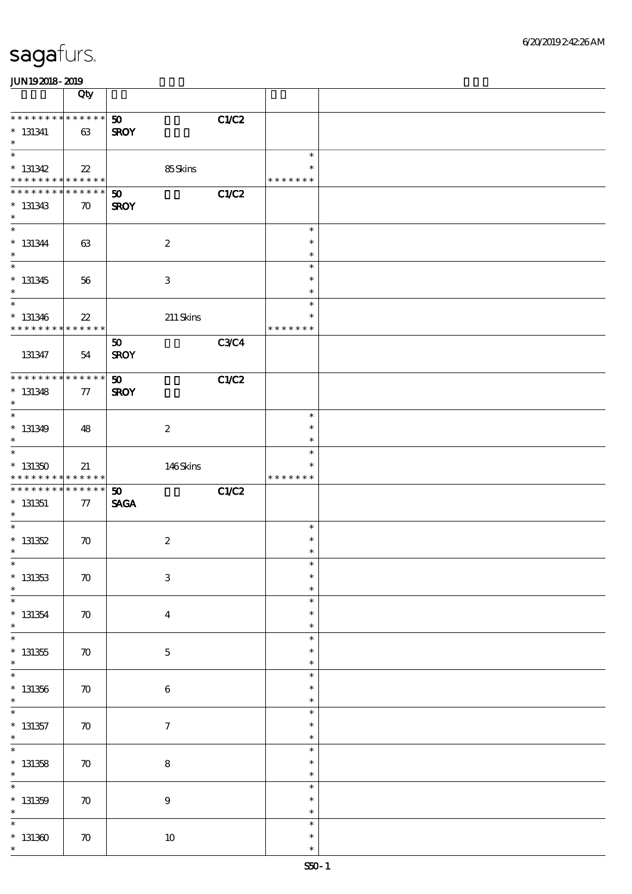|                                                                               | Qty                                   |                                                            |                                      |  |
|-------------------------------------------------------------------------------|---------------------------------------|------------------------------------------------------------|--------------------------------------|--|
| * * * * * * * * * * * * * *<br>$*$ 131341<br>$\ast$                           | 63                                    | C1/C2<br>50<br><b>SROY</b>                                 |                                      |  |
| $\overline{\ast}$<br>$* 131342$<br>* * * * * * * * <mark>* * * * * * *</mark> | $22\,$                                | 85Skins                                                    | $\ast$<br>$\ast$<br>* * * * * * *    |  |
| * * * * * * *<br>$* 131343$<br>$\ast$                                         | $* * * * * * *$<br>$\boldsymbol{\pi}$ | C1/C2<br>$\boldsymbol{\mathfrak{D}}$<br><b>SROY</b>        |                                      |  |
| $\overline{\ast}$<br>$* 131344$<br>$\ast$                                     | 63                                    | $\boldsymbol{2}$                                           | $\ast$<br>$\ast$<br>$\ast$           |  |
| $\overline{\ast}$<br>$* 131345$<br>$\ast$                                     | 56                                    | $\,3$                                                      | $\ast$<br>$\ast$<br>$\ast$           |  |
| $\ast$<br>$* 131346$<br>* * * * * * * *                                       | $22\,$<br>******                      | $211$ Skins                                                | $\ast$<br>$\ast$<br>* * * * * * *    |  |
| 131347                                                                        | 54                                    | C3C4<br>50<br><b>SROY</b>                                  |                                      |  |
| * * * * * * * * * * * * * *<br>$* 131348$<br>$\ast$                           | 77                                    | C1/C2<br>50<br><b>SROY</b>                                 |                                      |  |
| $\overline{\ast}$<br>$* 131349$<br>$\ast$                                     | 48                                    | $\boldsymbol{2}$                                           | $\ast$<br>$\ast$<br>$\ast$           |  |
| $\overline{\ast}$<br>$*131350$                                                | 21                                    | 146Skins                                                   | $\ast$                               |  |
| * * * * * * * * * * * * * *                                                   |                                       |                                                            | * * * * * * *                        |  |
|                                                                               | $* * * * * * *$<br>77                 | <b>C1/C2</b><br>$\boldsymbol{\mathfrak{D}}$<br><b>SAGA</b> |                                      |  |
| * * * * * * * *<br>$*$ 131351<br>$\ast$<br>$\ast$<br>$* 131352$<br>$\ast$     | $\boldsymbol{\pi}$                    | $\boldsymbol{2}$                                           | $\ast$<br>$\ast$<br>$\ast$           |  |
| $*$<br>$* 131353$<br>$\ast$                                                   | $\boldsymbol{\pi}$                    | $\,3\,$                                                    | $\ast$<br>$\ast$<br>$\ast$           |  |
| $\ast$<br>$* 131354$<br>$\ast$                                                | $\boldsymbol{\pi}$                    | $\boldsymbol{4}$                                           | $\ast$<br>$\ast$<br>$\ast$           |  |
| $\ast$<br>$* 131355$<br>$\ast$                                                | $\boldsymbol{\pi}$                    | $\mathbf 5$                                                | $\ast$<br>$\ast$<br>$\ast$           |  |
| $\ast$<br>$* 131356$<br>$\ast$                                                | $\boldsymbol{\pi}$                    | $\,6\,$                                                    | $\ast$<br>$\ast$<br>$\ast$           |  |
| $\ast$<br>$*$ 131357<br>$\ast$                                                | $\boldsymbol{\pi}$                    | $\boldsymbol{7}$                                           | $\ast$<br>$\ast$<br>$\ast$           |  |
| $\overline{\ast}$<br>$* 131358$<br>$\ast$                                     | $\boldsymbol{\pi}$                    | $\bf 8$                                                    | $\ast$<br>$\ast$<br>$\ast$           |  |
| $\ast$<br>$* 131359$<br>$\ast$<br>$\ast$                                      | $\boldsymbol{\pi}$                    | $\boldsymbol{9}$                                           | $\ast$<br>$\ast$<br>$\ast$<br>$\ast$ |  |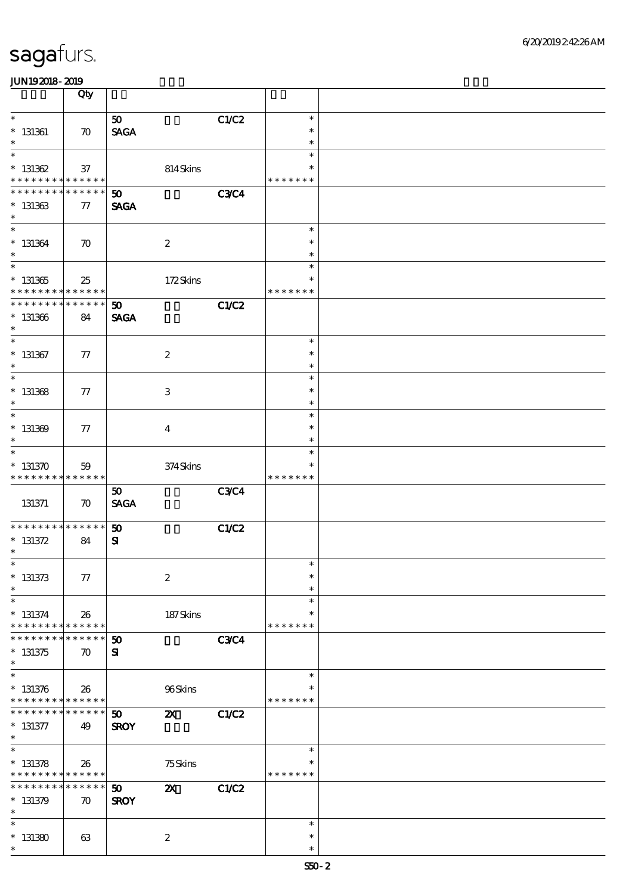|                                                          | Qty                               |                             |                                 |              |                    |  |
|----------------------------------------------------------|-----------------------------------|-----------------------------|---------------------------------|--------------|--------------------|--|
| $\ast$                                                   |                                   | 50                          |                                 | C1/C2        | $\ast$             |  |
| $*$ 131361                                               | $\boldsymbol{\pi}$                | <b>SAGA</b>                 |                                 |              | $\ast$             |  |
| $\ast$<br>$\ast$                                         |                                   |                             |                                 |              | $\ast$<br>$\ast$   |  |
| $* 131362$                                               | 37                                |                             | $814\mspace{3mu}\mathrm{Skins}$ |              | $\ast$             |  |
| * * * * * * * * <mark>* * * * * * *</mark>               |                                   |                             |                                 |              | * * * * * * *      |  |
| * * * * * * * *                                          | * * * * * *                       | $\boldsymbol{\mathfrak{D}}$ |                                 | <b>C3C4</b>  |                    |  |
| $* 131363$<br>$\ast$                                     | 77                                | <b>SAGA</b>                 |                                 |              |                    |  |
| $\ast$                                                   |                                   |                             |                                 |              | $\ast$             |  |
| $* 131364$                                               | $\boldsymbol{\pi}$                |                             | $\boldsymbol{2}$                |              | $\ast$             |  |
| $\ast$<br>$\overline{\phantom{0}}$                       |                                   |                             |                                 |              | $\ast$             |  |
|                                                          |                                   |                             |                                 |              | $\ast$<br>$\ast$   |  |
| $* 131365$<br>* * * * * * * * <mark>* * * * * * *</mark> | 25                                |                             | 172Skins                        |              | * * * * * * *      |  |
| * * * * * * * *                                          | * * * * * *                       | $\boldsymbol{\mathfrak{D}}$ |                                 | C1/C2        |                    |  |
| $* 131366$                                               | 84                                | <b>SAGA</b>                 |                                 |              |                    |  |
| $\ast$<br>$\ast$                                         |                                   |                             |                                 |              | $\ast$             |  |
| $*$ 131367                                               | 77                                |                             | $\boldsymbol{2}$                |              | $\ast$             |  |
| $\ast$                                                   |                                   |                             |                                 |              | $\ast$             |  |
| $\overline{\ast}$                                        |                                   |                             |                                 |              | $\ast$             |  |
| $*$ 131368<br>$\ast$                                     | 77                                |                             | 3                               |              | $\ast$             |  |
| $\ast$                                                   |                                   |                             |                                 |              | $\ast$<br>$\ast$   |  |
| $* 131369$                                               | 77                                |                             | $\boldsymbol{4}$                |              | $\ast$             |  |
| $\ast$                                                   |                                   |                             |                                 |              | $\ast$             |  |
| $\ast$                                                   |                                   |                             |                                 |              | $\ast$             |  |
| $* 131370$<br>* * * * * * * * * * * * * *                | 59                                |                             | $374$ Skins                     |              | * * * * * * *      |  |
|                                                          |                                   | 50                          |                                 | <b>C3C4</b>  |                    |  |
| 131371                                                   | $\boldsymbol{\pi}$                | <b>SAGA</b>                 |                                 |              |                    |  |
| * * * * * * * * * * * * * *                              |                                   | 50                          |                                 | <b>C1/C2</b> |                    |  |
| $* 131372$                                               | 84                                | ${\bf s}$                   |                                 |              |                    |  |
| $\ast$                                                   |                                   |                             |                                 |              |                    |  |
| $*$                                                      |                                   |                             |                                 |              | $\ast$             |  |
| $* 131373$<br>$\ast$                                     | 77                                |                             | $\boldsymbol{2}$                |              | $\ast$<br>$\ast$   |  |
| $\ast$                                                   |                                   |                             |                                 |              | $\ast$             |  |
| $* 131374$                                               | 26                                |                             | 187Skins                        |              | $\ast$             |  |
| * * * * * * * * <mark>* * * * * *</mark>                 |                                   |                             |                                 |              | * * * * * * *      |  |
| * * * * * * *<br>$* 131375$                              | * * * * * *<br>$\boldsymbol{\pi}$ | 50<br>${\bf s}$             |                                 | <b>C3C4</b>  |                    |  |
| $\ast$                                                   |                                   |                             |                                 |              |                    |  |
| $\ast$                                                   |                                   |                             |                                 |              | $\ast$             |  |
| $* 131376$<br>* * * * * * * * * * * * * *                | 26                                |                             | 96Skins                         |              | ∗<br>* * * * * * * |  |
| * * * * * * *                                            | * * * * * *                       | 50                          | $\boldsymbol{\mathsf{X}}$       | C1/C2        |                    |  |
| $* 131377$                                               | 49                                | <b>SROY</b>                 |                                 |              |                    |  |
| $\ast$                                                   |                                   |                             |                                 |              |                    |  |
| $\overline{\ast}$                                        |                                   |                             |                                 |              | $\ast$             |  |
| $* 131378$<br>* * * * * * * * <mark>* * * * * *</mark>   | 26                                |                             | 75Skins                         |              | * * * * * * *      |  |
| * * * * * * * *                                          | * * * * * *                       | $\boldsymbol{\mathfrak{D}}$ | $\boldsymbol{\mathsf{X}}$       | C1/C2        |                    |  |
| $* 131379$                                               | $\boldsymbol{\pi}$                | <b>SROY</b>                 |                                 |              |                    |  |
| $\ast$<br>$\ast$                                         |                                   |                             |                                 |              | $\ast$             |  |
| $*131380$                                                | 63                                |                             | $\boldsymbol{2}$                |              | $\ast$             |  |
| $\ast$                                                   |                                   |                             |                                 |              | $\ast$             |  |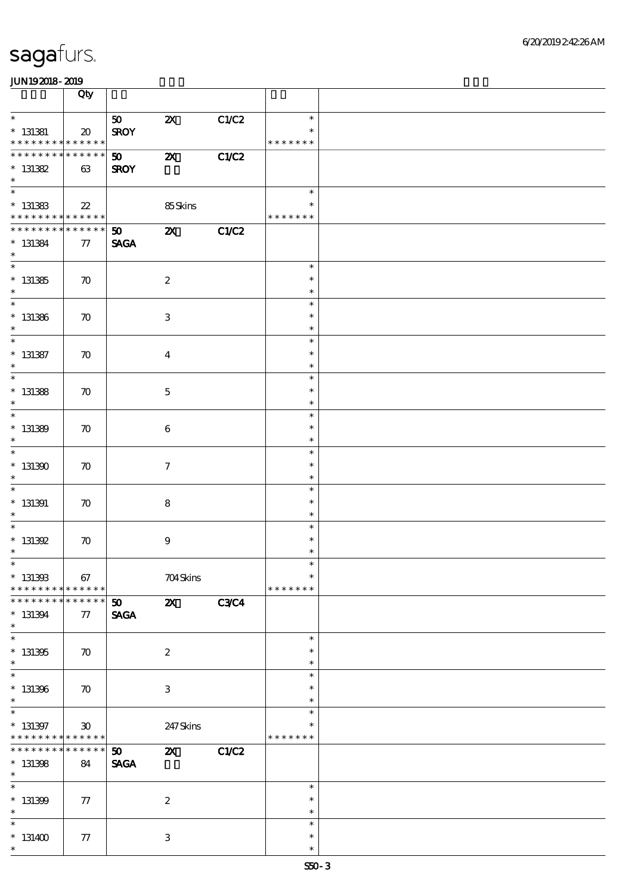|                                                     | Qty                                            |                                            |                           |              |                         |  |
|-----------------------------------------------------|------------------------------------------------|--------------------------------------------|---------------------------|--------------|-------------------------|--|
| $\ast$                                              |                                                | 50                                         | $\boldsymbol{\mathsf{Z}}$ | C1/C2        | $\ast$                  |  |
| $*$ 131381<br>* * * * * * * * * * * * * *           | $\boldsymbol{\boldsymbol{\lambda}}$            | <b>SROY</b>                                |                           |              | * * * * * * *           |  |
| * * * * * * * * * * * * * *                         |                                                | 50                                         | $\boldsymbol{\mathsf{z}}$ | C1/C2        |                         |  |
| $* 131382$<br>$\ast$                                | 63                                             | <b>SROY</b>                                |                           |              |                         |  |
| $*$                                                 |                                                |                                            |                           |              | $\ast$                  |  |
| $*$ 131383                                          | $22\,$                                         |                                            | 85Skins                   |              | ∗                       |  |
| * * * * * * * * * * * * * *                         |                                                |                                            |                           |              | * * * * * * *           |  |
| * * * * * * * * * * * * * *<br>$* 131384$<br>$\ast$ | 77                                             | 50<br><b>SAGA</b>                          | $\boldsymbol{\alpha}$     | C1/C2        |                         |  |
| $\overline{\phantom{0}}$                            |                                                |                                            |                           |              | $\ast$                  |  |
| $* 131385$<br>$\ast$                                | $\boldsymbol{\pi}$                             |                                            | $\boldsymbol{2}$          |              | $\ast$<br>$\ast$        |  |
|                                                     |                                                |                                            |                           |              | $\ast$                  |  |
| $* 131386$<br>$\ast$                                | $\boldsymbol{\pi}$                             |                                            | $\,3\,$                   |              | $\ast$<br>$\ast$        |  |
| $\overline{\ast}$                                   |                                                |                                            |                           |              | $\ast$                  |  |
| $*$ 131387                                          | $\boldsymbol{\pi}$                             |                                            | $\boldsymbol{4}$          |              | $\ast$                  |  |
| $\ast$                                              |                                                |                                            |                           |              | $\ast$                  |  |
| $\overline{\ast}$                                   |                                                |                                            |                           |              | $\ast$                  |  |
| $*$ 131388<br>$\ast$                                | $\boldsymbol{\pi}$                             |                                            | $\mathbf 5$               |              | $\ast$<br>$\ast$        |  |
| $*$                                                 |                                                |                                            |                           |              | $\ast$                  |  |
| $* 131389$<br>$\ast$                                | $\boldsymbol{\pi}$                             |                                            | 6                         |              | $\ast$<br>$\ast$        |  |
| $\overline{\ast}$                                   |                                                |                                            |                           |              | $\ast$                  |  |
| $*131300$<br>$\ast$                                 | $\boldsymbol{\pi}$                             |                                            | $\boldsymbol{\tau}$       |              | $\ast$<br>$\ast$        |  |
| $\overline{\phantom{0}}$                            |                                                |                                            |                           |              | $\ast$                  |  |
| $*$ 131391                                          | $\boldsymbol{\pi}$                             |                                            | $\bf 8$                   |              | $\ast$                  |  |
| $\ast$                                              |                                                |                                            |                           |              | $\ast$                  |  |
| $\ast$                                              |                                                |                                            |                           |              | $\ast$                  |  |
| $*$ 131392<br>$\ast$                                | $\boldsymbol{\pi}$                             |                                            | $\boldsymbol{9}$          |              | $\ast$<br>$\ast$        |  |
| $*$                                                 |                                                |                                            |                           |              | $\ast$                  |  |
| $*$ 1313333                                         | 67<br>* * * * * *                              |                                            | 704Skins                  |              | $\ast$                  |  |
| * * * * * * * *<br>* * * * * * *                    | * * * * * *                                    |                                            |                           |              | * * * * * * *           |  |
| $* 131394$<br>$\ast$                                | 77                                             | $\boldsymbol{\mathfrak{D}}$<br><b>SAGA</b> | $\boldsymbol{\alpha}$     | <b>C3C4</b>  |                         |  |
| $\overline{\ast}$                                   |                                                |                                            |                           |              | $\ast$                  |  |
| $* 131305$<br>$\ast$                                | $\boldsymbol{\pi}$                             |                                            | $\boldsymbol{2}$          |              | $\ast$<br>$\ast$        |  |
| $\overline{\ast}$                                   |                                                |                                            |                           |              | $\ast$                  |  |
| $*$ 131396<br>$\ast$                                | $\boldsymbol{\pi}$                             |                                            | $\,3\,$                   |              | $\ast$<br>$\ast$        |  |
| $\overline{\ast}$                                   |                                                |                                            |                           |              | $\ast$                  |  |
| $* 131397$<br>* * * * * * * *                       | $\boldsymbol{\mathfrak{D}}$<br>$* * * * * * *$ |                                            | 247 Skins                 |              | $\ast$<br>* * * * * * * |  |
| * * * * * * *                                       | ******                                         | 50 <sub>1</sub>                            | $\boldsymbol{\mathsf{z}}$ | <b>C1/C2</b> |                         |  |
| $* 131308$<br>$\ast$                                | 84                                             | <b>SAGA</b>                                |                           |              |                         |  |
| $\ast$                                              |                                                |                                            |                           |              | $\ast$                  |  |
| $* 131309$                                          | 77                                             |                                            | $\boldsymbol{2}$          |              | $\ast$                  |  |
| $\ast$                                              |                                                |                                            |                           |              | $\ast$                  |  |
| $\ast$                                              |                                                |                                            |                           |              | $\ast$                  |  |
| $*131400$                                           | 77                                             |                                            | 3                         |              | $\ast$                  |  |
| $\ast$                                              |                                                |                                            |                           |              | $\ast$                  |  |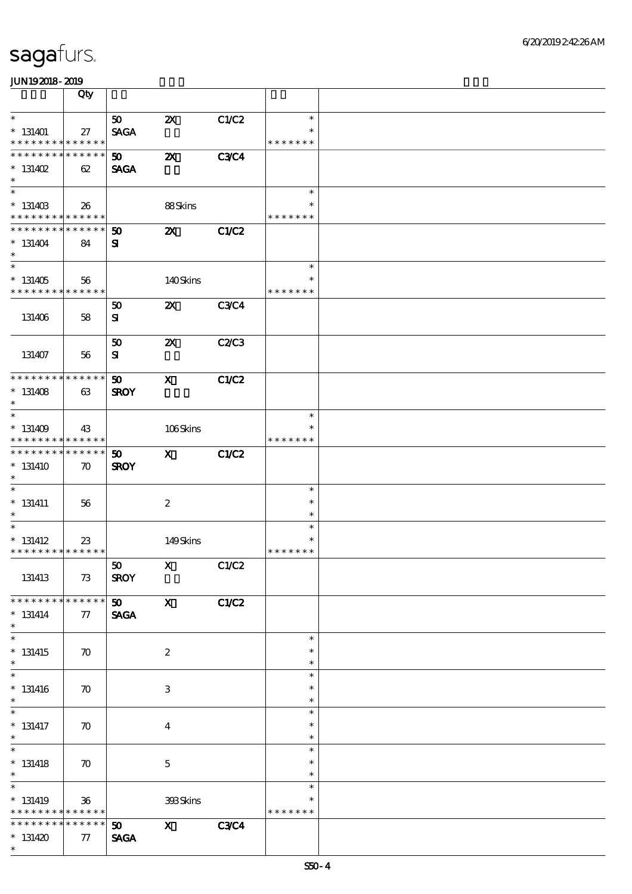|                                          | Qty                |                 |                                                                                                                     |              |               |  |
|------------------------------------------|--------------------|-----------------|---------------------------------------------------------------------------------------------------------------------|--------------|---------------|--|
| $\ast$                                   |                    | 50 <sub>o</sub> | $\boldsymbol{\mathsf{Z}}$                                                                                           | C1/C2        | $\ast$        |  |
| $*131401$                                | 27                 | <b>SAGA</b>     |                                                                                                                     |              | $\ast$        |  |
| * * * * * * * * * * * * * *              |                    |                 |                                                                                                                     |              | * * * * * * * |  |
| ***************                          |                    | 50 <sub>o</sub> | $\boldsymbol{\mathsf{z}}$                                                                                           | <b>C3C4</b>  |               |  |
| $* 131402$                               | 62                 | <b>SAGA</b>     |                                                                                                                     |              |               |  |
| $\ast$                                   |                    |                 |                                                                                                                     |              |               |  |
| $\overline{\phantom{0}}$                 |                    |                 |                                                                                                                     |              | $\ast$        |  |
| $* 13140B$                               |                    |                 | 88Skins                                                                                                             |              | *             |  |
| * * * * * * * * * * * * * *              | 26                 |                 |                                                                                                                     |              | * * * * * * * |  |
| ******** <mark>******</mark>             |                    | 50              | $\boldsymbol{\mathsf{z}}$                                                                                           | C1/C2        |               |  |
| $* 131404$                               | 84                 |                 |                                                                                                                     |              |               |  |
| $\ast$                                   |                    | ${\bf s}$       |                                                                                                                     |              |               |  |
| $\overline{\phantom{0}}$                 |                    |                 |                                                                                                                     |              | $\ast$        |  |
| $*131405$                                | 56                 |                 | 140Skins                                                                                                            |              | $\ast$        |  |
| * * * * * * * * * * * * * *              |                    |                 |                                                                                                                     |              | * * * * * * * |  |
|                                          |                    | 50              | $\boldsymbol{\mathsf{z}}$                                                                                           | <b>C3C4</b>  |               |  |
| 131406                                   | 58                 | ${\bf s}$       |                                                                                                                     |              |               |  |
|                                          |                    |                 |                                                                                                                     |              |               |  |
|                                          |                    | 50              | $\boldsymbol{\mathsf{Z}}$                                                                                           | C2/C3        |               |  |
| 131407                                   | 56                 | ${\bf s}$       |                                                                                                                     |              |               |  |
|                                          |                    |                 |                                                                                                                     |              |               |  |
| * * * * * * * * * * * * * *              |                    | 50              | $\mathbf{x}$                                                                                                        | <b>C1/C2</b> |               |  |
| $* 131408$                               | 63                 | <b>SROY</b>     |                                                                                                                     |              |               |  |
| $\ast$                                   |                    |                 |                                                                                                                     |              |               |  |
| $\overline{\phantom{0}}$                 |                    |                 |                                                                                                                     |              | $\ast$        |  |
| $* 131409$                               | 43                 |                 | 106Skins                                                                                                            |              |               |  |
| * * * * * * * * * * * * * *              |                    |                 |                                                                                                                     |              | * * * * * * * |  |
| ******** <mark>******</mark>             |                    | 50              | $\mathbf{x}$                                                                                                        | <b>C1/C2</b> |               |  |
| $*131410$                                | $\boldsymbol{\pi}$ | <b>SROY</b>     |                                                                                                                     |              |               |  |
| $\ast$                                   |                    |                 |                                                                                                                     |              |               |  |
| $\ast$                                   |                    |                 |                                                                                                                     |              | $\ast$        |  |
| $* 131411$                               | 56                 |                 | $\boldsymbol{z}$                                                                                                    |              | $\ast$        |  |
| $\ast$                                   |                    |                 |                                                                                                                     |              | $\ast$        |  |
| $\ast$                                   |                    |                 |                                                                                                                     |              | $\ast$        |  |
| $*$ 131412                               | 23                 |                 | 149Skins                                                                                                            |              | $\ast$        |  |
| * * * * * * * * * * * * * *              |                    |                 |                                                                                                                     |              | * * * * * * * |  |
|                                          |                    | 50              | $\boldsymbol{\mathrm{X}}$ and $\boldsymbol{\mathrm{X}}$ and $\boldsymbol{\mathrm{X}}$ and $\boldsymbol{\mathrm{X}}$ | C1/C2        |               |  |
| 131413                                   | 73                 | <b>SROY</b>     |                                                                                                                     |              |               |  |
|                                          |                    |                 |                                                                                                                     |              |               |  |
| * * * * * * * *                          | * * * * * *        | 50              | $\mathbf{x}$                                                                                                        | C1/C2        |               |  |
| $* 131414$                               | 77                 | <b>SAGA</b>     |                                                                                                                     |              |               |  |
| $\ast$                                   |                    |                 |                                                                                                                     |              |               |  |
| $\overline{\ast}$                        |                    |                 |                                                                                                                     |              | $\ast$        |  |
| $*131415$                                | $\boldsymbol{\pi}$ |                 | $\boldsymbol{2}$                                                                                                    |              | $\ast$        |  |
| $\ast$                                   |                    |                 |                                                                                                                     |              | $\ast$        |  |
| $\ast$                                   |                    |                 |                                                                                                                     |              | $\ast$        |  |
| $* 131416$                               | $\boldsymbol{\pi}$ |                 | $\ensuremath{\mathbf{3}}$                                                                                           |              | $\ast$        |  |
| $\ast$                                   |                    |                 |                                                                                                                     |              | $\ast$        |  |
| $_{*}^{-}$                               |                    |                 |                                                                                                                     |              | $\ast$        |  |
| $*$ 131417                               | $\boldsymbol{\pi}$ |                 | $\overline{4}$                                                                                                      |              | $\ast$        |  |
| $\ast$                                   |                    |                 |                                                                                                                     |              | $\ast$        |  |
| $\overline{\phantom{1}}$                 |                    |                 |                                                                                                                     |              | $\ast$        |  |
| $*$ 131418                               | $\boldsymbol{\pi}$ |                 | $\mathbf 5$                                                                                                         |              | $\ast$        |  |
| $\ast$                                   |                    |                 |                                                                                                                     |              | $\ast$        |  |
| $\ast$                                   |                    |                 |                                                                                                                     |              | $\ast$        |  |
| $*$ 131419                               | $36\,$             |                 | 393Skins                                                                                                            |              | $\ast$        |  |
| * * * * * * * * <mark>* * * * * *</mark> |                    |                 |                                                                                                                     |              | * * * * * * * |  |
| * * * * * * * *                          | * * * * * *        | 50 <sub>o</sub> | $\mathbf{x}$                                                                                                        | <b>C3C4</b>  |               |  |
| $*131420$                                | 77                 | <b>SAGA</b>     |                                                                                                                     |              |               |  |
| $\ast$                                   |                    |                 |                                                                                                                     |              |               |  |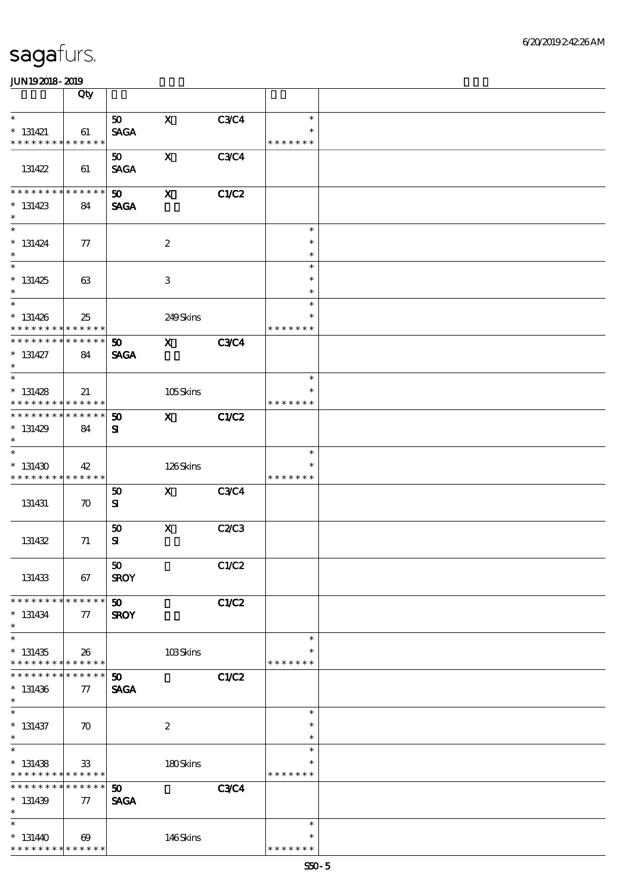|                                            | Qty                        |                             |                           |              |                  |  |
|--------------------------------------------|----------------------------|-----------------------------|---------------------------|--------------|------------------|--|
| $\ast$                                     |                            | 50 <sub>2</sub>             | $\mathbf x$               | C3C4         | $\ast$           |  |
| $* 131421$                                 | 61                         | <b>SAGA</b>                 |                           |              | $\ast$           |  |
| * * * * * * * *                            | * * * * * *                |                             |                           |              | * * * * * * *    |  |
|                                            |                            | 50                          | $\mathbf x$               | <b>C3C4</b>  |                  |  |
| 131422                                     | 61                         | <b>SAGA</b>                 |                           |              |                  |  |
|                                            |                            |                             |                           |              |                  |  |
| * * * * * * *                              | * * * * * *                | 50 <sub>o</sub>             | $\mathbf{x}$              | <b>C1/C2</b> |                  |  |
| $* 131423$                                 | 84                         | <b>SAGA</b>                 |                           |              |                  |  |
| $\ast$                                     |                            |                             |                           |              |                  |  |
| $\overline{\ast}$                          |                            |                             |                           |              | $\ast$           |  |
| $* 131424$                                 | $\tau$                     |                             | $\boldsymbol{2}$          |              | $\ast$           |  |
| $\ast$                                     |                            |                             |                           |              | $\ast$           |  |
| $\overline{\phantom{0}}$                   |                            |                             |                           |              | $\ast$           |  |
| $*131425$                                  | 63                         |                             | $\ensuremath{\mathbf{3}}$ |              | $\ast$           |  |
| $\ast$                                     |                            |                             |                           |              | $\ast$           |  |
| $\overline{\ast}$                          |                            |                             |                           |              | $\ast$           |  |
| $* 131426$                                 | 25                         |                             | 249Skins                  |              | $\ast$           |  |
| * * * * * * * *<br>* * * * * * * *         | * * * * * *<br>* * * * * * |                             |                           |              | * * * * * * *    |  |
|                                            |                            | 50                          | $\mathbf{x}$              | <b>C3C4</b>  |                  |  |
| $* 131427$<br>$\ast$                       | 84                         | <b>SAGA</b>                 |                           |              |                  |  |
| $\overline{\ast}$                          |                            |                             |                           |              | $\ast$           |  |
| $* 131428$                                 | 21                         |                             | 105Skins                  |              | $\ast$           |  |
| * * * * * * * *                            | * * * * * *                |                             |                           |              | * * * * * * *    |  |
| * * * * * * *                              | * * * * * *                | 50                          | $\mathbf{x}$              | C1/C2        |                  |  |
| $* 131429$                                 | 84                         | ${\bf s}$                   |                           |              |                  |  |
| $\ast$                                     |                            |                             |                           |              |                  |  |
| $\overline{\ast}$                          |                            |                             |                           |              | $\ast$           |  |
| $*131430$                                  | 42                         |                             | 126Skins                  |              |                  |  |
| * * * * * * * *                            | * * * * * *                |                             |                           |              | * * * * * * *    |  |
|                                            |                            | 50                          | $\mathbf{X}$              | <b>C3C4</b>  |                  |  |
| 131431                                     | $\boldsymbol{\pi}$         | ${\bf s}$                   |                           |              |                  |  |
|                                            |                            |                             |                           |              |                  |  |
|                                            |                            | 50                          | $\mathbf x$               | <b>C2/C3</b> |                  |  |
| 131432                                     | 71                         | ${\bf S}$                   |                           |              |                  |  |
|                                            |                            | 50                          |                           |              |                  |  |
| 131433                                     | 67                         | <b>SROY</b>                 |                           | C1/C2        |                  |  |
|                                            |                            |                             |                           |              |                  |  |
| * * * * * * * *                            | * * * * * *                | $\boldsymbol{\mathfrak{D}}$ |                           | C1/C2        |                  |  |
| $* 131434$                                 | 77                         | <b>SROY</b>                 |                           |              |                  |  |
| $\ast$                                     |                            |                             |                           |              |                  |  |
| $\overline{\phantom{0}}$                   |                            |                             |                           |              | $\ast$           |  |
| $*131435$                                  | 26                         |                             | 103Skins                  |              |                  |  |
| * * * * * * * * <mark>* * * * * * *</mark> |                            |                             |                           |              | * * * * * * *    |  |
| * * * * * * * *                            | * * * * * *                | $\boldsymbol{\mathfrak{D}}$ |                           | C1/C2        |                  |  |
| $* 131436$                                 | $\tau$                     | <b>SAGA</b>                 |                           |              |                  |  |
| $\ast$<br>$\overline{\ast}$                |                            |                             |                           |              |                  |  |
|                                            |                            |                             |                           |              | $\ast$           |  |
| $* 131437$<br>$\ast$                       | $\boldsymbol{\pi}$         |                             | $\boldsymbol{2}$          |              | $\ast$           |  |
| $\overline{\ast}$                          |                            |                             |                           |              | $\ast$<br>$\ast$ |  |
| $* 131438$                                 | 33                         |                             | 180Skins                  |              | ∗                |  |
| * * * * * * * * <mark>* * * * * *</mark>   |                            |                             |                           |              | * * * * * * *    |  |
| * * * * * * * *                            | * * * * * *                | $\boldsymbol{\mathfrak{D}}$ |                           | <b>C3C4</b>  |                  |  |
| $* 131439$                                 | $\tau$                     | <b>SAGA</b>                 |                           |              |                  |  |
| $\ast$                                     |                            |                             |                           |              |                  |  |
| $\ast$                                     |                            |                             |                           |              | $\ast$           |  |
| $* 131440$                                 | $\boldsymbol{\omega}$      |                             | 146Skins                  |              | $\ast$           |  |
| * * * * * * * *                            | * * * * * *                |                             |                           |              | * * * * * * *    |  |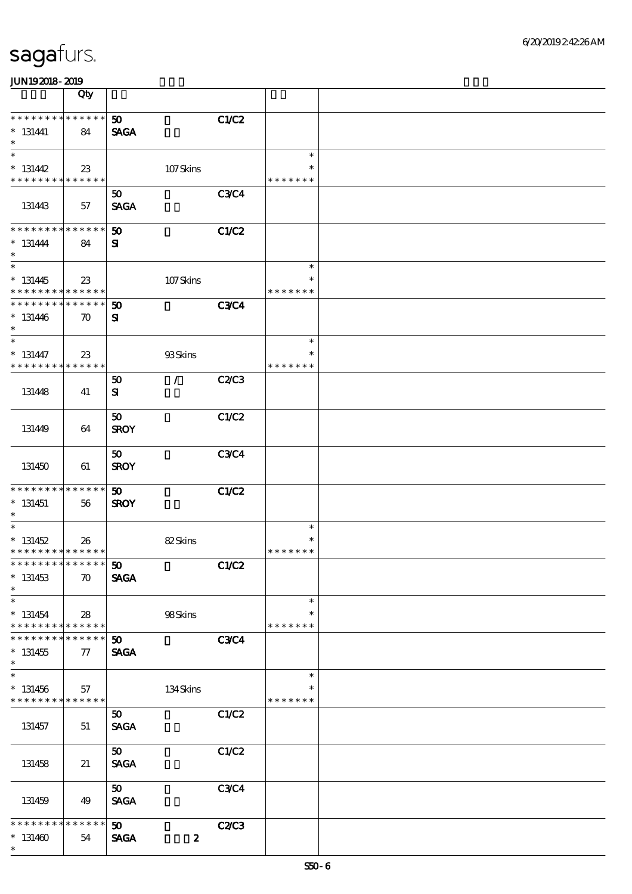|                                                                               | Qty                |                                            |                          |                                   |  |
|-------------------------------------------------------------------------------|--------------------|--------------------------------------------|--------------------------|-----------------------------------|--|
| * * * * * * * * * * * * * *<br>$* 131441$<br>$\ast$                           | 84                 | 50 <sub>o</sub><br><b>SAGA</b>             | C1/C2                    |                                   |  |
| $\overline{\ast}$<br>$* 131442$<br>* * * * * * * * <mark>* * * * * * *</mark> | 23                 |                                            | 107Skins                 | $\ast$<br>$\ast$<br>* * * * * * * |  |
| 131443                                                                        | 57                 | 50<br><b>SAGA</b>                          | <b>C3C4</b>              |                                   |  |
| * * * * * * * * * * * * * *<br>$* 131444$<br>$\ast$                           | 84                 | 50<br>${\bf s}$                            | C1/C2                    |                                   |  |
| $\overline{\phantom{0}}$<br>$* 131445$<br>* * * * * * * * * * * * * *         | 23                 |                                            | 107Skins                 | $\ast$<br>$\ast$<br>* * * * * * * |  |
| * * * * * * * * * * * * * *<br>$* 131446$<br>$\ast$                           | $\boldsymbol{\pi}$ | $\boldsymbol{\mathfrak{D}}$<br>${\bf s}$   | <b>C3C4</b>              |                                   |  |
| $\ast$<br>$* 131447$<br>* * * * * * * * * * * * * *                           | 23                 | 93Skins                                    |                          | $\ast$<br>$\ast$<br>* * * * * * * |  |
| 131448                                                                        | 41                 | $\mathcal{L}$<br>50<br>${\bf s}$           | <b>C2/C3</b>             |                                   |  |
| 131449                                                                        | 64                 | 50<br><b>SROY</b>                          | C1/C2                    |                                   |  |
| 131450                                                                        | 61                 | 50<br><b>SROY</b>                          | <b>C3C4</b>              |                                   |  |
| * * * * * * * * * * * * * *<br>$* 131451$<br>$*$                              | 56                 | $\boldsymbol{\mathfrak{D}}$<br><b>SROY</b> | C1/C2                    |                                   |  |
| $\overline{\ast}$<br>$* 131452$<br>* * * * * * * * * * * * * *                | 26                 | 82Skins                                    |                          | $\ast$<br>* * * * * * *           |  |
| *************** 50<br>$* 131453$<br>$\ast$                                    | $\boldsymbol{\pi}$ | <b>SAGA</b>                                | <b>C1/C2</b>             |                                   |  |
| $\ast$<br>$* 131454$<br>* * * * * * * * <mark>* * * * * * *</mark>            | 28                 | 98Skins                                    |                          | $\ast$<br>$\ast$<br>* * * * * * * |  |
| * * * * * * *<br>$^\ast$ 131455<br>$\ast$<br>$\ast$                           | * * * * * *<br>77  | 50 <sub>o</sub><br><b>SAGA</b>             | <b>C3C4</b>              |                                   |  |
| $* 131456$<br>* * * * * * * * <mark>* * * * * * *</mark>                      | 57                 |                                            | 134Skins                 | $\ast$<br>$\ast$<br>* * * * * * * |  |
| 131457                                                                        | 51                 | 50 <sub>o</sub><br><b>SAGA</b>             | C1/C2                    |                                   |  |
| 131458                                                                        | 21                 | 50 <sub>1</sub><br><b>SAGA</b>             | C1/C2                    |                                   |  |
| 131459                                                                        | 49                 | 50 <sub>o</sub><br><b>SAGA</b>             | C3C4                     |                                   |  |
| * * * * * * * *<br>$*131460$<br>$\ast$                                        | * * * * * *<br>54  | $\boldsymbol{\mathfrak{D}}$<br><b>SAGA</b> | C2C3<br>$\boldsymbol{z}$ |                                   |  |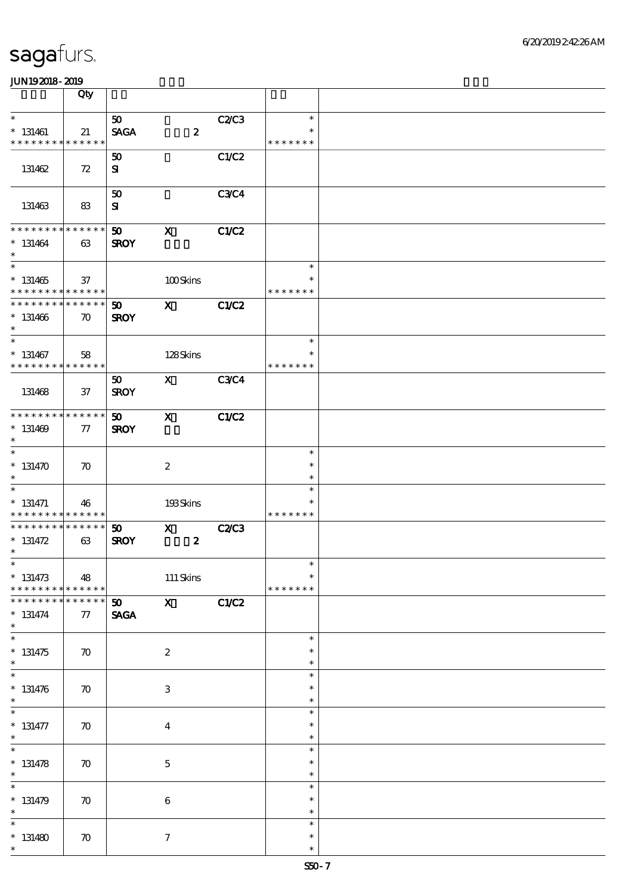|                               | Qty                |                             |                           |             |               |  |
|-------------------------------|--------------------|-----------------------------|---------------------------|-------------|---------------|--|
| $\ast$                        |                    | 50 <sub>o</sub>             |                           | C2C3        | $\ast$        |  |
|                               |                    |                             |                           |             | $\ast$        |  |
| $*$ 131461<br>* * * * * * * * | 21                 | <b>SAGA</b>                 | $\boldsymbol{z}$          |             |               |  |
|                               | * * * * * *        |                             |                           |             | * * * * * * * |  |
|                               |                    | 50                          |                           | C1/C2       |               |  |
| 131462                        | 72                 | ${\bf s}$                   |                           |             |               |  |
|                               |                    |                             |                           |             |               |  |
|                               |                    | 50                          |                           | <b>C3C4</b> |               |  |
| 131463                        | 83                 | ${\bf s}$                   |                           |             |               |  |
|                               |                    |                             |                           |             |               |  |
| * * * * * * * *               | * * * * * *        | 50                          | $\boldsymbol{\mathrm{X}}$ | C1/C2       |               |  |
| $* 131464$                    | 63                 | <b>SROY</b>                 |                           |             |               |  |
| $\ast$                        |                    |                             |                           |             |               |  |
| $\overline{\phantom{0}}$      |                    |                             |                           |             | $\ast$        |  |
| $* 131465$                    | 37                 |                             |                           |             | $\ast$        |  |
| * * * * * * * *               | * * * * * *        |                             | 100Skins                  |             | * * * * * * * |  |
| * * * * * * * *               |                    |                             |                           |             |               |  |
|                               | * * * * * *        | 50                          | $\mathbf{x}$              | C1/C2       |               |  |
| $* 131466$                    | $\boldsymbol{\pi}$ | <b>SROY</b>                 |                           |             |               |  |
| $\ast$                        |                    |                             |                           |             |               |  |
| $\ast$                        |                    |                             |                           |             | $\ast$        |  |
| $* 131467$                    | 58                 |                             | 128Skins                  |             | $\ast$        |  |
| * * * * * * * * * * * * * *   |                    |                             |                           |             | * * * * * * * |  |
|                               |                    | 50                          | $\mathbf{X}$              | <b>C3C4</b> |               |  |
| 131468                        | 37                 | <b>SROY</b>                 |                           |             |               |  |
|                               |                    |                             |                           |             |               |  |
| * * * * * * * *               | * * * * * *        | 50                          | $\mathbf x$               | C1/C2       |               |  |
| $* 131469$                    | 77                 | <b>SROY</b>                 |                           |             |               |  |
| $\ast$                        |                    |                             |                           |             |               |  |
| $\overline{\ast}$             |                    |                             |                           |             | $\ast$        |  |
| $* 131470$                    | $\boldsymbol{\pi}$ |                             | $\boldsymbol{2}$          |             | $\ast$        |  |
| $\ast$                        |                    |                             |                           |             | $\ast$        |  |
| $\overline{\phantom{0}}$      |                    |                             |                           |             | $\ast$        |  |
| $* 131471$                    |                    |                             |                           |             | ∗             |  |
| * * * * * * * *               | 46<br>* * * * * *  |                             | 193Skins                  |             | * * * * * * * |  |
| * * * * * * * *               | * * * * * *        |                             |                           |             |               |  |
|                               |                    | 50 <sub>o</sub>             | $\mathbf x$               | <b>C2C3</b> |               |  |
| $* 131472$<br>$\ast$          | 63                 | <b>SROY</b>                 | $\boldsymbol{2}$          |             |               |  |
|                               |                    |                             |                           |             |               |  |
| $*$                           |                    |                             |                           |             | $\ast$        |  |
| $* 131473$                    | 48                 |                             | $111$ Skins               |             | $\ast$        |  |
| * * * * * * * *               | * * * * * *        |                             |                           |             | * * * * * * * |  |
| * * * * * * *                 | * * * * * *        | $\boldsymbol{\mathfrak{D}}$ | $\mathbf{X}$              | C1/C2       |               |  |
| $* 131474$                    | 77                 | <b>SAGA</b>                 |                           |             |               |  |
| $\ast$                        |                    |                             |                           |             |               |  |
| $\overline{\ast}$             |                    |                             |                           |             | $\ast$        |  |
| $* 131475$                    | $\boldsymbol{\pi}$ |                             | $\boldsymbol{2}$          |             | $\ast$        |  |
| $\ast$                        |                    |                             |                           |             | $\ast$        |  |
| $\overline{\ast}$             |                    |                             |                           |             | $\ast$        |  |
| $* 131476$                    | $\boldsymbol{\pi}$ |                             | $\ensuremath{\mathbf{3}}$ |             | $\ast$        |  |
| $\ast$                        |                    |                             |                           |             | $\ast$        |  |
| $\overline{\phantom{0}}$      |                    |                             |                           |             | $\ast$        |  |
| $* 131477$                    | $\boldsymbol{\pi}$ |                             | $\boldsymbol{4}$          |             | $\ast$        |  |
| $\ast$                        |                    |                             |                           |             | $\ast$        |  |
| $\overline{\ast}$             |                    |                             |                           |             | $\ast$        |  |
| $* 131478$                    | $\boldsymbol{\pi}$ |                             | $\mathbf 5$               |             | $\ast$        |  |
| $\ast$                        |                    |                             |                           |             | $\ast$        |  |
| $\ast$                        |                    |                             |                           |             | $\ast$        |  |
|                               |                    |                             |                           |             |               |  |
| $* 131479$                    | $\boldsymbol{\pi}$ |                             | $\bf 6$                   |             | $\ast$        |  |
| $\ast$                        |                    |                             |                           |             | $\ast$        |  |
| $\ast$                        |                    |                             |                           |             | $\ast$        |  |
| $*131480$                     | $\boldsymbol{\pi}$ |                             | $\boldsymbol{7}$          |             | $\ast$        |  |
| $\ast$                        |                    |                             |                           |             | $\ast$        |  |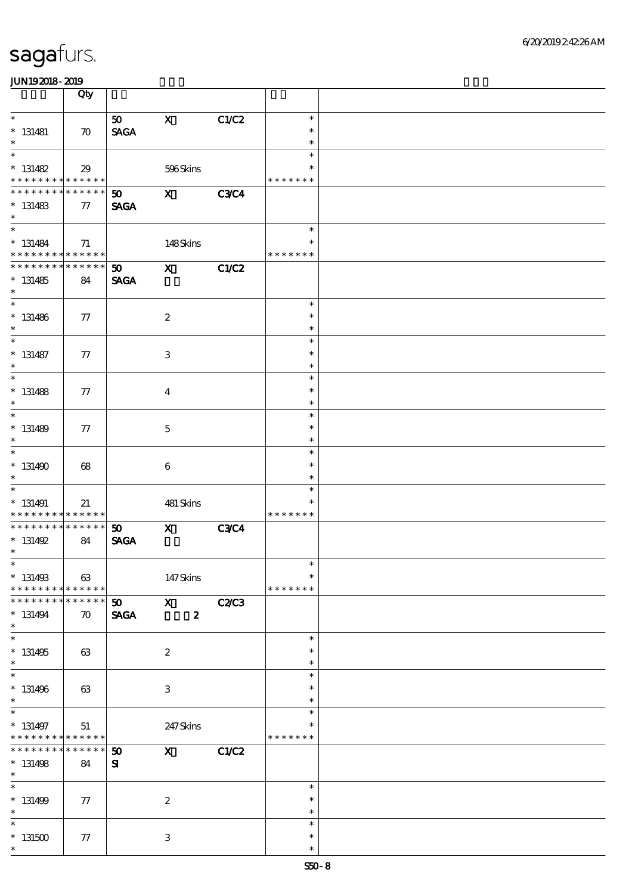|                                                                    | Qty                               |                                            |                                  |              |                                   |  |
|--------------------------------------------------------------------|-----------------------------------|--------------------------------------------|----------------------------------|--------------|-----------------------------------|--|
| $\ast$<br>$* 131481$<br>$\ast$                                     | $\boldsymbol{\pi}$                | 50<br><b>SAGA</b>                          | $\mathbf X$                      | C1/C2        | $\ast$<br>$\ast$<br>$\ast$        |  |
| $\ast$<br>$* 131482$<br>* * * * * * * * <mark>* * * * * *</mark>   | 29                                |                                            | 596Skins                         |              | $\ast$<br>$\ast$<br>* * * * * * * |  |
| * * * * * * * * * * * * * *<br>$* 131483$<br>$\ast$                | 77                                | 50 <sub>o</sub><br><b>SAGA</b>             | $\mathbf{x}$                     | <b>C3C4</b>  |                                   |  |
| $\overline{\ast}$<br>$* 131484$<br>* * * * * * * * * * * * * *     | 71                                |                                            | 148Skins                         |              | $\ast$<br>$\ast$<br>* * * * * * * |  |
| * * * * * * * * * * * * * * *<br>$* 131485$<br>$\ast$              | 84                                | $\boldsymbol{\mathfrak{w}}$<br><b>SAGA</b> | $\mathbf{x}$                     | C1/C2        |                                   |  |
| $\overline{\ast}$<br>$* 131486$<br>$\ast$                          | 77                                |                                            | $\boldsymbol{2}$                 |              | $\ast$<br>$\ast$<br>$\ast$        |  |
| $\ast$<br>$* 131487$<br>$\ast$                                     | 77                                |                                            | $\ensuremath{\mathbf{3}}$        |              | $\ast$<br>$\ast$<br>$\ast$        |  |
| $\overline{\ast}$<br>$* 131488$<br>$\ast$                          | 77                                |                                            | $\overline{\mathbf{4}}$          |              | $\ast$<br>$\ast$<br>$\ast$        |  |
| $\ast$<br>$* 131489$<br>$\ast$                                     | 77                                |                                            | $\mathbf 5$                      |              | $\ast$<br>$\ast$<br>$\ast$        |  |
| $\ast$<br>$*131490$<br>$\ast$                                      | 68                                |                                            | $\boldsymbol{6}$                 |              | $\ast$<br>$\ast$<br>$\ast$        |  |
| $\ast$<br>$* 131491$<br>* * * * * * * * <mark>* * * * * * *</mark> | 21                                |                                            | 481 Skins                        |              | $\ast$<br>$\ast$<br>* * * * * * * |  |
| ******** <mark>*******</mark><br>$* 131492$<br>$\ast$              | 84                                | 50<br><b>SAGA</b>                          | $\mathbf x$                      | <b>C3C4</b>  |                                   |  |
| $*$<br>$* 131493$<br>* * * * * * * * * * * * * *                   | 63                                |                                            | 147Skins                         |              | $\ast$<br>$\ast$<br>* * * * * * * |  |
| * * * * * * *<br>$* 131494$<br>$\ast$                              | * * * * * *<br>$\boldsymbol{\pi}$ | 50 <sub>2</sub><br><b>SAGA</b>             | $\mathbf{X}$<br>$\boldsymbol{z}$ | C2C3         |                                   |  |
| $\overline{\phantom{0}}$<br>$* 131495$<br>$\ast$                   | 63                                |                                            | $\boldsymbol{2}$                 |              | $\ast$<br>$\ast$<br>$\ast$        |  |
| $\ast$<br>$* 131496$<br>$\ast$                                     | 63                                |                                            | $\ensuremath{\mathbf{3}}$        |              | $\ast$<br>$\ast$<br>$\ast$        |  |
| $\ast$<br>$* 131497$<br>* * * * * * * *                            | 51<br>******                      |                                            | 247Skins                         |              | $\ast$<br>$\ast$<br>* * * * * * * |  |
| * * * * * * * *<br>$* 131498$<br>$\ast$                            | * * * * * *<br>84                 | 50<br>${\bf s}$                            | $\mathbf{x}$                     | <b>C1/C2</b> |                                   |  |
| $\ast$<br>$* 131499$<br>$\ast$                                     | 77                                |                                            | $\boldsymbol{2}$                 |              | $\ast$<br>$\ast$<br>$\ast$        |  |
| $\ast$<br>$^*$ 131500 $\,$<br>$\ast$                               | 77                                |                                            | 3                                |              | $\ast$<br>$\ast$<br>$\ast$        |  |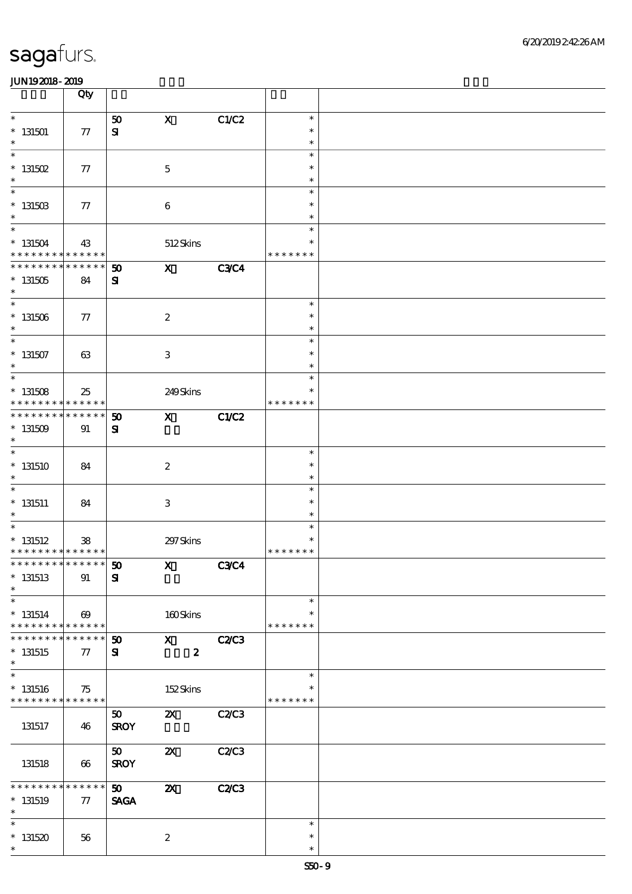|                                            | Qty                   |                 |                           |              |               |  |
|--------------------------------------------|-----------------------|-----------------|---------------------------|--------------|---------------|--|
| $\ast$                                     |                       | 50              | $\mathbf X$               | C1/C2        | $\ast$        |  |
| $*131501$                                  | 77                    | ${\bf s}$       |                           |              | $\ast$        |  |
| $\ast$                                     |                       |                 |                           |              | $\ast$        |  |
| $\ast$                                     |                       |                 |                           |              | $\ast$        |  |
|                                            |                       |                 |                           |              |               |  |
| $^*$ 131502 $\,$                           | 77                    |                 | $\mathbf 5$               |              | $\ast$        |  |
| $\ast$                                     |                       |                 |                           |              | $\ast$        |  |
| $\overline{\ast}$                          |                       |                 |                           |              | $\ast$        |  |
| $* 13150B$                                 | 77                    |                 | $\bf 6$                   |              | $\ast$        |  |
| $\ast$                                     |                       |                 |                           |              | $\ast$        |  |
| $\overline{\ast}$                          |                       |                 |                           |              | $\ast$        |  |
| $^*$ 131504 $\,$                           | 43                    |                 | 512Skins                  |              | $\ast$        |  |
| * * * * * * * *                            | * * * * * *           |                 |                           |              | * * * * * * * |  |
| * * * * * * * *                            | * * * * * *           | 50              | $\mathbf{x}$              | <b>C3C4</b>  |               |  |
| $* 131505$                                 | 84                    | ${\bf s}$       |                           |              |               |  |
| $\ast$                                     |                       |                 |                           |              |               |  |
|                                            |                       |                 |                           |              | $\ast$        |  |
|                                            |                       |                 |                           |              | $\ast$        |  |
| $^\ast$ 131506                             | 77                    |                 | $\boldsymbol{2}$          |              |               |  |
| $\ast$                                     |                       |                 |                           |              | $\ast$        |  |
| $\overline{\ast}$                          |                       |                 |                           |              | $\ast$        |  |
| $^\ast$ 131507                             | 63                    |                 | $\ensuremath{\mathbf{3}}$ |              | $\ast$        |  |
| $\ast$                                     |                       |                 |                           |              | $\ast$        |  |
| $\overline{\ast}$                          |                       |                 |                           |              | $\ast$        |  |
| $* 131508$                                 | 25                    |                 | 249Skins                  |              | $\ast$        |  |
| * * * * * * * *                            | * * * * * *           |                 |                           |              | * * * * * * * |  |
| * * * * * * * *                            | $******$              | 50              | $\mathbf{x}$              | C1/C2        |               |  |
| $* 131509$                                 | 91                    | ${\bf s}$       |                           |              |               |  |
| $\ast$                                     |                       |                 |                           |              |               |  |
| $\overline{\ast}$                          |                       |                 |                           |              | $\ast$        |  |
| $*131510$                                  | 84                    |                 | $\boldsymbol{2}$          |              | $\ast$        |  |
| $\ast$                                     |                       |                 |                           |              | $\ast$        |  |
| $\overline{\phantom{0}}$                   |                       |                 |                           |              | $\ast$        |  |
|                                            |                       |                 |                           |              |               |  |
| $* 131511$                                 | 84                    |                 | $\ensuremath{\mathbf{3}}$ |              | $\ast$        |  |
| $\ast$                                     |                       |                 |                           |              | $\ast$        |  |
| $\ast$                                     |                       |                 |                           |              | $\ast$        |  |
| $*$ 131512                                 | 38                    |                 | 297 Skins                 |              |               |  |
| * * * * * * * * * * * * * *                |                       |                 |                           |              | * * * * * * * |  |
| **************** 50                        |                       |                 | $\mathbf{x}$              | <b>C3C4</b>  |               |  |
| $*$ 131513                                 | 91                    | ${\bf S}$       |                           |              |               |  |
| $\ast$                                     |                       |                 |                           |              |               |  |
| $\ast$                                     |                       |                 |                           |              | $\ast$        |  |
| $* 131514$                                 | $\boldsymbol{\omega}$ |                 | 160Skins                  |              | $\ast$        |  |
| * * * * * * * *                            | $* * * * * * *$       |                 |                           |              | * * * * * * * |  |
|                                            | * * * * * *           | 50              | $\mathbf{X}$              | <b>C2/C3</b> |               |  |
| $*131515$                                  | 77                    | ${\bf s}$       | $\boldsymbol{z}$          |              |               |  |
| $\ast$                                     |                       |                 |                           |              |               |  |
| $\overline{\ast}$                          |                       |                 |                           |              | $\ast$        |  |
|                                            |                       |                 |                           |              | ∗             |  |
| $* 131516$                                 | 75                    |                 | 152Skins                  |              |               |  |
| * * * * * * * * <mark>* * * * * * *</mark> |                       |                 |                           |              | * * * * * * * |  |
|                                            |                       | 50 <sub>o</sub> | $\boldsymbol{\mathsf{Z}}$ | C2C3         |               |  |
| 131517                                     | 46                    | <b>SROY</b>     |                           |              |               |  |
|                                            |                       |                 |                           |              |               |  |
|                                            |                       | 50 <sub>o</sub> | $\boldsymbol{\mathsf{z}}$ | C2/C3        |               |  |
| 131518                                     | 66                    | <b>SROY</b>     |                           |              |               |  |
|                                            |                       |                 |                           |              |               |  |
| * * * * * * *                              | * * * * * *           | 50 <sub>2</sub> | $\boldsymbol{\mathsf{z}}$ | <b>C2/C3</b> |               |  |
| $*$ 131519                                 | 77                    | <b>SAGA</b>     |                           |              |               |  |
| $\ast$                                     |                       |                 |                           |              |               |  |
| $\ast$                                     |                       |                 |                           |              | $\ast$        |  |
| $*131520$                                  | 56                    |                 | $\boldsymbol{2}$          |              | $\ast$        |  |
| $\ast$                                     |                       |                 |                           |              | $\ast$        |  |
|                                            |                       |                 |                           |              |               |  |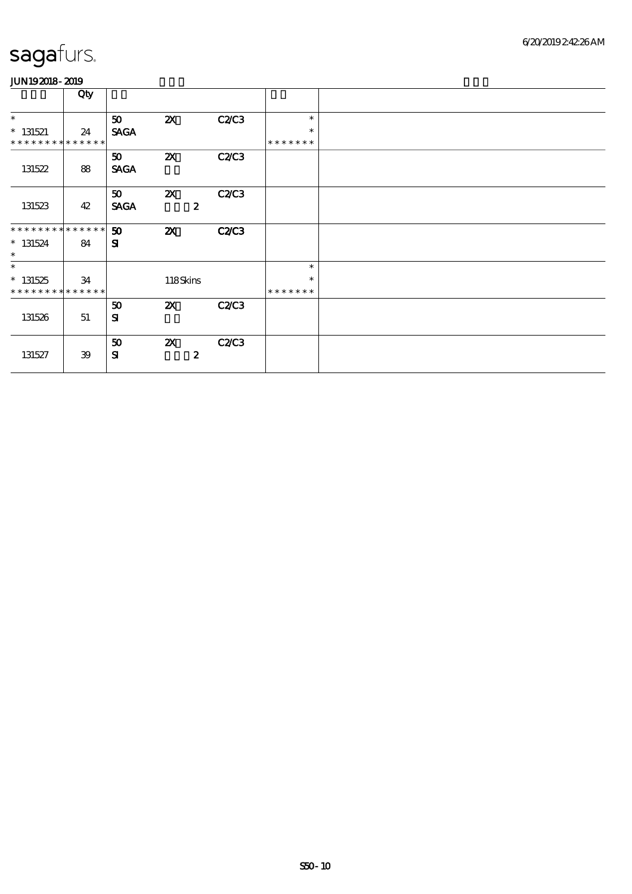|                             | Qty |             |                           |              |               |  |
|-----------------------------|-----|-------------|---------------------------|--------------|---------------|--|
| $\ast$                      |     | 50          | $\boldsymbol{\mathsf{X}}$ | C2C3         | $\ast$        |  |
| $* 131521$                  | 24  | <b>SAGA</b> |                           |              | $\ast$        |  |
| * * * * * * * * * * * * * * |     |             |                           |              | * * * * * * * |  |
|                             |     | 50          | $\boldsymbol{\mathsf{X}}$ | C2C3         |               |  |
| 131522                      | 88  | <b>SAGA</b> |                           |              |               |  |
|                             |     |             |                           |              |               |  |
|                             |     | 50          | $\boldsymbol{\mathsf{Z}}$ | C2C3         |               |  |
| 131523                      | 42  | <b>SAGA</b> | $\boldsymbol{z}$          |              |               |  |
|                             |     |             |                           |              |               |  |
| * * * * * * * * * * * * * * |     | 50          | $\boldsymbol{\mathsf{z}}$ | <b>C2/C3</b> |               |  |
| $* 131524$                  | 84  | ${\bf s}$   |                           |              |               |  |
| $\ast$                      |     |             |                           |              |               |  |
| $\ast$                      |     |             |                           |              | $\ast$        |  |
| $* 131525$                  | 34  |             | 118Skins                  |              | $\ast$        |  |
| * * * * * * * * * * * * * * |     |             |                           |              | * * * * * * * |  |
|                             |     | 50          | $\boldsymbol{\alpha}$     | <b>C2/C3</b> |               |  |
| 131526                      | 51  | ${\bf s}$   |                           |              |               |  |
|                             |     |             |                           |              |               |  |
|                             |     | 50          | $\boldsymbol{\mathsf{Z}}$ | C2C3         |               |  |
| 131527                      | 39  | ${\bf s}$   | $\boldsymbol{z}$          |              |               |  |
|                             |     |             |                           |              |               |  |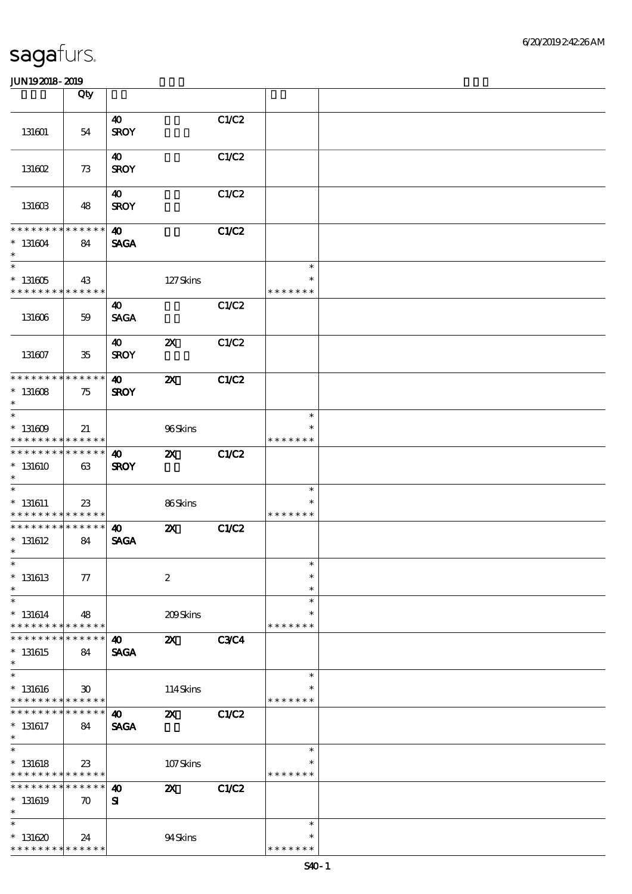|                                                                             | Qty                               |                                      |                           |              |                                   |  |
|-----------------------------------------------------------------------------|-----------------------------------|--------------------------------------|---------------------------|--------------|-----------------------------------|--|
| 131601                                                                      | 54                                | $\boldsymbol{\omega}$<br><b>SROY</b> |                           | C1/C2        |                                   |  |
| 131602                                                                      | 73                                | 40<br><b>SROY</b>                    |                           | C1/C2        |                                   |  |
| 131603                                                                      | 48                                | 40<br><b>SROY</b>                    |                           | C1/C2        |                                   |  |
| * * * * * * * *<br>$* 131604$<br>$\ast$                                     | * * * * * *<br>84                 | 40<br><b>SAGA</b>                    |                           | <b>C1/C2</b> |                                   |  |
| $\overline{\phantom{0}}$<br>$^\ast$ 131605<br>* * * * * * * *               | 43<br>* * * * * *                 |                                      | 127Skins                  |              | $\ast$<br>$\ast$<br>* * * * * * * |  |
| 131606                                                                      | 59                                | $\boldsymbol{\omega}$<br><b>SAGA</b> |                           | C1/C2        |                                   |  |
| 131607                                                                      | $35\,$                            | $\boldsymbol{\omega}$<br><b>SROY</b> | $\boldsymbol{\mathsf{Z}}$ | C1/C2        |                                   |  |
| * * * * * * * * * * * * * *<br>$*131608$<br>$\ast$                          | 75                                | $\boldsymbol{\omega}$<br><b>SROY</b> | $\boldsymbol{\mathsf{z}}$ | <b>C1/C2</b> |                                   |  |
| $\ast$<br>$*131609$<br>* * * * * * * *                                      | 21<br>* * * * * *                 |                                      | 96Skins                   |              | $\ast$<br>* * * * * * *           |  |
| * * * * * * * *<br>$*131610$<br>$\ast$                                      | * * * * * *<br>63                 | $\boldsymbol{\omega}$<br><b>SROY</b> | $\boldsymbol{\mathsf{z}}$ | <b>C1/C2</b> |                                   |  |
| $\overline{\phantom{0}}$<br>$* 131611$<br>* * * * * * * *                   | 23<br>* * * * * *                 |                                      | 86Skins                   |              | $\ast$<br>$\ast$<br>* * * * * * * |  |
| * * * * * * * *<br>$*$ 131612<br>$\ast$                                     | * * * * * *<br>84                 | $\boldsymbol{\omega}$<br><b>SAGA</b> | $\boldsymbol{\mathsf{z}}$ | C1/C2        |                                   |  |
| $*$<br>$*$ 131613<br>$\ast$                                                 | $77\,$                            |                                      | $\boldsymbol{2}$          |              | $\ast$<br>$\ast$<br>$\ast$        |  |
| $\ast$<br>$* 131614$<br>* * * * * * * *                                     | 48<br>* * * * * *                 |                                      | 209Skins                  |              | $\ast$<br>$\ast$<br>* * * * * * * |  |
| $*131615$<br>$\ast$                                                         | * * * * * *<br>84                 | $\boldsymbol{\omega}$<br><b>SAGA</b> | $\boldsymbol{\mathsf{z}}$ | <b>C3C4</b>  |                                   |  |
| $\ast$<br>$* 131616$<br>* * * * * * * * <mark>* * * * * *</mark>            | 30                                |                                      | 114Skins                  |              | $\ast$<br>$\ast$<br>* * * * * * * |  |
| * * * * * * *<br>$*131617$<br>$\ast$                                        | * * * * * *<br>84                 | $\boldsymbol{\omega}$<br><b>SAGA</b> | $\boldsymbol{\mathsf{z}}$ | <b>C1/C2</b> |                                   |  |
| $\overline{\ast}$<br>$*$ 131618<br>* * * * * * * * <mark>* * * * * *</mark> | 23                                |                                      | 107Skins                  |              | $\ast$<br>* * * * * * *           |  |
| * * * * * * *<br>$*$ 131619<br>$\ast$                                       | * * * * * *<br>$\boldsymbol{\pi}$ | $\boldsymbol{\omega}$<br>${\bf s}$   | $\boldsymbol{\mathsf{z}}$ | <b>C1/C2</b> |                                   |  |
| $\ast$<br>$*131620$<br>* * * * * * * * <mark>* * * * * *</mark>             | 24                                |                                      | 94Skins                   |              | $\ast$<br>$\ast$<br>* * * * * * * |  |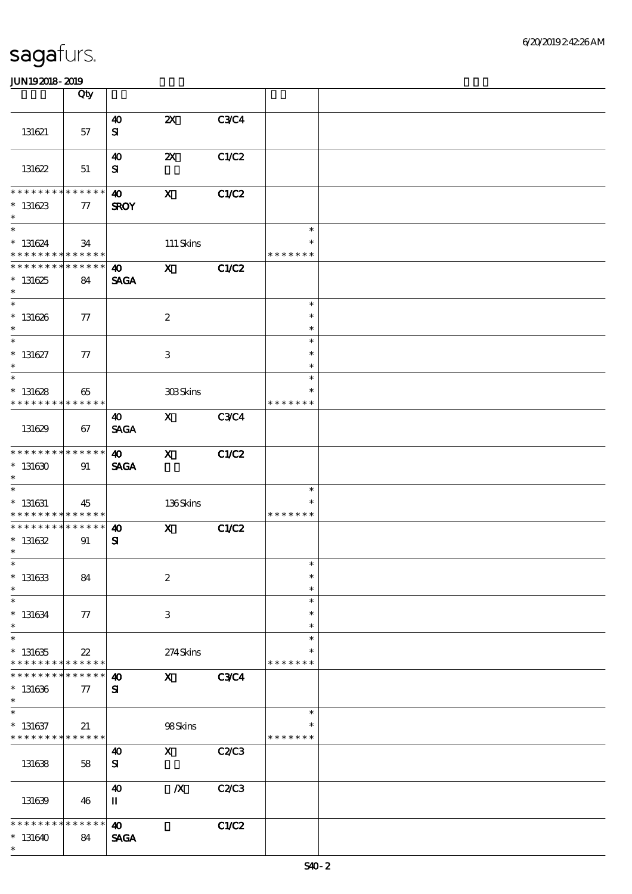|                                                                    | Qty                              |                                      |                           |              |                                   |  |
|--------------------------------------------------------------------|----------------------------------|--------------------------------------|---------------------------|--------------|-----------------------------------|--|
| 131621                                                             | 57                               | $\boldsymbol{\omega}$<br>${\bf s}$   | $\boldsymbol{\mathsf{Z}}$ | <b>C3C4</b>  |                                   |  |
| 131622                                                             | 51                               | $\boldsymbol{\omega}$<br>${\bf s}$   | $\boldsymbol{\mathsf{z}}$ | C1/C2        |                                   |  |
| * * * * * * * *<br>$*131623$<br>$\ast$                             | * * * * * *<br>77                | $\boldsymbol{\omega}$<br><b>SROY</b> | $\mathbf{X}$              | C1/C2        |                                   |  |
| $\overline{\ast}$<br>$* 131624$<br>* * * * * * * * * * * * * *     | 34                               |                                      | $111$ Skins               |              | $\ast$<br>$\ast$<br>* * * * * * * |  |
| * * * * * * * * * * * * * *<br>$*131625$<br>$\ast$                 | 84                               | $\boldsymbol{\Phi}$<br><b>SAGA</b>   | $\mathbf{X}$              | C1/C2        |                                   |  |
| $\ast$<br>$* 131626$<br>$\ast$                                     | 77                               |                                      | $\boldsymbol{2}$          |              | $\ast$<br>$\ast$<br>$\ast$        |  |
| $\ast$<br>$* 131627$<br>$\ast$                                     | 77                               |                                      | 3                         |              | $\ast$<br>$\ast$<br>$\ast$        |  |
| $\overline{\ast}$<br>$* 131628$<br>* * * * * * * *                 | 65<br>$\ast\ast\ast\ast\ast\ast$ |                                      | 308Skins                  |              | $\ast$<br>$\ast$<br>* * * * * * * |  |
| 131629                                                             | 67                               | 40<br><b>SAGA</b>                    | $\mathbf{X}$              | <b>C3C4</b>  |                                   |  |
| * * * * * * * * * * * * * *<br>$*131630$<br>$\ast$                 | 91                               | $\boldsymbol{\omega}$<br><b>SAGA</b> | $\mathbf{x}$              | C1/C2        |                                   |  |
| $\ast$<br>$* 131631$<br>* * * * * * * * * * * * * *                | 45                               |                                      | 136Skins                  |              | $\ast$<br>$\ast$<br>* * * * * * * |  |
| * * * * * * * * * * * * * * *<br>$* 131632$<br>$\ast$              | 91                               | $\boldsymbol{\omega}$<br>${\bf s}$   | $\mathbf{x}$              | C1/C2        |                                   |  |
| $*$<br>$* 131633$<br>$\ast$                                        | 84                               |                                      | $\boldsymbol{2}$          |              | $\ast$<br>$\ast$<br>$\ast$        |  |
| $\ast$<br>$* 131634$<br>$\ast$                                     | 77                               |                                      | 3                         |              | $\ast$<br>$\ast$<br>$\ast$        |  |
| $\ast$<br>$*131635$<br>* * * * * * * * * * * * * *                 | $22\,$                           |                                      | 274Skins                  |              | $\ast$<br>* * * * * * *           |  |
| * * * * * * *<br>$* 131636$<br>$\ast$                              | * * * * * *<br>$\tau$            | 40<br>${\bf s}$                      | $\mathbf{x}$              | C3C4         |                                   |  |
| $\ast$<br>$* 131637$<br>* * * * * * * * <mark>* * * * * *</mark> * | 21                               |                                      | 98Skins                   |              | $\ast$<br>*<br>* * * * * * *      |  |
| 131638                                                             | 58                               | $\boldsymbol{\omega}$<br>${\bf s}$   | $\mathbf{x}$              | <b>C2/C3</b> |                                   |  |
| 131639                                                             | 46                               | 40<br>$\mathbf I$                    | $\boldsymbol{X}$          | C2/C3        |                                   |  |
| * * * * * * *<br>$*131640$<br>$\ast$                               | * * * * * *<br>84                | $\boldsymbol{\omega}$<br><b>SAGA</b> |                           | C1/C2        |                                   |  |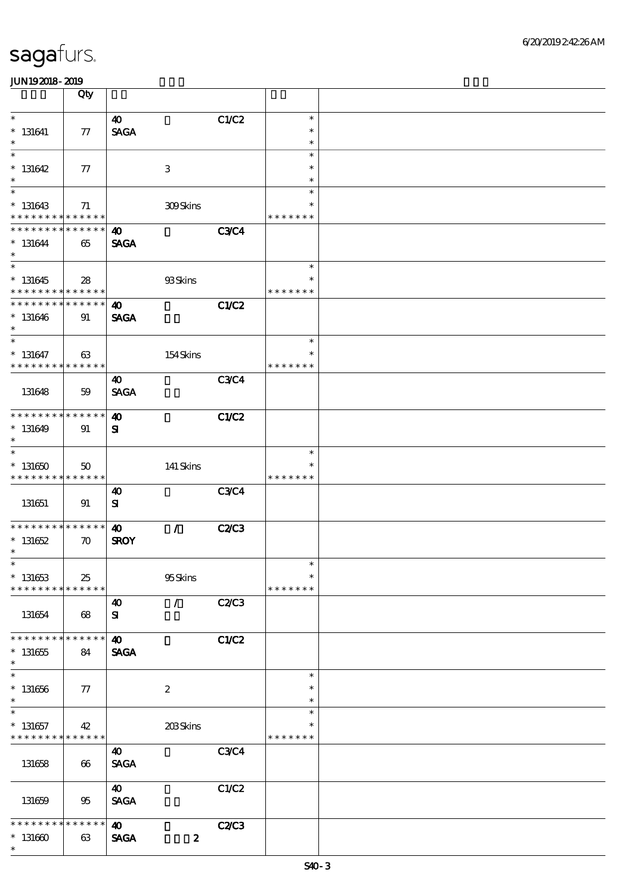|                                                  | Qty                                             |                                                       |                          |                                   |  |
|--------------------------------------------------|-------------------------------------------------|-------------------------------------------------------|--------------------------|-----------------------------------|--|
| $\ast$<br>$^*$ 131641                            | ${\bf \pi}$                                     | $\boldsymbol{\omega}$<br><b>SAGA</b>                  | C1/C2                    | $\ast$<br>$\ast$                  |  |
| $\ast$                                           |                                                 |                                                       |                          | $\ast$                            |  |
| $\ast$<br>$* 131642$<br>$\ast$                   | 77                                              | 3                                                     |                          | $\ast$<br>$\ast$<br>$\ast$        |  |
| $\ast$<br>$*131643$<br>* * * * * * * *           | 71                                              | 309Skins                                              |                          | $\ast$<br>$\ast$                  |  |
| * * * * * * *<br>$* 131644$<br>$\ast$            | $\ast\ast\ast\ast\ast\ast$<br>* * * * * *<br>65 | $\boldsymbol{\omega}$<br><b>SAGA</b>                  | <b>C3C4</b>              | * * * * * * *                     |  |
| $\overline{\ast}$<br>$* 131645$                  | 28                                              | 93Skins                                               |                          | $\ast$<br>$\ast$                  |  |
| * * * * * * * *<br>* * * * * * * *<br>$* 131646$ | * * * * * *<br>$\ast\ast\ast\ast\ast\ast$<br>91 | $\boldsymbol{\omega}$<br><b>SAGA</b>                  | <b>C1/C2</b>             | * * * * * * *                     |  |
| $\ast$<br>$\ast$<br>$* 131647$                   | 63                                              | 154Skins                                              |                          | $\ast$<br>$\ast$                  |  |
| * * * * * * * *<br>131648                        | * * * * * *<br>59                               | 40<br><b>SAGA</b>                                     | <b>C3C4</b>              | * * * * * * *                     |  |
| * * * * * * * *<br>$*131649$                     | $* * * * * * *$<br>91                           | $\boldsymbol{\omega}$<br>${\bf s}$                    | <b>C1/C2</b>             |                                   |  |
| $\ast$<br>$\ast$<br>$*131650$                    | $50^{\circ}$                                    | $141$ Skins                                           |                          | $\ast$<br>$\ast$                  |  |
| * * * * * * * *                                  | * * * * * *                                     |                                                       |                          | * * * * * * *                     |  |
| 131651                                           | 91                                              | 40<br>${\bf s}$                                       | <b>C3C4</b>              |                                   |  |
| * * * * * * * *<br>$* 131652$<br>$\ast$          | ******<br>$\boldsymbol{\pi}$                    | $\mathcal{L}$<br>$\boldsymbol{\omega}$<br><b>SROY</b> | <b>C2/C3</b>             |                                   |  |
| $\ast$<br>$* 131653$<br>* * * * * * * *          | 25<br>* * * * * *                               | $95S$ kins                                            |                          | $\ast$<br>$\ast$<br>* * * * * * * |  |
| 131654                                           | 68                                              | $\mathcal{L}$<br>$\boldsymbol{\omega}$<br>${\bf s}$   | C2/C3                    |                                   |  |
| * * * * * * * *<br>$* 131655$<br>$\ast$          | * * * * * *<br>84                               | $\boldsymbol{\omega}$<br><b>SAGA</b>                  | <b>C1/C2</b>             |                                   |  |
| $\ast$<br>$^*$ 131656 $\,$<br>$\ast$             | 77                                              | $\boldsymbol{2}$                                      |                          | $\ast$<br>$\ast$<br>$\ast$        |  |
| $\ast$<br>$* 131657$<br>* * * * * * * *          | 42<br>* * * * * *                               | 203Skins                                              |                          | $\ast$<br>$\ast$<br>* * * * * * * |  |
| 131658                                           | 66                                              | 40<br><b>SAGA</b>                                     | <b>C3C4</b>              |                                   |  |
| 131659                                           | 95                                              | 40<br><b>SAGA</b>                                     | C1/C2                    |                                   |  |
| * * * * *<br>$*131600$<br>$\ast$                 | * * * * * *<br>63                               | $\boldsymbol{\omega}$<br><b>SAGA</b>                  | C2C3<br>$\boldsymbol{z}$ |                                   |  |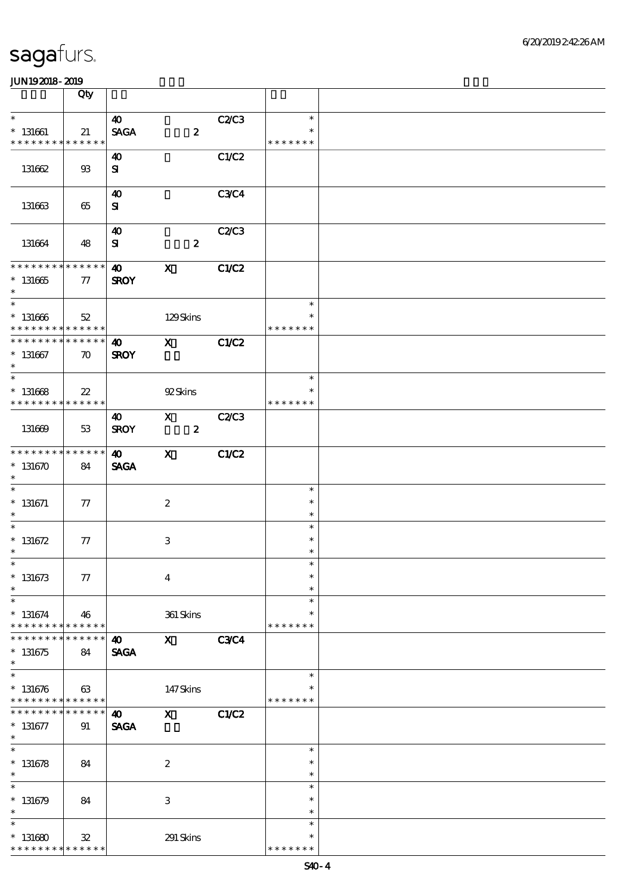|                                             | Qty                            |                       |                           |              |               |  |
|---------------------------------------------|--------------------------------|-----------------------|---------------------------|--------------|---------------|--|
| $\ast$                                      |                                | 40                    |                           | C2C3         | $\ast$        |  |
| $*$ 131661                                  | 21                             | <b>SAGA</b>           | $\boldsymbol{z}$          |              |               |  |
| * * * * * * * *                             | * * * * * *                    |                       |                           |              | * * * * * * * |  |
|                                             |                                | 40                    |                           | C1/C2        |               |  |
| 131662                                      | $\mathfrak{B}$                 | ${\bf s}$             |                           |              |               |  |
|                                             |                                |                       |                           |              |               |  |
|                                             |                                | $\boldsymbol{\omega}$ |                           | <b>C3C4</b>  |               |  |
| 131663                                      | 65                             | ${\bf s}$             |                           |              |               |  |
|                                             |                                |                       |                           |              |               |  |
|                                             |                                | $\boldsymbol{\omega}$ |                           | <b>C2/C3</b> |               |  |
| 131664                                      | 48                             | ${\bf s}$             | $\boldsymbol{z}$          |              |               |  |
|                                             |                                |                       |                           |              |               |  |
| **************                              |                                | $\boldsymbol{\omega}$ | $\mathbf{x}$              | C1/C2        |               |  |
| $^\ast$ 131665                              | 77                             | <b>SROY</b>           |                           |              |               |  |
| $*$                                         |                                |                       |                           |              |               |  |
|                                             |                                |                       |                           |              | $\ast$        |  |
| $* 131666$                                  | $52\,$                         |                       | 129Skins                  |              | $\ast$        |  |
| * * * * * * * * * * * * * * *               |                                |                       |                           |              | * * * * * * * |  |
| * * * * * * * * * * * * * * *               |                                | $\boldsymbol{\omega}$ | $\mathbf{X}$              | C1/C2        |               |  |
| $* 131667$                                  | $\boldsymbol{\pi}$             | <b>SROY</b>           |                           |              |               |  |
| $\ast$<br>$\overline{\ast}$                 |                                |                       |                           |              | $\ast$        |  |
|                                             |                                |                       |                           |              | $\ast$        |  |
| $* 131668$<br>* * * * * * * * * * * * * * * | $22\,$                         |                       | 92Skins                   |              | * * * * * * * |  |
|                                             |                                | 40                    | $\mathbf{X}$              | C2C3         |               |  |
| 131669                                      | 53                             | <b>SROY</b>           | $\boldsymbol{z}$          |              |               |  |
|                                             |                                |                       |                           |              |               |  |
| * * * * * * * *                             | ******                         | $\boldsymbol{\omega}$ | $\mathbf{x}$              | C1/C2        |               |  |
| $*131670$                                   | 84                             | <b>SAGA</b>           |                           |              |               |  |
| $\ast$                                      |                                |                       |                           |              |               |  |
| $\overline{\phantom{0}}$                    |                                |                       |                           |              | $\ast$        |  |
| $*$ 131671                                  | 77                             |                       | $\boldsymbol{2}$          |              | $\ast$        |  |
| $\ast$                                      |                                |                       |                           |              | $\ast$        |  |
| $\ast$                                      |                                |                       |                           |              | $\ast$        |  |
| $* 131672$                                  | $77\,$                         |                       | $\,3\,$                   |              | $\ast$        |  |
| $\ast$                                      |                                |                       |                           |              | $\ast$        |  |
| $*$                                         |                                |                       |                           |              | $\ast$        |  |
| $* 131673$                                  | $77\,$                         |                       | $\boldsymbol{4}$          |              | $\ast$        |  |
| $\ast$                                      |                                |                       |                           |              | $\ast$        |  |
| $\ast$                                      |                                |                       |                           |              | $\ast$        |  |
| $* 131674$                                  | 46                             |                       | 361 Skins                 |              | $\ast$        |  |
| * * * * * * * *                             | $* * * * * * *$<br>* * * * * * |                       |                           |              | * * * * * * * |  |
| $*131675$                                   | 84                             | $\boldsymbol{\omega}$ | $\mathbf x$               | <b>C3C4</b>  |               |  |
| $\ast$                                      |                                | <b>SAGA</b>           |                           |              |               |  |
| $\overline{\ast}$                           |                                |                       |                           |              | $\ast$        |  |
| $* 131676$                                  | 63                             |                       | 147Skins                  |              | $\ast$        |  |
| * * * * * * * * * * * * * *                 |                                |                       |                           |              | * * * * * * * |  |
| * * * * * * *                               | * * * * * *                    | $\boldsymbol{\omega}$ | $\boldsymbol{\mathsf{X}}$ | <b>C1/C2</b> |               |  |
| $* 131677$                                  | 91                             | <b>SAGA</b>           |                           |              |               |  |
| $\ast$                                      |                                |                       |                           |              |               |  |
| $\overline{\ast}$                           |                                |                       |                           |              | $\ast$        |  |
| $* 131678$                                  | 84                             |                       | $\boldsymbol{2}$          |              | $\ast$        |  |
| $\ast$                                      |                                |                       |                           |              | $\ast$        |  |
| $\ast$                                      |                                |                       |                           |              | $\ast$        |  |
| $* 131679$                                  | 84                             |                       | $\,3\,$                   |              | $\ast$        |  |
| $\ast$                                      |                                |                       |                           |              | $\ast$        |  |
| $\ast$                                      |                                |                       |                           |              | $\ast$        |  |
| $*131680$                                   | ${\bf 3\!2}$                   |                       | 291 Skins                 |              | $\ast$        |  |
| * * * * * * * *                             | * * * * * *                    |                       |                           |              | * * * * * * * |  |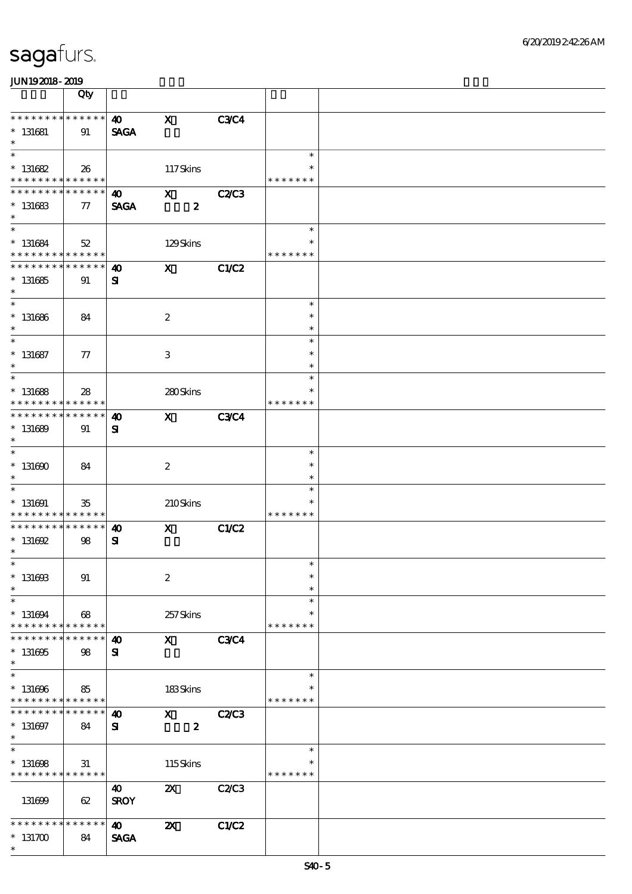|                                                                    | Qty                 |                                      |                                               |              |                                      |  |
|--------------------------------------------------------------------|---------------------|--------------------------------------|-----------------------------------------------|--------------|--------------------------------------|--|
| * * * * * * * *<br>$* 131681$<br>$\ast$                            | ******<br>91        | $\boldsymbol{\omega}$<br><b>SAGA</b> | $\boldsymbol{\mathrm{X}}$                     | <b>C3C4</b>  |                                      |  |
| $\ast$<br>$* 131682$<br>* * * * * * * * <mark>* * * * * * *</mark> | 26                  |                                      | 117Skins                                      |              | $\ast$<br>$\ast$<br>* * * * * * *    |  |
| * * * * * * *<br>$* 131683$<br>$\ast$                              | * * * * * *<br>77   | $\boldsymbol{\omega}$<br><b>SAGA</b> | $\boldsymbol{\mathsf{X}}$<br>$\boldsymbol{z}$ | <b>C2/C3</b> |                                      |  |
| $\overline{\ast}$<br>$* 131684$<br>* * * * * * * * * * * * * *     | 52                  |                                      | 129Skins                                      |              | $\ast$<br>* * * * * * *              |  |
| * * * * * * * *<br>$*131685$<br>$\ast$                             | * * * * * *<br>91   | $\boldsymbol{\omega}$<br>${\bf s}$   | $\mathbf{x}$                                  | C1/C2        |                                      |  |
| $\overline{\ast}$<br>$* 131686$<br>$\ast$                          | 84                  |                                      | $\boldsymbol{z}$                              |              | $\ast$<br>$\ast$<br>$\ast$           |  |
| $\ast$<br>$* 131687$<br>$\ast$<br>$\ast$                           | 77                  |                                      | $\,3$                                         |              | $\ast$<br>$\ast$<br>$\ast$<br>$\ast$ |  |
| $* 131688$<br>* * * * * * * *                                      | 28<br>* * * * * *   |                                      | 280Skins                                      |              | $\ast$<br>* * * * * * *              |  |
| * * * * * * *<br>$* 131689$<br>$\ast$<br>$\overline{\ast}$         | * * * * * *  <br>91 | $\boldsymbol{\omega}$<br>${\bf s}$   | $\mathbf{x}$                                  | <b>C3C4</b>  |                                      |  |
| $* 131600$<br>$\ast$<br>$\overline{\ast}$                          | 84                  |                                      | $\boldsymbol{2}$                              |              | $\ast$<br>$\ast$<br>$\ast$           |  |
| $* 131691$<br>* * * * * * * *                                      | 35<br>* * * * * *   |                                      | 210Skins                                      |              | $\ast$<br>$\ast$<br>* * * * * * *    |  |
| * * * * * * * *<br>$^*$ 131692<br>$\ast$                           | * * * * * *<br>98   | $\boldsymbol{\omega}$<br>${\bf s}$   | $\mathbf x$                                   | C1/C2        |                                      |  |
| $\ast$<br>$^*$ 131693<br>$\ast$                                    | 91                  |                                      | $\boldsymbol{2}$                              |              | $\ast$<br>$\ast$<br>$\ast$           |  |
| $\ast$<br>$* 131694$<br>* * * * * * * *                            | 68<br>* * * * * *   |                                      | 257Skins                                      |              | $\ast$<br>$\ast$<br>* * * * * * *    |  |
| $*131695$<br>$\ast$<br>$\ast$                                      | * * * * * *<br>98   | $\boldsymbol{\omega}$<br>${\bf s}$   | $\mathbf{x}$                                  | <b>C3C4</b>  |                                      |  |
| $* 131606$<br>* * * * * * * * * * * * * *                          | 85                  |                                      | 183Skins                                      |              | $\ast$<br>∗<br>* * * * * * *         |  |
| * * * * * * *<br>$* 131697$<br>$\ast$<br>$\overline{\ast}$         | * * * * * *<br>84   | $\boldsymbol{\omega}$<br>${\bf s}$   | $\mathbf{x}$<br>$\pmb{2}$                     | <b>C2/C3</b> | $\ast$                               |  |
| $* 131608$<br>* * * * * * * *                                      | 31<br>* * * * * *   |                                      | 115Skins                                      |              | * * * * * * *                        |  |
| 131699                                                             | 62                  | 40<br><b>SROY</b>                    | $\boldsymbol{\mathsf{z}}$                     | C2C3         |                                      |  |
| * * * * * * * *<br>$*131700$<br>$\ast$                             | * * * * * *<br>84   | $\boldsymbol{\omega}$<br><b>SAGA</b> | $\boldsymbol{\mathsf{z}}$                     | C1/C2        |                                      |  |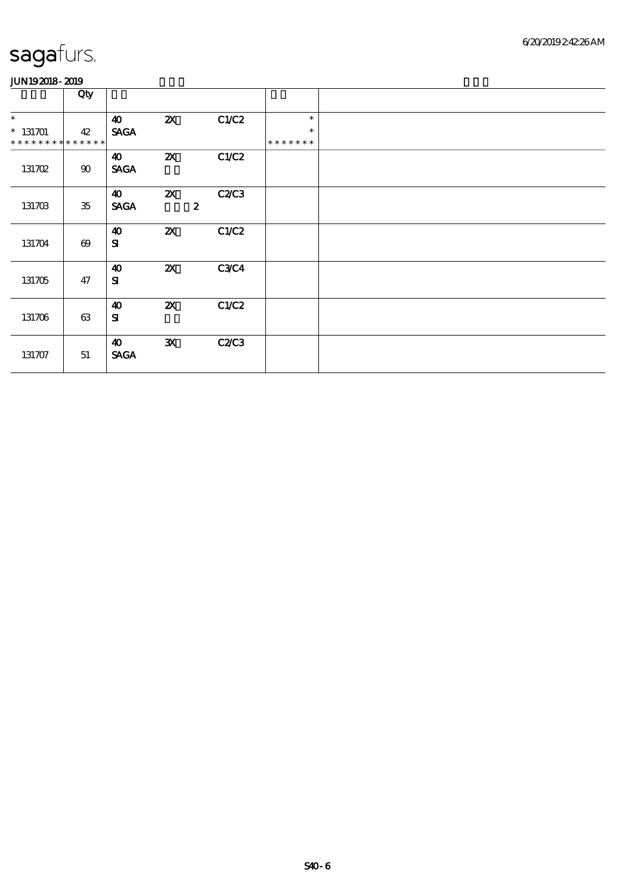|                                           | Qty                   |                                      |                           |                          |                         |  |
|-------------------------------------------|-----------------------|--------------------------------------|---------------------------|--------------------------|-------------------------|--|
| $\ast$                                    |                       | 40                                   | $\boldsymbol{\mathsf{Z}}$ | C1/C2                    | $\ast$                  |  |
| $* 131701$<br>* * * * * * * * * * * * * * | 42                    | <b>SAGA</b>                          |                           |                          | $\ast$<br>* * * * * * * |  |
| 131702                                    | 90                    | $\boldsymbol{\omega}$<br><b>SAGA</b> | $\boldsymbol{\mathsf{X}}$ | C1/C2                    |                         |  |
| 131703                                    | $35\,$                | $\boldsymbol{\omega}$<br><b>SAGA</b> | $\boldsymbol{\alpha}$     | C2C3<br>$\boldsymbol{z}$ |                         |  |
| 131704                                    | $\boldsymbol{\Theta}$ | $\boldsymbol{\omega}$<br>${\bf S}$   | $\boldsymbol{\mathsf{z}}$ | C1/C2                    |                         |  |
| 131705                                    | 47                    | $\boldsymbol{\omega}$<br>${\bf S}$   | $\boldsymbol{\mathsf{X}}$ | <b>C3C4</b>              |                         |  |
| 131706                                    | 63                    | $\boldsymbol{\omega}$<br>${\bf s}$   | $\boldsymbol{\mathsf{X}}$ | C1/C2                    |                         |  |
| 131707                                    | 51                    | $\boldsymbol{\omega}$<br><b>SAGA</b> | ${\bf x}$                 | <b>C2/C3</b>             |                         |  |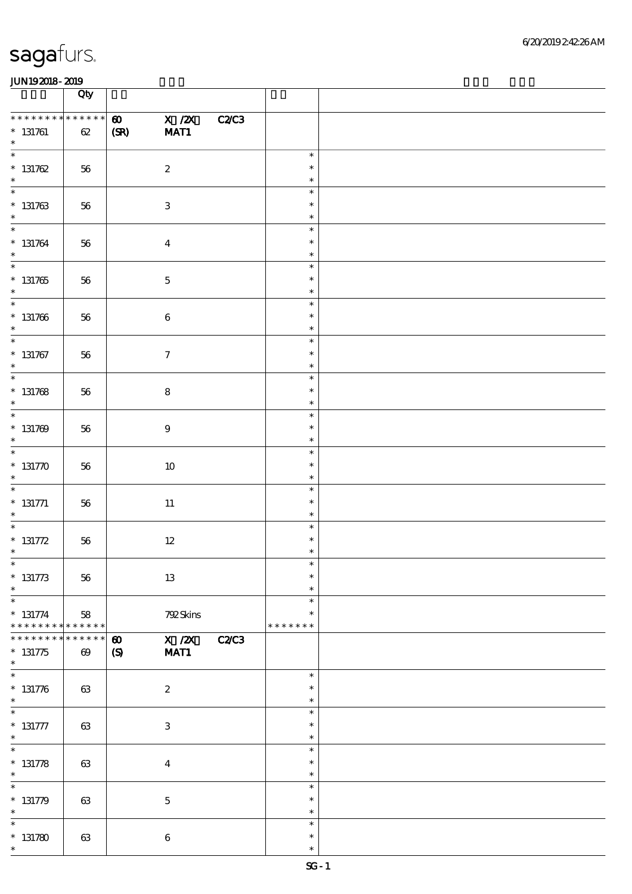|                                                     | Qty                                  |                                           |                            |              |                                   |  |
|-----------------------------------------------------|--------------------------------------|-------------------------------------------|----------------------------|--------------|-----------------------------------|--|
| * * * * * * * * * * * * * *<br>$* 131761$<br>$\ast$ | $62\,$                               | $\boldsymbol{\omega}$<br>(SR)             | $X$ / $ZX$<br>MAT1         | <b>C2C3</b>  |                                   |  |
| $\overline{\ast}$<br>$* 131762$<br>$\ast$           | 56                                   |                                           | $\boldsymbol{2}$           |              | $\ast$<br>$\ast$<br>$\ast$        |  |
| $* 131763$<br>$\ast$                                | $5\!6$                               |                                           | $\ensuremath{\mathbf{3}}$  |              | $\ast$<br>$\ast$<br>$\ast$        |  |
| $\overline{\phantom{0}}$<br>$* 131764$<br>$\ast$    | 56                                   |                                           | $\boldsymbol{4}$           |              | $\ast$<br>$\ast$<br>$\ast$        |  |
| $\overline{\phantom{0}}$<br>$* 131765$<br>$\ast$    | 56                                   |                                           | $\mathbf 5$                |              | $\ast$<br>$\ast$<br>$\ast$        |  |
| $\overline{\phantom{0}}$<br>$* 131766$<br>$\ast$    | 56                                   |                                           | $\bf 6$                    |              | $\ast$<br>$\ast$<br>$\ast$        |  |
| $\overline{\phantom{0}}$<br>$* 131767$<br>$\ast$    | 56                                   |                                           | $\tau$                     |              | $\ast$<br>$\ast$<br>$\ast$        |  |
| $\overline{\phantom{0}}$<br>$* 131768$<br>$\ast$    | 56                                   |                                           | ${\bf 8}$                  |              | $\ast$<br>$\ast$<br>$\ast$        |  |
| $\overline{\phantom{0}}$<br>$* 131769$<br>$\ast$    | $5\!6$                               |                                           | $9\,$                      |              | $\ast$<br>$\ast$<br>$\ast$        |  |
| $\ast$<br>$* 131770$<br>$\ast$                      | 56                                   |                                           | $10\,$                     |              | $\ast$<br>$\ast$<br>$\ast$        |  |
| $\overline{\ast}$<br>$* 131771$<br>$\ast$           | 56                                   |                                           | $11\,$                     |              | $\ast$<br>$\ast$<br>$\ast$        |  |
| $\ast$<br>* 131772<br>$\ast$                        | $5\!6$                               |                                           | $12\,$                     |              | $\ast$<br>$\ast$<br>$\ast$        |  |
| $\ast$<br>$* 131773$<br>$\ast$                      | 56                                   |                                           | 13                         |              | $\ast$<br>$\ast$<br>$\ast$        |  |
| $\ast$<br>$* 131774$<br>* * * * * * * *             | 58<br>$******$                       |                                           | 792Skins                   |              | $\ast$<br>$\ast$<br>* * * * * * * |  |
| * * * * * * *<br>$* 131775$<br>$\ast$               | * * * * * *<br>$\boldsymbol{\omega}$ | $\boldsymbol{\omega}$<br>$\boldsymbol{S}$ | $\overline{X}$ /2X<br>MAT1 | <b>C2/C3</b> |                                   |  |
| $\ast$<br>$* 131776$<br>$\ast$                      | 63                                   |                                           | $\boldsymbol{2}$           |              | $\ast$<br>$\ast$<br>$\ast$        |  |
| $\ast$<br>$* 131777$<br>$\ast$                      | 63                                   |                                           | $\ensuremath{\mathbf{3}}$  |              | $\ast$<br>$\ast$<br>$\ast$        |  |
| $\ast$<br>$* 131778$<br>$\ast$                      | 63                                   |                                           | $\boldsymbol{4}$           |              | $\ast$<br>$\ast$<br>$\ast$        |  |
| $\ast$<br>$* 131779$<br>$\ast$                      | 63                                   |                                           | $\bf 5$                    |              | $\ast$<br>$\ast$<br>$\ast$        |  |
| $\ast$<br>$* 131780$<br>$\ast$                      | 63                                   |                                           | $\boldsymbol{6}$           |              | $\ast$<br>$\ast$<br>$\ast$        |  |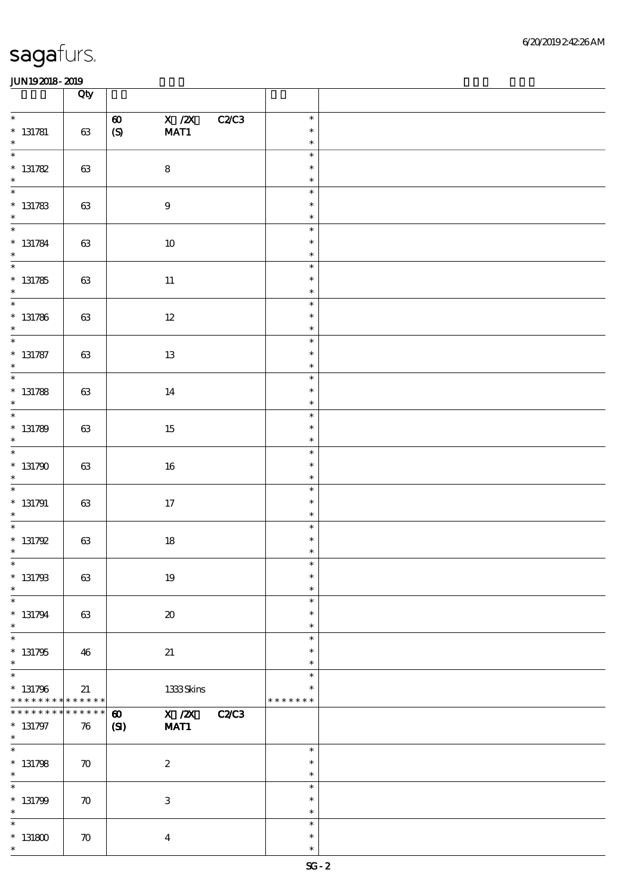|                                                     | Qty                |                                                                           |                                   |  |
|-----------------------------------------------------|--------------------|---------------------------------------------------------------------------|-----------------------------------|--|
| $\ast$<br>$* 131781$<br>$\ast$                      | $63\,$             | $X$ / $ZX$<br>C2C3<br>$\boldsymbol{\omega}$<br>$\pmb{\text{(S)}}$<br>MAT1 | $\ast$<br>$\ast$<br>$\ast$        |  |
| $\overline{\phantom{0}}$<br>$* 131782$<br>$\ast$    | $63\,$             | $\bf 8$                                                                   | $\ast$<br>$\ast$<br>$\ast$        |  |
| $* 131783$<br>$\ast$                                | $63\,$             | $\boldsymbol{9}$                                                          | $\ast$<br>$\ast$<br>$\ast$        |  |
| $\overline{\phantom{a}^*}$<br>$* 131784$<br>$\ast$  | 63                 | $10\,$                                                                    | $\ast$<br>$\ast$<br>$\ast$        |  |
| $\overline{\phantom{a}^*}$<br>$* 131785$<br>$\ast$  | 63                 | $11\,$                                                                    | $\ast$<br>$\ast$<br>$\ast$        |  |
| $\overline{\phantom{0}}$<br>$* 131786$<br>$\ast$    | 63                 | $12\,$                                                                    | $\ast$<br>$\ast$<br>$\ast$        |  |
| $\overline{\phantom{0}}$<br>$* 131787$<br>$\ast$    | $63\,$             | $13\,$                                                                    | $\ast$<br>$\ast$<br>$\ast$        |  |
| $\overline{\phantom{a}^*}$<br>$* 131788$<br>$\ast$  | 63                 | 14                                                                        | $\ast$<br>$\ast$<br>$\ast$        |  |
| $\overline{\phantom{0}}$<br>$* 131789$<br>$\ast$    | $63\,$             | 15                                                                        | $\ast$<br>$\ast$<br>$\ast$        |  |
| $\overline{\ast}$<br>$*131790$<br>$\ast$            | $63\,$             | $16\,$                                                                    | $\ast$<br>$\ast$<br>$\ast$        |  |
| $\overline{\phantom{0}}$<br>$*$ 131791<br>$\ast$    | 63                 | 17                                                                        | $\ast$<br>$\ast$<br>$\ast$        |  |
| $\overline{\ast}$<br>$* 131792$<br>$\ast$           | $63\,$             | $18\,$                                                                    | $\ast$<br>$\ast$<br>$\ast$        |  |
| $*$<br>$* 131793$<br>$\ast$                         | 63                 | $19\,$                                                                    | $\ast$<br>$\ast$<br>$\ast$        |  |
| $\ast$<br>$* 131794$<br>$\ast$                      | 63                 | $\boldsymbol{\mathfrak{D}}$                                               | $\ast$<br>$\ast$<br>$\ast$        |  |
| $\ast$<br>$* 131795$<br>$\ast$                      | 46                 | 21                                                                        | $\ast$<br>$\ast$<br>$\ast$        |  |
| $\ast$<br>$* 131796$<br>* * * * * * * * * * * * * * | 21                 | $1333$ Skins                                                              | $\ast$<br>$\ast$<br>* * * * * * * |  |
| * * * * * * *<br>$* 131797$<br>$\ast$               | * * * * * *<br>76  | X / ZX<br>$\boldsymbol{\omega}$<br><b>C2/C3</b><br>MAT1<br>$\mathbf{C}$   |                                   |  |
| $\overline{\ast}$<br>$* 131798$<br>$\ast$           | $\boldsymbol{\pi}$ | $\boldsymbol{2}$                                                          | $\ast$<br>$\ast$<br>$\ast$        |  |
| $\ast$<br>$* 131799$<br>$\ast$                      | $\boldsymbol{\pi}$ | $\ensuremath{\mathbf{3}}$                                                 | $\ast$<br>$\ast$<br>$\ast$        |  |
| $\ast$<br>$^\ast$ 131800<br>$\ast$                  | $\boldsymbol{\pi}$ | $\boldsymbol{4}$                                                          | $\ast$<br>$\ast$<br>$\ast$        |  |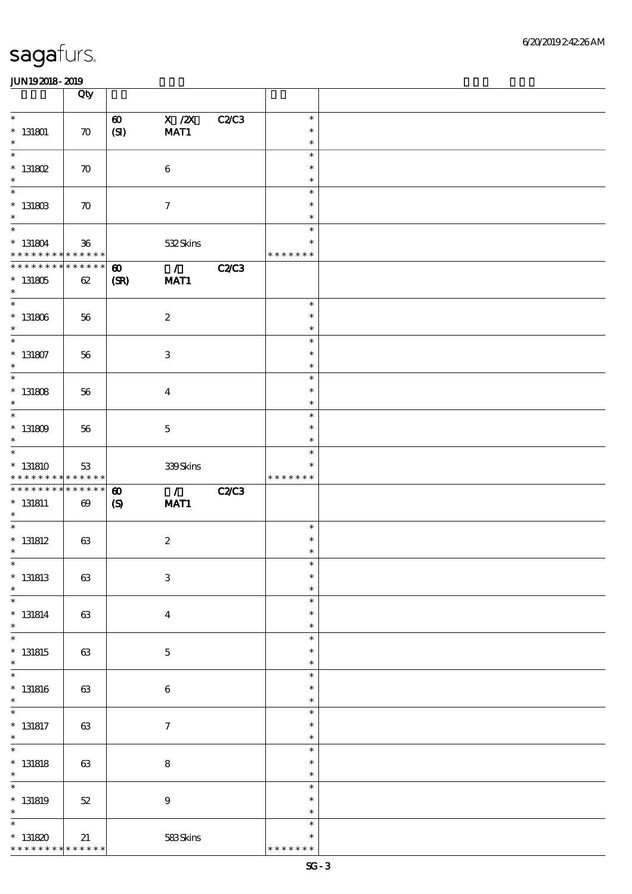|                                                                | Qty                               |                                                     |                                  |              |                                   |  |
|----------------------------------------------------------------|-----------------------------------|-----------------------------------------------------|----------------------------------|--------------|-----------------------------------|--|
| $\ast$<br>$*$ 131801<br>$\ast$                                 | $\boldsymbol{\pi}$                | $\boldsymbol{\omega}$<br>(SI)                       | $X$ / $ZX$<br>MAT1               | <b>C2/C3</b> | $\ast$<br>$\ast$<br>$\ast$        |  |
| $\overline{\ast}$<br>$^*$ 131802<br>$\ast$                     | $\boldsymbol{\pi}$                |                                                     | $\boldsymbol{6}$                 |              | $\ast$<br>$\ast$<br>$\ast$        |  |
| $\overline{\ast}$<br>$^*$ 131803<br>$\ast$                     | $\boldsymbol{\pi}$                |                                                     | $\boldsymbol{\tau}$              |              | $\ast$<br>$\ast$<br>$\ast$        |  |
| $\overline{\ast}$<br>$* 131804$<br>* * * * * * * * * * * * * * | $36\,$                            |                                                     | 532Skins                         |              | $\ast$<br>$\ast$<br>* * * * * * * |  |
| **************<br>$^\ast$ 131805<br>$\ast$                     | 62                                | $\boldsymbol{\omega}$<br>(SR)                       | $\overline{1}$<br>MAT1           | <b>C2/C3</b> |                                   |  |
| $*$<br>$^\ast$ 131806<br>$\ast$                                | 56                                |                                                     | $\boldsymbol{2}$                 |              | $\ast$<br>$\ast$<br>$\ast$        |  |
| $\ast$<br>$* 131807$<br>$\ast$                                 | 56                                |                                                     | $\ensuremath{\mathbf{3}}$        |              | $\ast$<br>$\ast$<br>$\ast$        |  |
| $\overline{\ast}$<br>$^*$ 131808<br>$\ast$                     | 56                                |                                                     | $\bf{4}$                         |              | $\ast$<br>$\ast$<br>$\ast$        |  |
| $\overline{\ast}$<br>$^*$ 131809 $\,$<br>$\ast$                | 56                                |                                                     | $\mathbf 5$                      |              | $\ast$<br>$\ast$<br>$\ast$        |  |
| $\overline{\ast}$<br>$*$ 131810                                | 53<br>* * * * * * * * * * * * * * |                                                     | 339Skins                         |              | $\ast$<br>$\ast$<br>* * * * * * * |  |
|                                                                |                                   |                                                     |                                  |              |                                   |  |
| * * * * * * * * * * * * * *<br>$* 131811$<br>$\ast$            | $\boldsymbol{\omega}$             | $\boldsymbol{\omega}$<br>$\boldsymbol{\mathcal{S}}$ | $\overline{\phantom{a}}$<br>MAT1 | <b>C2/C3</b> |                                   |  |
| $\ast$<br>$*$ 131812<br>$\ast$                                 | 63                                |                                                     | $\boldsymbol{2}$                 |              | $\ast$<br>$\ast$<br>$\ast$        |  |
| $*$<br>$*$ 131813<br>$\ast$                                    | $63\,$                            |                                                     | $\ensuremath{\mathbf{3}}$        |              | $\ast$<br>$\ast$<br>$\ast$        |  |
| $\ast$<br>$* 131814$<br>$\ast$                                 | 63                                |                                                     | $\boldsymbol{4}$                 |              | $\ast$<br>$\ast$<br>$\ast$        |  |
| $\overline{\ast}$<br>$*$ 131815<br>$\ast$                      | 63                                |                                                     | $\bf 5$                          |              | $\ast$<br>$\ast$<br>$\ast$        |  |
| $\ast$<br>$*$ 131816<br>$\ast$                                 | $63\,$                            |                                                     | $\,6\,$                          |              | $\ast$<br>$\ast$<br>$\ast$        |  |
| $\overline{\phantom{a}^*}$<br>$*$ 131817<br>$\ast$             | 63                                |                                                     | $\boldsymbol{7}$                 |              | $\ast$<br>$\ast$<br>$\ast$        |  |
| $\overline{\ast}$<br>$*$ 131818<br>$\ast$                      | 63                                |                                                     | $\bf 8$                          |              | $\ast$<br>$\ast$<br>$\ast$        |  |
| $\ast$<br>$*$ 131819<br>$\ast$                                 | $5\!2$                            |                                                     | $\boldsymbol{9}$                 |              | $\ast$<br>$\ast$<br>$\ast$        |  |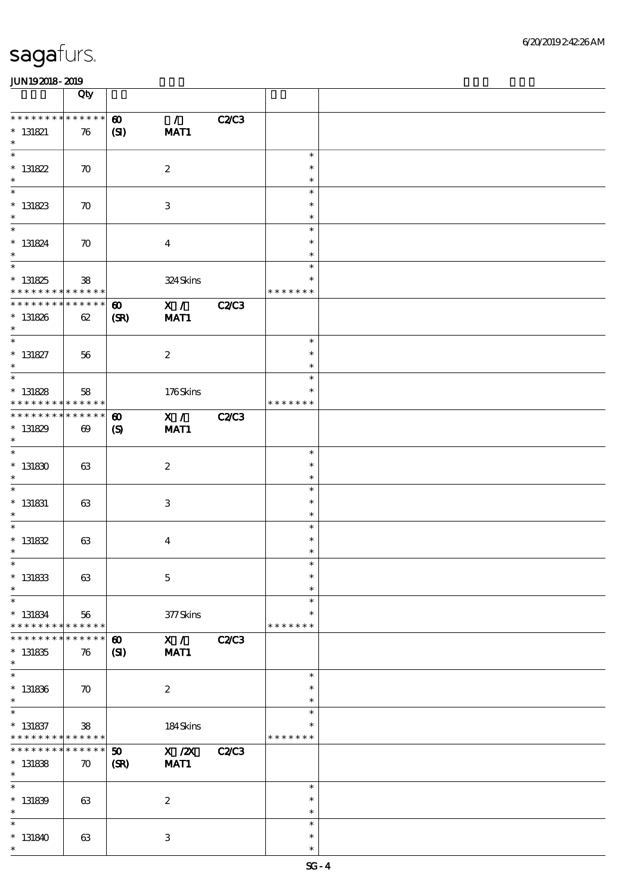|                                                                                      | Qty                               |                                        |                            |              |                                   |  |
|--------------------------------------------------------------------------------------|-----------------------------------|----------------------------------------|----------------------------|--------------|-----------------------------------|--|
| * * * * * * * * * * * * * *<br>$*$ 131821<br>$\ast$                                  | 76                                | $\boldsymbol{\omega}$<br>(S)           | $\mathcal{L}$<br>MAT1      | <b>C2/C3</b> |                                   |  |
| $\overline{\ast}$<br>$* 131822$<br>$\ast$                                            | $\boldsymbol{\pi}$                |                                        | $\boldsymbol{2}$           |              | $\ast$<br>$\ast$<br>$\ast$        |  |
| $\overline{\phantom{0}}$<br>$* 131823$<br>$\ast$                                     | $\boldsymbol{\pi}$                |                                        | $\,3$                      |              | $\ast$<br>$\ast$<br>$\ast$        |  |
| $\overline{\ast}$<br>$* 131824$<br>$\ast$                                            | $\boldsymbol{\pi}$                |                                        | $\boldsymbol{4}$           |              | $\ast$<br>$\ast$<br>$\ast$        |  |
| $\overline{\phantom{0}}$<br>$* 131825$<br>* * * * * * * * * * * * * *                | ${\bf 38}$                        |                                        | 324 Skins                  |              | $\ast$<br>$\ast$<br>* * * * * * * |  |
| * * * * * * * * * * * * * *<br>$* 131826$<br>$\ast$                                  | 62                                | $\boldsymbol{\omega}$<br>(SR)          | $\mathbf{X}$ /<br>MAT1     | <b>C2/C3</b> |                                   |  |
| $\ast$<br>$* 131827$<br>$\ast$                                                       | 56                                |                                        | $\boldsymbol{2}$           |              | $\ast$<br>$\ast$<br>$\ast$        |  |
| $\overline{\phantom{0}}$<br>$* 131828$<br>* * * * * * * * <mark>* * * * * * *</mark> | 58                                |                                        | 176Skins                   |              | $\ast$<br>$\ast$<br>* * * * * * * |  |
| * * * * * * * * * * * * * *<br>$* 131829$<br>$\ast$                                  | $\boldsymbol{\omega}$             | $\boldsymbol{\omega}$<br>$\mathcal{S}$ | $\mathbf{X}$ /<br>MAT1     | <b>C2C3</b>  |                                   |  |
| $\overline{\ast}$<br>$^\ast$ 131830<br>$\ast$                                        | 63                                |                                        | $\boldsymbol{2}$           |              | $\ast$<br>$\ast$<br>$\ast$        |  |
| $\ast$<br>$*$ 131831<br>$\ast$                                                       | 63                                |                                        | $\,3$                      |              | $\ast$<br>$\ast$<br>$\ast$        |  |
| $\ast$<br>$* 131832$<br>$\ast$                                                       | 63                                |                                        | $\boldsymbol{4}$           |              | $\ast$<br>$\ast$<br>$\ast$        |  |
| $*$<br>$*$ 131833<br>$\ast$                                                          | 63                                |                                        | $\mathbf 5$                |              | $\ast$<br>$\ast$<br>$\ast$        |  |
| $\ast$<br>$*$ 131834<br>* * * * * * * * <mark>* * * * * * *</mark>                   | 56                                |                                        | $377$ Skins                |              | $\ast$<br>$\ast$<br>* * * * * * * |  |
| * * * * * * *<br>$* 131835$<br>$\ast$                                                | * * * * * *<br>76                 | $\boldsymbol{\omega}$<br>$\mathbf{S}$  | X /<br>MAT1                | <b>C2/C3</b> |                                   |  |
| $\ast$<br>$* 131836$<br>$\ast$                                                       | $\boldsymbol{\pi}$                |                                        | $\boldsymbol{2}$           |              | $\ast$<br>$\ast$<br>$\ast$        |  |
| $\overline{\phantom{a}^*}$<br>$*$ 131837<br>* * * * * * * * <mark>* * * * * *</mark> | ${\bf 38}$                        |                                        | 184Skins                   |              | $\ast$<br>$\ast$<br>* * * * * * * |  |
| * * * * * * * *<br>$* 131838$<br>$\ast$                                              | * * * * * *<br>$\boldsymbol{\pi}$ | 50<br>(SR)                             | $\overline{X}$ /2X<br>MAT1 | <b>C2/C3</b> |                                   |  |
| $\ast$<br>$* 131839$<br>$\ast$                                                       | 63                                |                                        | $\boldsymbol{2}$           |              | $\ast$<br>$\ast$<br>$\ast$        |  |
| $\ast$<br>$*131840$<br>$\ast$                                                        | 63                                |                                        | $\,3$                      |              | $\ast$<br>$\ast$<br>$\ast$        |  |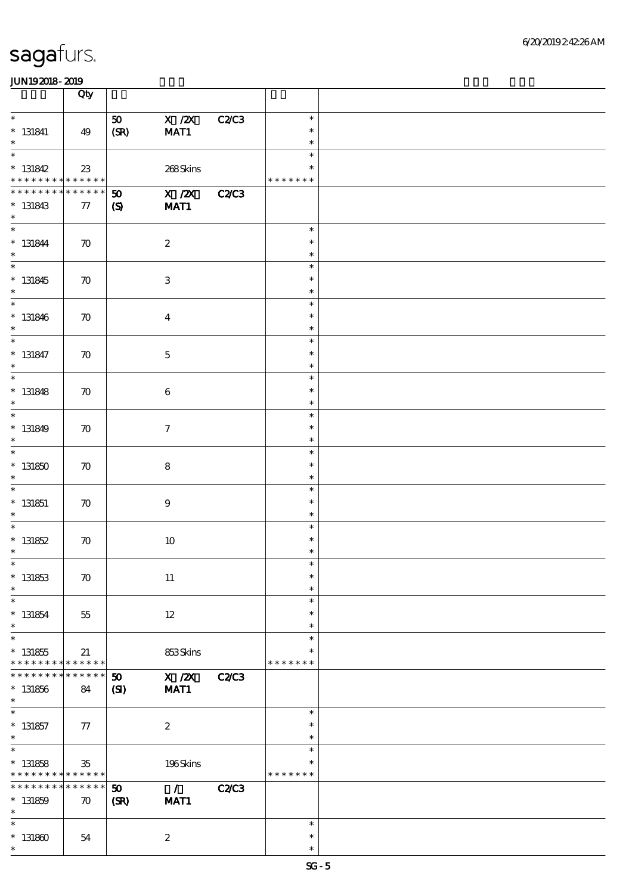|                                                                    | Qty                               |                                                                             |              |                                   |  |
|--------------------------------------------------------------------|-----------------------------------|-----------------------------------------------------------------------------|--------------|-----------------------------------|--|
| $\ast$<br>$* 131841$<br>$\ast$                                     | 49                                | $\overline{X}$ /2X<br>50<br>MAT1<br>(SR)                                    | <b>C2/C3</b> | $\ast$<br>$\ast$<br>$\ast$        |  |
| $\ast$<br>$* 131842$<br>* * * * * * * * <mark>* * * * * * *</mark> | $23\,$                            | 268Skins                                                                    |              | $\ast$<br>$\ast$<br>* * * * * * * |  |
| * * * * * * *<br>$* 131843$<br>$\ast$                              | * * * * * *<br>77                 | X / ZX<br>$\boldsymbol{\mathfrak{D}}$<br>MAT1<br>$\boldsymbol{\mathcal{S}}$ | <b>C2/C3</b> |                                   |  |
| $\overline{\ast}$<br>$* 131844$<br>$\ast$                          | $\boldsymbol{\pi}$                | $\boldsymbol{2}$                                                            |              | $\ast$<br>$\ast$<br>$\ast$        |  |
| $\overline{\phantom{0}}$<br>$* 131845$<br>$\ast$                   | $\boldsymbol{\pi}$                | $\,3$                                                                       |              | $\ast$<br>$\ast$<br>$\ast$        |  |
| $\ast$<br>$* 131846$<br>$\ast$                                     | $\boldsymbol{\pi}$                | $\boldsymbol{4}$                                                            |              | $\ast$<br>$\ast$<br>$\ast$        |  |
| $\ast$<br>$* 131847$<br>$\ast$                                     | $\boldsymbol{\pi}$                | $\mathbf 5$                                                                 |              | $\ast$<br>$\ast$<br>$\ast$        |  |
| $\ast$<br>$* 131848$<br>$\ast$                                     | $\boldsymbol{\pi}$                | 6                                                                           |              | $\ast$<br>$\ast$<br>$\ast$        |  |
| $\ast$<br>$* 131849$<br>$\ast$                                     | $\boldsymbol{\pi}$                | $\boldsymbol{\tau}$                                                         |              | $\ast$<br>$\ast$<br>$\ast$        |  |
| $\overline{\ast}$<br>$*131850$<br>$\ast$                           | $\boldsymbol{\pi}$                | ${\bf 8}$                                                                   |              | $\ast$<br>$\ast$<br>$\ast$        |  |
| $\overline{\phantom{0}}$<br>$*$ 131851<br>$\ast$                   | $\boldsymbol{\pi}$                | $\boldsymbol{9}$                                                            |              | $\ast$<br>$\ast$<br>$\ast$        |  |
| $\ast$<br>$* 131852$<br>$\ast$                                     | $\boldsymbol{\pi}$                | $10\,$                                                                      |              | $\ast$<br>$\ast$<br>$\ast$        |  |
| $\ast$<br>$* 131853$<br>$\ast$                                     | $\boldsymbol{\pi}$                | $11\,$                                                                      |              | $\ast$<br>$\ast$<br>$\ast$        |  |
| $\ast$<br>$* 131854$<br>$\ast$                                     | 55                                | $12 \,$                                                                     |              | $\ast$<br>$\ast$<br>$\ast$        |  |
| $\ast$<br>$* 131855$<br>* * * * * * * *                            | 21<br>******                      | 853Skins                                                                    |              | $\ast$<br>$\ast$<br>* * * * * * * |  |
| * * * * * * *<br>$* 131856$<br>$\ast$                              | * * * * * *<br>84                 | X / ZX<br>50<br>MAT1<br>(S)                                                 | <b>C2/C3</b> |                                   |  |
| $\overline{\ast}$<br>$*$ 131857<br>$\ast$                          | 77                                | $\boldsymbol{2}$                                                            |              | $\ast$<br>$\ast$<br>$\ast$        |  |
| $\overline{\ast}$<br>$* 131858$<br>* * * * * * * *                 | 35<br>* * * * * *                 | 196Skins                                                                    |              | $\ast$<br>$\ast$<br>* * * * * * * |  |
| * * * * * * * *<br>$* 131859$<br>$\ast$                            | * * * * * *<br>$\boldsymbol{\pi}$ | $\mathcal{L}$<br>50<br>(SR)<br>MAT1                                         | <b>C2/C3</b> |                                   |  |
| $\ast$<br>$* 131860$<br>$\ast$                                     | 54                                | $\boldsymbol{z}$                                                            |              | $\ast$<br>$\ast$<br>$\ast$        |  |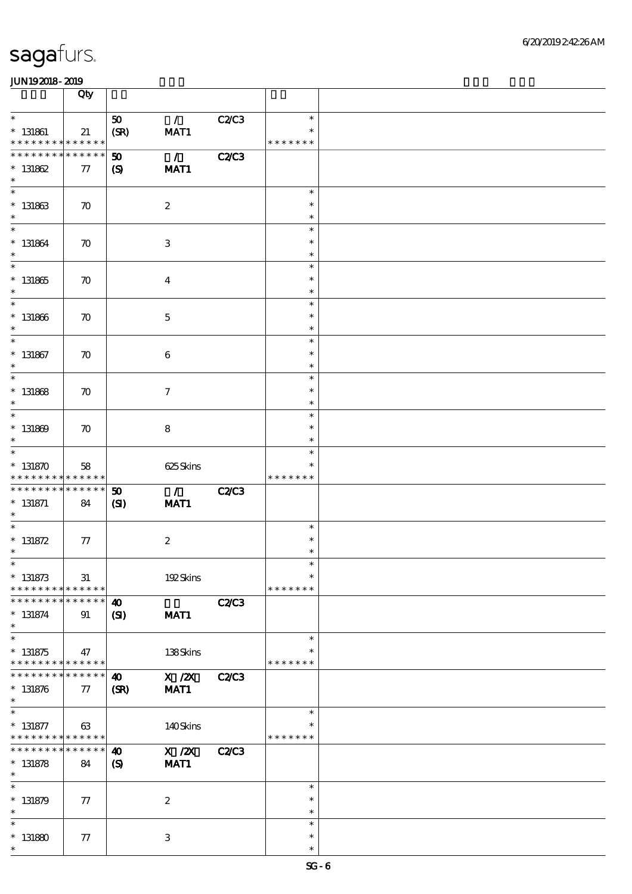|                                                                           | Qty                        |                              |                          |              |                  |  |
|---------------------------------------------------------------------------|----------------------------|------------------------------|--------------------------|--------------|------------------|--|
| $\ast$                                                                    |                            | 50                           | $\mathcal{L}$            | C2/C3        | $\ast$           |  |
| $*$ 131861                                                                | 21                         | (SR)                         | MAT1                     |              | $\ast$           |  |
| * * * * * * * * <mark>* * * * * * *</mark><br>* * * * * * * * * * * * * * |                            |                              |                          |              | * * * * * * *    |  |
| $* 131862$                                                                |                            | $\boldsymbol{\mathfrak{D}}$  | $\mathcal{L}$            | <b>C2/C3</b> |                  |  |
| $\ast$                                                                    | 77                         | $\mathbf{S}$                 | MAT1                     |              |                  |  |
|                                                                           |                            |                              |                          |              | $\ast$           |  |
| $* 131863$                                                                | $\boldsymbol{\pi}$         |                              | $\boldsymbol{2}$         |              | $\ast$           |  |
| $\ast$                                                                    |                            |                              |                          |              | $\ast$           |  |
| $\overline{\ast}$                                                         |                            |                              |                          |              | $\ast$<br>$\ast$ |  |
| $* 131864$<br>$\ast$                                                      | $\boldsymbol{\pi}$         |                              | $\,3$                    |              | $\ast$           |  |
| $\overline{\phantom{0}}$                                                  |                            |                              |                          |              | $\ast$           |  |
| $^\ast$ 131865                                                            | $\boldsymbol{\pi}$         |                              | $\boldsymbol{4}$         |              | $\ast$           |  |
| $\ast$                                                                    |                            |                              |                          |              | $\ast$           |  |
| $\ast$                                                                    |                            |                              |                          |              | $\ast$<br>$\ast$ |  |
| $* 131866$<br>$\ast$                                                      | $\boldsymbol{\pi}$         |                              | $\mathbf 5$              |              | $\ast$           |  |
| $\ast$                                                                    |                            |                              |                          |              | $\ast$           |  |
| $*$ 131867                                                                | $\boldsymbol{\pi}$         |                              | $\boldsymbol{6}$         |              | $\ast$           |  |
| $\ast$                                                                    |                            |                              |                          |              | $\ast$           |  |
| $\ast$                                                                    |                            |                              |                          |              | $\ast$<br>$\ast$ |  |
| $* 131868$<br>$\ast$                                                      | $\boldsymbol{\pi}$         |                              | $\tau$                   |              | $\ast$           |  |
| $\ast$                                                                    |                            |                              |                          |              | $\ast$           |  |
| $* 131869$                                                                | $\boldsymbol{\pi}$         |                              | 8                        |              | $\ast$           |  |
| $\ast$                                                                    |                            |                              |                          |              | $\ast$           |  |
| $\overline{\ast}$<br>$* 131870$                                           |                            |                              |                          |              | $\ast$           |  |
| * * * * * * * * * * * * * *                                               | 58                         |                              | 625Skins                 |              | * * * * * * *    |  |
| * * * * * * * *                                                           | * * * * * *                | $\boldsymbol{\mathfrak{D}}$  | $\overline{\phantom{a}}$ | <b>C2/C3</b> |                  |  |
| $* 131871$                                                                | 84                         | (S)                          | MAT1                     |              |                  |  |
| $\ast$<br>$\ast$                                                          |                            |                              |                          |              | $\ast$           |  |
| $* 131872$                                                                | 77                         |                              | $\boldsymbol{2}$         |              | $\ast$           |  |
| $\ast$                                                                    |                            |                              |                          |              | $\ast$           |  |
| $\ast$                                                                    |                            |                              |                          |              | $\ast$           |  |
| $* 131873$                                                                | $31\,$                     |                              | 192Skins                 |              | $\ast$           |  |
| * * * * * * * *<br>* * * * * * *                                          | * * * * * *<br>* * * * * * |                              |                          |              | * * * * * * *    |  |
| $* 131874$                                                                | 91                         | $\boldsymbol{\omega}$<br>(S) | MAT1                     | <b>C2/C3</b> |                  |  |
| $\ast$                                                                    |                            |                              |                          |              |                  |  |
| $\overline{\phantom{0}}$                                                  |                            |                              |                          |              | $\ast$           |  |
| $* 131875$                                                                | 47                         |                              | 138Skins                 |              | * * * * * * *    |  |
| * * * * * * * * <mark>* * * * * *</mark><br>* * * * * * *                 | * * * * * *                |                              | X / ZX                   | <b>C2/C3</b> |                  |  |
| $* 131876$                                                                | 77                         | 40<br>(SR)                   | MAT1                     |              |                  |  |
| $\ast$                                                                    |                            |                              |                          |              |                  |  |
| $\ast$                                                                    |                            |                              |                          |              | $\ast$           |  |
| $* 131877$                                                                | 63                         |                              | 140Skins                 |              | $\ast$           |  |
| * * * * * * * *<br>* * * * * * *                                          | * * * * * *<br>* * * * * * | $\boldsymbol{\omega}$        | $X$ / $ZX$               | <b>C2/C3</b> | * * * * * * *    |  |
| $* 131878$                                                                | 84                         | $\boldsymbol{\mathcal{S}}$   | MAT1                     |              |                  |  |
| $\ast$                                                                    |                            |                              |                          |              |                  |  |
| $\ast$                                                                    |                            |                              |                          |              | $\ast$           |  |
| $* 131879$<br>$\ast$                                                      | 77                         |                              | $\boldsymbol{2}$         |              | $\ast$<br>$\ast$ |  |
| $\ast$                                                                    |                            |                              |                          |              | $\ast$           |  |
| $* 131880$                                                                | 77                         |                              | 3                        |              | $\ast$           |  |
| $\ast$                                                                    |                            |                              |                          |              | $\ast$           |  |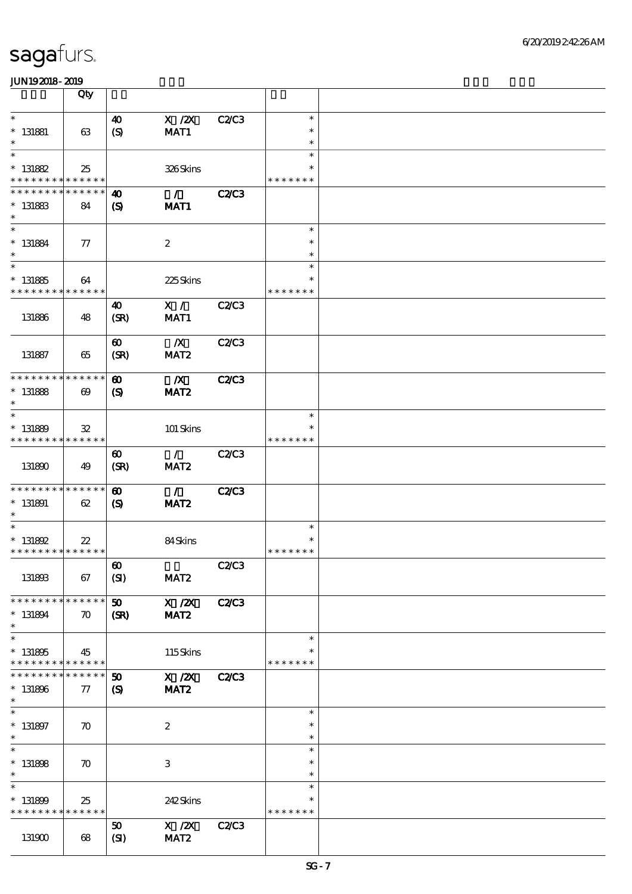|                                                          | Qty                   |                             |                           |              |                  |  |
|----------------------------------------------------------|-----------------------|-----------------------------|---------------------------|--------------|------------------|--|
| $\ast$                                                   |                       | $\boldsymbol{\omega}$       | $X$ / $ZX$                | C2C3         | $\ast$           |  |
| $*$ 131881                                               | 63                    | (S)                         | MAT1                      |              | $\ast$           |  |
| $\ast$                                                   |                       |                             |                           |              | $\ast$           |  |
| $\ast$                                                   |                       |                             |                           |              | $\ast$<br>$\ast$ |  |
| $* 131882$<br>* * * * * * * * <mark>* * * * * * *</mark> | 25                    |                             | 326Skins                  |              | * * * * * * *    |  |
| * * * * * * * * * * * * * *                              |                       | 40                          | $\sim$ 1 $\sim$           | <b>C2/C3</b> |                  |  |
| $* 131883$                                               | 84                    | $\mathbf{S}$                | MAT1                      |              |                  |  |
| $\ast$                                                   |                       |                             |                           |              |                  |  |
| $\ast$                                                   |                       |                             |                           |              | $\ast$           |  |
| $* 131884$<br>$\ast$                                     | $\tau$                |                             | $\boldsymbol{2}$          |              | $\ast$<br>$\ast$ |  |
| $\overline{\ast}$                                        |                       |                             |                           |              | $\ast$           |  |
| $* 131885$                                               | 64                    |                             | 225Skins                  |              | $\ast$           |  |
| * * * * * * * * * * * * * *                              |                       |                             |                           |              | * * * * * * *    |  |
|                                                          |                       | $\boldsymbol{\omega}$       | X /                       | C2C3         |                  |  |
| 131886                                                   | 48                    | (SR)                        | MAT1                      |              |                  |  |
|                                                          |                       | $\boldsymbol{\omega}$       | $\boldsymbol{X}$          | C2C3         |                  |  |
| 131887                                                   | 65                    | (SR)                        | MAT <sub>2</sub>          |              |                  |  |
|                                                          |                       |                             |                           |              |                  |  |
| * * * * * * * * * * * * * *                              |                       | $\boldsymbol{\omega}$       | $\mathbf{X}$              | <b>C2/C3</b> |                  |  |
| $* 131888$<br>$\ast$                                     | $\boldsymbol{\omega}$ | $\boldsymbol{\mathcal{S}}$  | MAT <sub>2</sub>          |              |                  |  |
| $\ast$                                                   |                       |                             |                           |              | $\ast$           |  |
| $* 131889$                                               | $\mathbf{32}$         |                             | 101 Skins                 |              |                  |  |
| * * * * * * * * * * * * * *                              |                       |                             |                           |              | * * * * * * *    |  |
|                                                          |                       | $\boldsymbol{\omega}$       | $\mathcal{L}$             | <b>C2/C3</b> |                  |  |
| 131890                                                   | 49                    | (SR)                        | MAT <sub>2</sub>          |              |                  |  |
| * * * * * * * * * * * * * *                              |                       | $\boldsymbol{\omega}$       | $\mathcal{L}$             | <b>C2/C3</b> |                  |  |
| $* 131891$                                               | 62                    | $\boldsymbol{\mathcal{S}}$  | MAT <sub>2</sub>          |              |                  |  |
| $\ast$                                                   |                       |                             |                           |              |                  |  |
| $\ast$                                                   |                       |                             |                           |              | $\ast$<br>∗      |  |
| $* 131892$<br>* * * * * * * * * * * * * *                | $22\,$                |                             | 84Skins                   |              | * * * * * * *    |  |
|                                                          |                       | $\pmb{\infty}$              |                           | <b>C2/C3</b> |                  |  |
| 131893                                                   | 67                    | (SI)                        | MAT <sub>2</sub>          |              |                  |  |
|                                                          |                       |                             |                           |              |                  |  |
| * * * * * * * * * * * * * *                              |                       | $\boldsymbol{\mathfrak{D}}$ | X / ZX                    | <b>C2/C3</b> |                  |  |
| $* 131894$<br>$\ast$                                     | $\boldsymbol{\pi}$    | (SR)                        | MAT <sub>2</sub>          |              |                  |  |
| $\ast$                                                   |                       |                             |                           |              | $\ast$           |  |
| $* 131895$                                               | 45                    |                             | 115Skins                  |              | ∗                |  |
| * * * * * * * * * * * * * *                              |                       |                             |                           |              | * * * * * * *    |  |
| * * * * * * * *                                          | * * * * * *           | $\boldsymbol{\mathfrak{D}}$ | $X$ / $ZX$                | <b>C2/C3</b> |                  |  |
| $* 131896$<br>$\ast$                                     | 77                    | $\boldsymbol{S}$            | MAT <sub>2</sub>          |              |                  |  |
| $\ast$                                                   |                       |                             |                           |              | $\ast$           |  |
| $* 131897$                                               | $\boldsymbol{\pi}$    |                             | $\boldsymbol{2}$          |              | $\ast$           |  |
| $\ast$                                                   |                       |                             |                           |              | $\ast$           |  |
| $\ast$                                                   |                       |                             |                           |              | $\ast$<br>$\ast$ |  |
| $*$ 131898<br>$\ast$                                     | $\boldsymbol{\pi}$    |                             | $\ensuremath{\mathbf{3}}$ |              | $\ast$           |  |
| $\ast$                                                   |                       |                             |                           |              | $\ast$           |  |
| $* 131899$                                               | 25                    |                             | 242Skins                  |              | $\ast$           |  |
| * * * * * * * * * * * * * *                              |                       |                             |                           |              | * * * * * * *    |  |
|                                                          |                       | 50                          | X / ZX                    | C2C3         |                  |  |
| 131900                                                   | 68                    | (SI)                        | MAT <sub>2</sub>          |              |                  |  |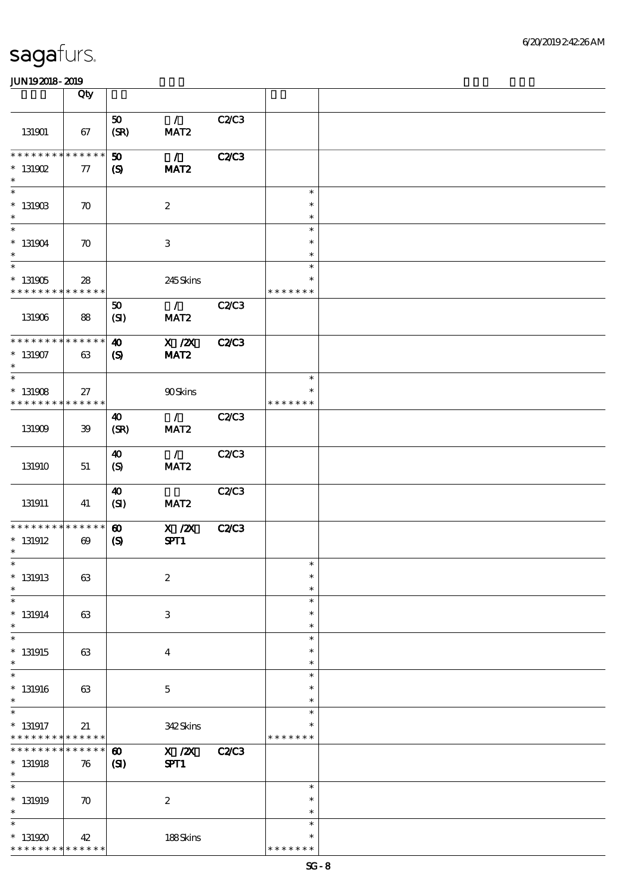|                                                            | Qty                                  |                                                      |                                   |              |                                   |  |
|------------------------------------------------------------|--------------------------------------|------------------------------------------------------|-----------------------------------|--------------|-----------------------------------|--|
| 131901                                                     | 67                                   | 50<br>(SR)                                           | $\mathcal{L}$<br>MAT <sub>2</sub> | C2/C3        |                                   |  |
| * * * * * * * *<br>$*$ 131902<br>$\ast$                    | * * * * * *<br>77                    | 50<br>$\boldsymbol{S}$                               | $\mathcal{L}$<br>MAT <sub>2</sub> | <b>C2/C3</b> |                                   |  |
| $\ast$<br>$*$ 131903<br>$\ast$                             | $\boldsymbol{\pi}$                   |                                                      | $\boldsymbol{z}$                  |              | $\ast$<br>$\ast$<br>$\ast$        |  |
| $\overline{\ast}$<br>$* 131904$<br>$\ast$                  | $\boldsymbol{\pi}$                   |                                                      | 3                                 |              | $\ast$<br>$\ast$<br>$\ast$        |  |
| $\overline{\phantom{1}}$<br>$^*$ 131905<br>* * * * * * * * | 28<br>* * * * * *                    |                                                      | 245Skins                          |              | $\ast$<br>$\ast$<br>* * * * * * * |  |
| 131906                                                     | 88                                   | 50<br>(SI)                                           | $\mathcal{L}$<br>MAT <sub>2</sub> | C2C3         |                                   |  |
| * * * * * * * *<br>$*$ 131907<br>$\ast$                    | * * * * * *<br>63                    | $\boldsymbol{\omega}$<br>$\boldsymbol{\mathrm{(S)}}$ | $X$ / $ZX$<br>MAT <sub>2</sub>    | <b>C2/C3</b> |                                   |  |
| $\ast$<br>$* 131908$<br>********                           | 27<br>* * * * * *                    |                                                      | 90Skins                           |              | $\ast$<br>$\ast$<br>* * * * * * * |  |
| 131909                                                     | 39                                   | 40<br>(SR)                                           | $\mathcal{L}$<br>MAT <sub>2</sub> | <b>C2/C3</b> |                                   |  |
| 131910                                                     | 51                                   | 40<br>(S)                                            | $\mathcal{L}$<br>MAT <sub>2</sub> | C2/C3        |                                   |  |
| 131911                                                     | 41                                   | 40<br>(SI)                                           | MAT <sub>2</sub>                  | C2/C3        |                                   |  |
| * * * * * * * *<br>$*$ 131912<br>$\ast$                    | * * * * * *<br>$\boldsymbol{\omega}$ | $\boldsymbol{\omega}$<br>$\boldsymbol{\mathrm{(S)}}$ | $X$ / $ZX$<br>SPT1                | <b>C2/C3</b> |                                   |  |
| $\ast$<br>$*$ 131913<br>$\ast$                             | 63                                   |                                                      | $\boldsymbol{2}$                  |              | $\ast$<br>$\ast$<br>$\ast$        |  |
| $\ast$<br>$* 131914$<br>$\ast$                             | 63                                   |                                                      | $\,3$                             |              | $\ast$<br>$\ast$<br>$\ast$        |  |
| $\ast$<br>$*131915$<br>$\ast$                              | 63                                   |                                                      | $\overline{\mathbf{4}}$           |              | $\ast$<br>$\ast$<br>$\ast$        |  |
| $\ast$<br>$*131916$<br>$\ast$                              | 63                                   |                                                      | $\mathbf 5$                       |              | $\ast$<br>$\ast$<br>$\ast$        |  |
| $\ast$<br>$*$ 131917<br>* * * * * * * *                    | 21<br>* * * * * *                    |                                                      | 342Skins                          |              | $\ast$<br>$\ast$<br>* * * * * * * |  |
| * * * * * * *<br>$* 131918$<br>$\ast$                      | * * * * * *<br>76                    | $\boldsymbol{\omega}$<br>(S)                         | $X$ / $ZX$<br>SPT1                | <b>C2/C3</b> |                                   |  |
| $\ast$<br>$*$ 131919<br>$\ast$                             | $\boldsymbol{\pi}$                   |                                                      | $\boldsymbol{2}$                  |              | $\ast$<br>$\ast$<br>$\ast$        |  |
| $\ast$<br>$*131920$<br>* * * * * * * *                     | 42<br>* * * * * *                    |                                                      | 188Skins                          |              | $\ast$<br>$\ast$<br>* * * * * * * |  |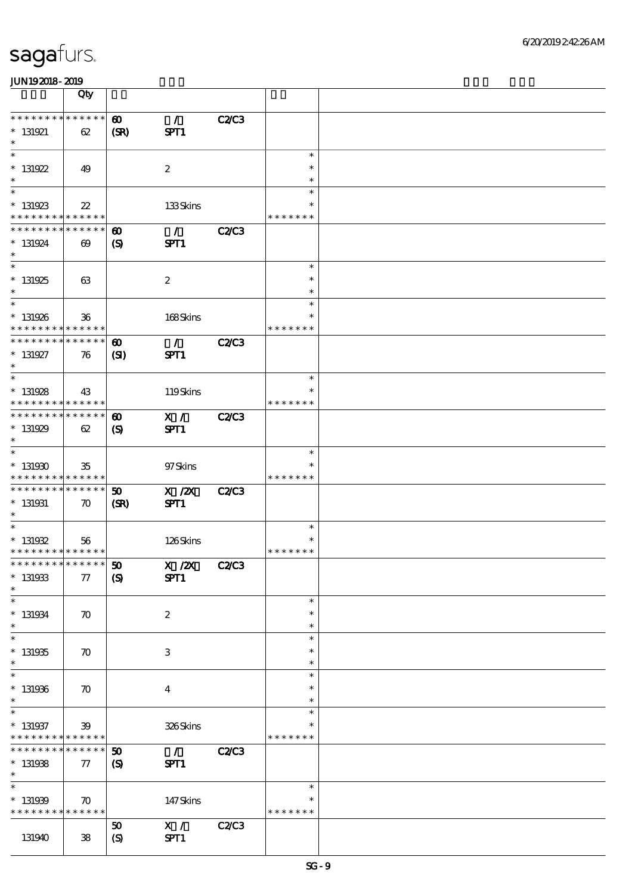|                                                                    | Qty                                   |                                                      |                       |              |                                   |  |
|--------------------------------------------------------------------|---------------------------------------|------------------------------------------------------|-----------------------|--------------|-----------------------------------|--|
| * * * * * * * * <mark>* * * * * * *</mark><br>$* 131921$<br>$\ast$ | 62                                    | $\boldsymbol{\omega}$<br>(SR)                        | $\mathcal{F}$<br>SPT1 | <b>C2/C3</b> |                                   |  |
| $\overline{\ast}$<br>$* 131922$<br>$\ast$                          | 49                                    |                                                      | $\boldsymbol{2}$      |              | $\ast$<br>$\ast$<br>$\ast$        |  |
| $*131923$<br>* * * * * * * *                                       | $2\!2$<br>* * * * * *                 |                                                      | 133Skins              |              | $\ast$<br>$\ast$<br>* * * * * * * |  |
| * * * * * * * *<br>$* 131924$<br>$\ast$                            | * * * * * *<br>$\boldsymbol{\omega}$  | $\boldsymbol{\omega}$<br>$\boldsymbol{\mathcal{S}}$  | $\mathcal{L}$<br>SPT1 | <b>C2/C3</b> |                                   |  |
| $*131925$<br>$*$                                                   | 63                                    |                                                      | $\boldsymbol{z}$      |              | $\ast$<br>$\ast$<br>$\ast$        |  |
| $* 131926$<br>* * * * * * * *                                      | 36<br>* * * * * *                     |                                                      | 168Skins              |              | $\ast$<br>$\ast$<br>* * * * * * * |  |
| ********<br>$* 131927$<br>$\ast$                                   | $\ast\ast\ast\ast\ast\ast$<br>76      | $\boldsymbol{\omega}$<br>(S)                         | $\mathcal{L}$<br>SPT1 | <b>C2/C3</b> |                                   |  |
| $* 131928$<br>* * * * * * * *                                      | 43<br>$* * * * * * *$                 |                                                      | 119Skins              |              | $\ast$<br>$\ast$<br>* * * * * * * |  |
| * * * * * * * *<br>$*131929$<br>$\ast$                             | * * * * * *<br>62                     | $\boldsymbol{\omega}$<br>$\boldsymbol{\mathrm{(S)}}$ | X /<br>SPT1           | <b>C2/C3</b> |                                   |  |
| $*131930$<br>* * * * * * * * * * * * * *                           | 35                                    |                                                      | 97Skins               |              | $\ast$<br>* * * * * * *           |  |
| * * * * * * * *<br>$* 131931$<br>$*$                               | $* * * * * * *$<br>$\boldsymbol{\pi}$ | $\boldsymbol{\mathfrak{D}}$<br>(SR)                  | $X$ / $ZX$<br>SPT1    | <b>C2/C3</b> |                                   |  |
| $\ast$<br>$* 131932$<br>* * * * * * * * * * * * * *                | 56                                    |                                                      | 126Skins              |              | $\ast$<br>* * * * * * *           |  |
| *************** 50<br>$* 131933$<br>$\ast$                         | 77                                    | $\boldsymbol{\mathrm{(S)}}$                          | $X$ / $ZX$<br>SPT1    | <b>C2/C3</b> |                                   |  |
| $\ast$<br>$* 131934$<br>$\ast$                                     | $\boldsymbol{\pi}$                    |                                                      | $\boldsymbol{2}$      |              | $\ast$<br>$\ast$<br>$\ast$        |  |
| $\ast$<br>$* 131935$<br>$\ast$                                     | $\boldsymbol{\pi}$                    |                                                      | 3                     |              | $\ast$<br>$\ast$<br>$\ast$        |  |
| $\ast$<br>$*131936$<br>$\ast$                                      | $\boldsymbol{\pi}$                    |                                                      | $\bf{4}$              |              | $\ast$<br>$\ast$<br>$\ast$        |  |
| $\ast$<br>$* 131937$<br>* * * * * * * *<br>* * * * * * *           | 39<br>$\ast\ast\ast\ast\ast\ast$      |                                                      | 326Skins              |              | $\ast$<br>*<br>* * * * * * *      |  |
| $*131938$<br>$\ast$<br>$\ast$                                      | * * * * * *<br>77                     | 50<br>$\boldsymbol{\mathrm{(S)}}$                    | $\mathcal{L}$<br>SPT1 | <b>C2/C3</b> |                                   |  |
| * 131939<br>* * * * * * * *                                        | $\boldsymbol{\pi}$<br>* * * * * *     |                                                      | 147Skins              |              | $\ast$<br>* * * * * * *           |  |
| 131940                                                             | $\boldsymbol{\mathcal{S}}$            | 50<br>$\boldsymbol{S}$                               | X /<br>SPT1           | C2C3         |                                   |  |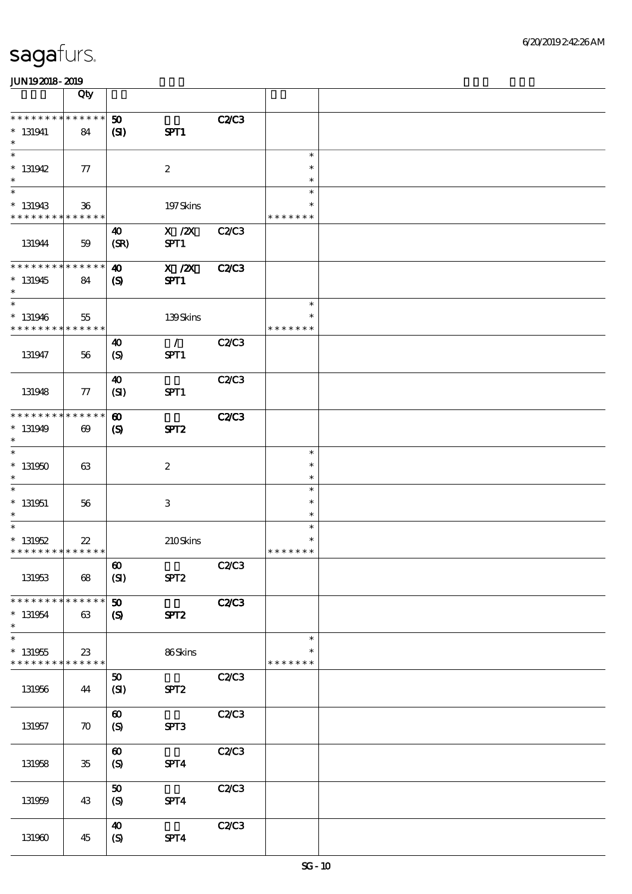|                                                     | Qty                   |                                                     |                       |              |                                   |  |
|-----------------------------------------------------|-----------------------|-----------------------------------------------------|-----------------------|--------------|-----------------------------------|--|
| * * * * * * * * * * * * * *<br>$* 131941$<br>$\ast$ | 84                    | 50<br>(SI)                                          | SPT1                  | <b>C2C3</b>  |                                   |  |
| $\ast$<br>$*$ 131942<br>$\ast$                      | $\tau$                |                                                     | $\boldsymbol{2}$      |              | $\ast$<br>$\ast$<br>$\ast$        |  |
| $\ast$<br>$* 131943$<br>* * * * * * * * * * * * * * | 36                    |                                                     | 197Skins              |              | $\ast$<br>$\ast$<br>* * * * * * * |  |
| 131944                                              | 59                    | $\boldsymbol{\omega}$<br>(SR)                       | $X$ / $ZX$<br>SPT1    | C2/C3        |                                   |  |
| * * * * * * * * * * * * * *<br>$*131945$<br>$\ast$  | 84                    | $\boldsymbol{\omega}$<br>$\boldsymbol{\mathcal{S}}$ | $X$ / $ZX$<br>SPT1    | <b>C2/C3</b> |                                   |  |
| $\ast$<br>$*131946$<br>* * * * * * * * * * * * * *  | 55                    |                                                     | 139Skins              |              | $\ast$<br>$\ast$<br>* * * * * * * |  |
| 131947                                              | 56                    | $\boldsymbol{\omega}$<br>(S)                        | $\mathcal{L}$<br>SPT1 | C2/C3        |                                   |  |
| 131948                                              | 77                    | $\boldsymbol{\omega}$<br>(SI)                       | SPT1                  | C2C3         |                                   |  |
| * * * * * * * * * * * * * *<br>$*131949$<br>$\ast$  | $\boldsymbol{\omega}$ | $\boldsymbol{\omega}$<br>$\boldsymbol{\mathsf{S}}$  | SPT2                  | C2C3         |                                   |  |
| $\ast$<br>$*131950$<br>$\ast$                       | 63                    |                                                     | $\boldsymbol{2}$      |              | $\ast$<br>$\ast$<br>$\ast$        |  |
| $\ast$<br>$* 131951$<br>$\ast$                      | 56                    |                                                     | 3                     |              | $\ast$<br>$\ast$<br>$\ast$        |  |
| $\ast$<br>$* 131952$<br>* * * * * * * * * * * * * * | $22\,$                |                                                     | 210Skins              |              | $\ast$<br>$\ast$<br>* * * * * * * |  |
| 131953                                              | 68                    | $\boldsymbol{\omega}$<br>(SI)                       | SPT <sub>2</sub>      | <b>C2/C3</b> |                                   |  |
| * * * * * * * * * * * * * *<br>$* 131954$<br>$\ast$ | 63                    | $\boldsymbol{\omega}$<br>$\boldsymbol{\mathcal{S}}$ | SPT <sub>2</sub>      | <b>C2/C3</b> |                                   |  |
| $\ast$<br>$* 131955$<br>* * * * * * * * * * * * * * | $23\,$                |                                                     | 86Skins               |              | $\ast$<br>$\ast$<br>* * * * * * * |  |
| 131956                                              | 44                    | 50<br>(SI)                                          | SPT <sub>2</sub>      | C2C3         |                                   |  |
| 131957                                              | $\boldsymbol{\pi}$    | $\boldsymbol{\omega}$<br>(S)                        | SPT3                  | C2C3         |                                   |  |
| 131958                                              | $35\,$                | $\boldsymbol{\omega}$<br>(S)                        | SPT4                  | C2C3         |                                   |  |
| 131959                                              | 43                    | 50<br>(S)                                           | SPT4                  | C2C3         |                                   |  |
| 131960                                              | 45                    | $\boldsymbol{\omega}$<br>$\boldsymbol{S}$           | SPT4                  | C2C3         |                                   |  |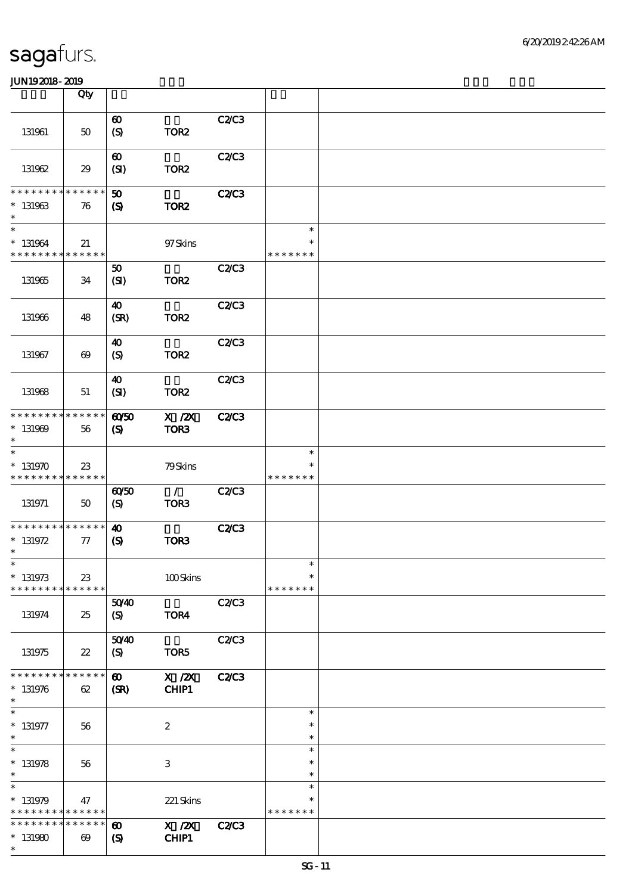|                                            | Qty                                  |                                                     |                                                                         |              |                  |  |
|--------------------------------------------|--------------------------------------|-----------------------------------------------------|-------------------------------------------------------------------------|--------------|------------------|--|
|                                            |                                      | $\boldsymbol{\omega}$                               |                                                                         | C2C3         |                  |  |
| 131961                                     | $50\,$                               | $\boldsymbol{S}$                                    | TOR <sub>2</sub>                                                        |              |                  |  |
|                                            |                                      | $\boldsymbol{\omega}$                               |                                                                         | C2C3         |                  |  |
| 131962                                     | 29                                   | (SI)                                                | TOR <sub>2</sub>                                                        |              |                  |  |
| * * * * * * * *                            | $\ast\ast\ast\ast\ast\ast$           | $\boldsymbol{\mathfrak{D}}$                         |                                                                         | C2C3         |                  |  |
| $* 131963$<br>$\ast$                       | 76                                   | $\boldsymbol{\mathcal{S}}$                          | TOR <sub>2</sub>                                                        |              |                  |  |
| $\ast$                                     |                                      |                                                     |                                                                         |              | $\ast$<br>$\ast$ |  |
| $* 131964$<br>* * * * * * * * * * * * * *  | 21                                   |                                                     | 97Skins                                                                 |              | * * * * * * *    |  |
|                                            |                                      | 50                                                  |                                                                         | C2/C3        |                  |  |
| 131965                                     | 34                                   | (SI)                                                | TOR <sub>2</sub>                                                        |              |                  |  |
| 131966                                     | 48                                   | $\boldsymbol{\omega}$<br>(SR)                       | TOR <sub>2</sub>                                                        | C2C3         |                  |  |
|                                            |                                      |                                                     |                                                                         |              |                  |  |
| 131967                                     | $\boldsymbol{\omega}$                | $\boldsymbol{\omega}$<br>(S)                        | TOR <sub>2</sub>                                                        | C2/C3        |                  |  |
|                                            |                                      |                                                     |                                                                         |              |                  |  |
| 131968                                     | 51                                   | 40<br>(SI)                                          | TOR <sub>2</sub>                                                        | C2C3         |                  |  |
|                                            |                                      |                                                     |                                                                         |              |                  |  |
| * * * * * * * * * * * * * *<br>$* 131969$  | 56                                   | $\omega$ 50<br>$\boldsymbol{\mathrm{(S)}}$          | X / ZX<br>TOR3                                                          | <b>C2/C3</b> |                  |  |
| $\ast$<br>$\ast$                           |                                      |                                                     |                                                                         |              | $\ast$           |  |
| $*131970$                                  | $23\,$                               |                                                     | 79Skins                                                                 |              | $\ast$           |  |
| * * * * * * * * * * * * * *                |                                      |                                                     |                                                                         |              | * * * * * * *    |  |
| 131971                                     | $50\,$                               | 60/50<br>$\boldsymbol{S}$                           | $\mathcal{L}$<br>TOR <sub>3</sub>                                       | C2C3         |                  |  |
| * * * * * * * * * * * * * *                |                                      | $\boldsymbol{\omega}$                               |                                                                         | <b>C2/C3</b> |                  |  |
| $* 131972$                                 | 77                                   | $\boldsymbol{S}$                                    | TOR3                                                                    |              |                  |  |
| $\ast$<br>$*$                              |                                      |                                                     |                                                                         |              | $\ast$           |  |
| $* 131973$                                 | $23\,$                               |                                                     | 100Skins                                                                |              | $\ast$           |  |
| * * * * * * * *                            | * * * * * *                          | 5040                                                |                                                                         | C2/C3        | * * * * * * *    |  |
| 131974                                     | 25                                   | (S)                                                 | TOR4                                                                    |              |                  |  |
|                                            |                                      | 5040                                                |                                                                         | <b>C2/C3</b> |                  |  |
| 131975                                     | $22\,$                               | (S)                                                 | TOR5                                                                    |              |                  |  |
| * * * * * * * * <mark>* * * * * *</mark>   |                                      | $\boldsymbol{\omega}$                               | $X$ / $ZX$                                                              | C2C3         |                  |  |
| $* 131976$<br>$\ast$                       | 62                                   | (SR)                                                | CHIP1                                                                   |              |                  |  |
| $\ast$                                     |                                      |                                                     |                                                                         |              | $\ast$<br>$\ast$ |  |
| $* 131977$<br>$\ast$                       | 56                                   |                                                     | $\boldsymbol{2}$                                                        |              | $\ast$           |  |
| $\ast$<br>$* 131978$                       |                                      |                                                     | $\,3$                                                                   |              | $\ast$<br>$\ast$ |  |
| $\ast$                                     | 56                                   |                                                     |                                                                         |              | $\ast$           |  |
| $\ast$<br>$* 131979$                       | 47                                   |                                                     | 221 Skins                                                               |              | $\ast$<br>$\ast$ |  |
| * * * * * * * * <mark>* * * * * *</mark> * |                                      |                                                     |                                                                         |              | * * * * * * *    |  |
| * * * * * * *<br>$*131980$                 | * * * * * *<br>$\boldsymbol{\omega}$ | $\boldsymbol{\omega}$<br>$\boldsymbol{\mathcal{S}}$ | $\boldsymbol{\mathrm{X}}$ / <b>ZX</b><br>${\bf C}\textbf{H}\mathbb{P}1$ | <b>C2/C3</b> |                  |  |
| $\ast$                                     |                                      |                                                     |                                                                         |              |                  |  |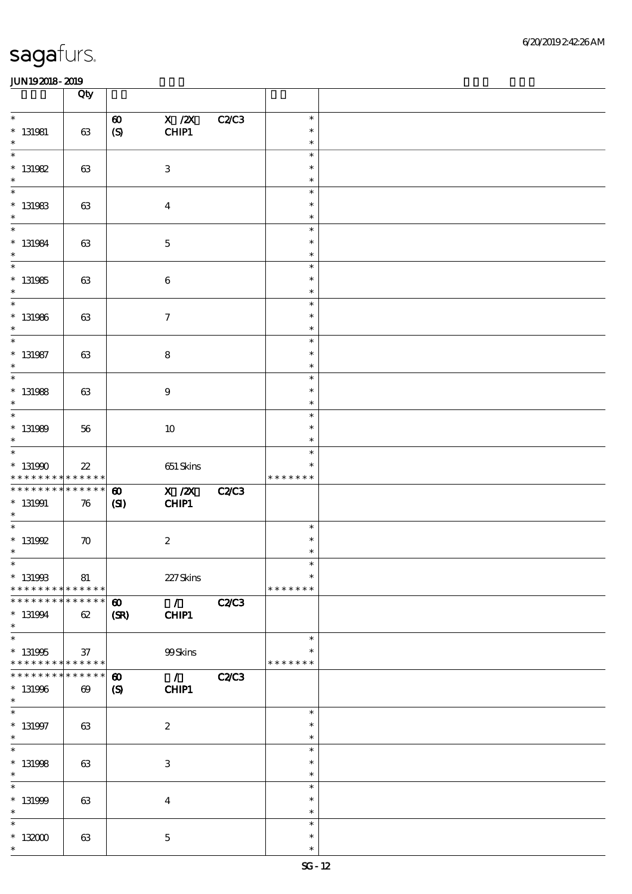|                                                                     | Qty                                  |                                           |                                       |              |                                   |  |
|---------------------------------------------------------------------|--------------------------------------|-------------------------------------------|---------------------------------------|--------------|-----------------------------------|--|
| $\ast$<br>$* 131981$<br>$\ast$                                      | 63                                   | $\boldsymbol{\omega}$<br>$\boldsymbol{S}$ | $X$ / $ZX$<br>CHIP1                   | C2C3         | $\ast$<br>$\ast$<br>$\ast$        |  |
| $\ast$<br>$* 131982$<br>$\ast$                                      | 63                                   |                                           | $\ensuremath{\mathbf{3}}$             |              | $\ast$<br>$\ast$<br>$\ast$        |  |
| $\ast$<br>$*$ 131983<br>$\ast$                                      | 63                                   |                                           | $\boldsymbol{4}$                      |              | $\ast$<br>$\ast$<br>$\ast$        |  |
| $\ast$<br>$* 131984$<br>$\ast$                                      | 63                                   |                                           | $\mathbf 5$                           |              | $\ast$<br>$\ast$<br>$\ast$        |  |
| $\overline{\phantom{1}}$<br>$*$ 131985<br>$\ast$                    | 63                                   |                                           | $\bf 6$                               |              | $\ast$<br>$\ast$<br>$\ast$        |  |
| $\ast$<br>$*$ 131986<br>$\ast$                                      | 63                                   |                                           | $\boldsymbol{\tau}$                   |              | $\ast$<br>$\ast$<br>$\ast$        |  |
| $\ast$<br>$*$ 131987<br>$\ast$                                      | 63                                   |                                           | $\bf 8$                               |              | $\ast$<br>$\ast$<br>$\ast$        |  |
| $\overline{\phantom{1}}$<br>$*$ 131988<br>$\ast$                    | 63                                   |                                           | 9                                     |              | $\ast$<br>$\ast$<br>$\ast$        |  |
| $\ast$<br>$* 131989$<br>$\ast$                                      | 56                                   |                                           | $10\,$                                |              | $\ast$<br>$\ast$<br>$\ast$        |  |
| $\ast$<br>$*$ 131990<br>* * * * * * * * <mark>* * * * * *</mark> *  | $2\!2$                               |                                           | 651 Skins                             |              | $\ast$<br>$\ast$<br>* * * * * * * |  |
| * * * * * * * *<br>$* 131991$<br>$\ast$                             | * * * * * *<br>76                    | $\boldsymbol{\omega}$<br>(S)              | $\overline{X}/\overline{Z}X$<br>CHIP1 | <b>C2/C3</b> |                                   |  |
| $\ast$<br>$*$ 131992<br>$\ast$                                      | $\boldsymbol{\pi}$                   |                                           | $\boldsymbol{2}$                      |              | $\ast$<br>$\ast$<br>$\ast$        |  |
| $*$<br>$* 131993$<br>* * * * * * * * * * * * * *                    | 81                                   |                                           | 227Skins                              |              | $\ast$<br>$\ast$<br>* * * * * * * |  |
| * * * * * * *<br>$* 131994$<br>$\ast$                               | * * * * * *<br>62                    | $\boldsymbol{\omega}$<br>(SR)             | $\mathcal{F}$<br>CHIP1                | C2C3         |                                   |  |
| $\overline{\ast}$<br>$* 131995$<br>* * * * * * * * * * * * * *      | 37                                   |                                           | 99Skins                               |              | $\ast$<br>*<br>* * * * * * *      |  |
| * * * * * * * *<br>$* 131996$<br>$\ast$<br>$\overline{\phantom{0}}$ | * * * * * *<br>$\boldsymbol{\omega}$ | $\boldsymbol{\omega}$<br>$\boldsymbol{S}$ | $\mathcal{L}$<br>CHIP1                | <b>C2/C3</b> |                                   |  |
| $*$ 131997<br>$\ast$                                                | 63                                   |                                           | $\boldsymbol{2}$                      |              | $\ast$<br>$\ast$<br>$\ast$        |  |
| $\overline{\phantom{0}}$<br>$*$ 131998<br>$\ast$                    | 63                                   |                                           | $\ensuremath{\mathbf{3}}$             |              | $\ast$<br>$\ast$<br>$\ast$        |  |
| $\ast$<br>$* 131999$<br>$\ast$                                      | 63                                   |                                           | $\boldsymbol{4}$                      |              | $\ast$<br>$\ast$<br>$\ast$        |  |
| $\ast$<br>$*132000$<br>$\ast$                                       | 63                                   |                                           | $\mathbf 5$                           |              | $\ast$<br>$\ast$<br>$\ast$        |  |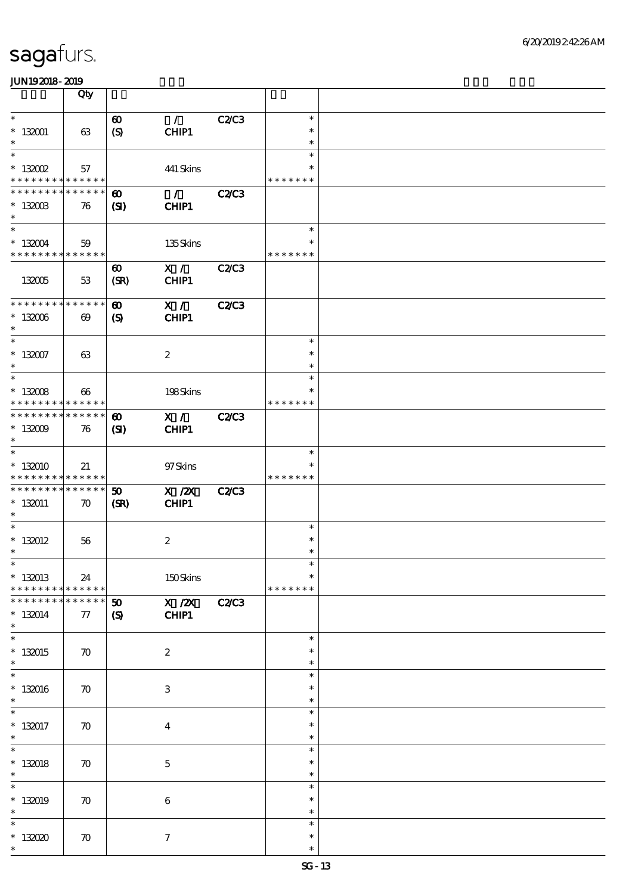|                                            | Qty                   |                             |                              |              |                  |  |
|--------------------------------------------|-----------------------|-----------------------------|------------------------------|--------------|------------------|--|
| $\ast$                                     |                       |                             | $\mathcal{L}$                |              | $\ast$           |  |
|                                            |                       | $\boldsymbol{\omega}$       |                              | C2C3         |                  |  |
| $* 132001$                                 | 63                    | (S)                         | CHIP1                        |              | $\ast$           |  |
| $\ast$                                     |                       |                             |                              |              | $\ast$           |  |
| $\ast$                                     |                       |                             |                              |              | $\ast$           |  |
| $*$ 132002                                 | 57                    |                             | 441 Skins                    |              | $\ast$           |  |
| * * * * * * * * <mark>* * * * * *</mark>   |                       |                             |                              |              | * * * * * * *    |  |
| * * * * * * * * <mark>* * * * * * *</mark> |                       | $\boldsymbol{\omega}$       | $\mathcal{F}$                | <b>C2/C3</b> |                  |  |
| $* 132003$                                 | 76                    | (SI)                        | CHIP1                        |              |                  |  |
| $\ast$                                     |                       |                             |                              |              |                  |  |
| $\ast$                                     |                       |                             |                              |              | $\ast$           |  |
| $*132004$                                  | 59                    |                             | 135Skins                     |              | $\ast$           |  |
| * * * * * * * * * * * * * *                |                       |                             |                              |              | * * * * * * *    |  |
|                                            |                       | $\boldsymbol{\omega}$       | X /                          | <b>C2/C3</b> |                  |  |
| 132005                                     | 53                    | (SR)                        | CHIP1                        |              |                  |  |
|                                            |                       |                             |                              |              |                  |  |
| * * * * * * * * * * * * * *                |                       |                             |                              |              |                  |  |
|                                            |                       | $\boldsymbol{\omega}$       | X /                          | C2C3         |                  |  |
| $*132006$                                  | $\boldsymbol{\omega}$ | $\mathbf{S}$                | CHIP1                        |              |                  |  |
| $\ast$                                     |                       |                             |                              |              |                  |  |
| $\ast$                                     |                       |                             |                              |              | $\ast$           |  |
| $* 132007$                                 | 63                    |                             | $\boldsymbol{2}$             |              | $\ast$           |  |
| $\ast$                                     |                       |                             |                              |              | $\ast$           |  |
| $\ast$                                     |                       |                             |                              |              | $\ast$           |  |
| $* 132008$                                 | $\boldsymbol{\omega}$ |                             | 198Skins                     |              | $\ast$           |  |
| * * * * * * * * <mark>* * * * * * *</mark> |                       |                             |                              |              | * * * * * * *    |  |
| * * * * * * * * * * * * * *                |                       | $\boldsymbol{\omega}$       | X /                          | <b>C2/C3</b> |                  |  |
| $*132009$                                  | 76                    | (SD)                        | CHIP1                        |              |                  |  |
| $\ast$                                     |                       |                             |                              |              |                  |  |
| $\ast$                                     |                       |                             |                              |              | $\ast$           |  |
| $*132010$                                  | 21                    |                             | 97Skins                      |              | $\ast$           |  |
| * * * * * * * * * * * * * *                |                       |                             |                              |              | * * * * * * *    |  |
| * * * * * * * * * * * * * *                |                       | 50                          | X / ZX                       |              |                  |  |
|                                            |                       |                             |                              | <b>C2/C3</b> |                  |  |
| $*132011$<br>$\ast$                        | $\boldsymbol{\pi}$    | (SR)                        | CHIP1                        |              |                  |  |
| $\ast$                                     |                       |                             |                              |              | $\ast$           |  |
|                                            |                       |                             |                              |              |                  |  |
| $*132012$                                  | 56                    |                             | $\boldsymbol{2}$             |              | $\ast$           |  |
| $\ast$                                     |                       |                             |                              |              | $\ast$           |  |
| $\ast$                                     |                       |                             |                              |              | $\ast$           |  |
| $* 132013$                                 | 24                    |                             | 150Skins                     |              | $\ast$           |  |
| * * * * * * * * * * * * * *                |                       |                             |                              |              | * * * * * * *    |  |
| * * * * * * *                              | * * * * * *           | $\boldsymbol{\mathfrak{D}}$ | $\overline{X}/\overline{Z}X$ | <b>C2/C3</b> |                  |  |
| $* 132014$                                 | $77\,$                | $\boldsymbol{\mathcal{S}}$  | CHIP1                        |              |                  |  |
| $\ast$                                     |                       |                             |                              |              |                  |  |
| $\overline{\phantom{0}}$                   |                       |                             |                              |              | $\ast$           |  |
| $*132015$                                  | $\boldsymbol{\pi}$    |                             | $\boldsymbol{2}$             |              | $\ast$           |  |
| $\ast$                                     |                       |                             |                              |              | $\ast$           |  |
| $\ast$                                     |                       |                             |                              |              | $\ast$           |  |
| $*132016$                                  | $\boldsymbol{\pi}$    |                             | $\ensuremath{\mathbf{3}}$    |              | $\ast$           |  |
| $\ast$                                     |                       |                             |                              |              | $\ast$           |  |
| $\ast$                                     |                       |                             |                              |              | $\ast$           |  |
| $* 132017$                                 |                       |                             |                              |              | $\ast$           |  |
| $\ast$                                     | $\boldsymbol{\pi}$    |                             | $\boldsymbol{4}$             |              |                  |  |
| $\overline{\ast}$                          |                       |                             |                              |              | $\ast$<br>$\ast$ |  |
|                                            |                       |                             |                              |              |                  |  |
| $* 132018$                                 | $\boldsymbol{\pi}$    |                             | $\mathbf 5$                  |              | $\ast$           |  |
| $\ast$                                     |                       |                             |                              |              | $\ast$           |  |
| $\ast$                                     |                       |                             |                              |              | $\ast$           |  |
| $*132019$                                  | $\boldsymbol{\pi}$    |                             | $\,6\,$                      |              | $\ast$           |  |
| $\ast$                                     |                       |                             |                              |              | $\ast$           |  |
| $\ast$                                     |                       |                             |                              |              | $\ast$           |  |
|                                            |                       |                             |                              |              |                  |  |
| $*132020$                                  | $\boldsymbol{\pi}$    |                             | $\tau$                       |              | $\ast$           |  |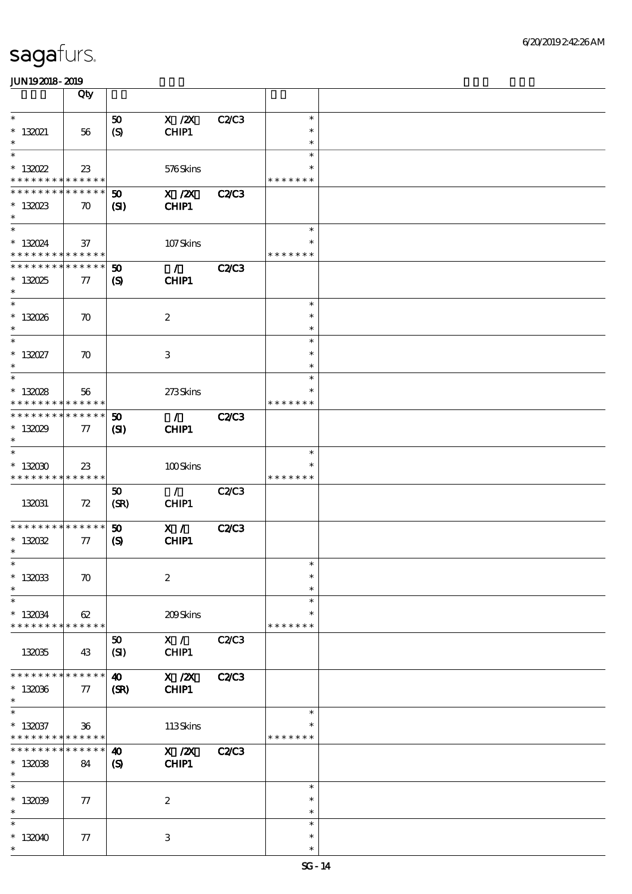|                                            | Qty                |                             |                  |              |               |  |
|--------------------------------------------|--------------------|-----------------------------|------------------|--------------|---------------|--|
| $\ast$                                     |                    | 50                          | $X$ / $ZX$       | C2/C3        | $\ast$        |  |
|                                            |                    |                             |                  |              | $\ast$        |  |
| $*$ 132021<br>$\ast$                       | 56                 | (S)                         | CHIP1            |              |               |  |
| $\ast$                                     |                    |                             |                  |              | $\ast$        |  |
|                                            |                    |                             |                  |              | $\ast$        |  |
| $* 13022$                                  | 23                 |                             | 576Skins         |              | $\ast$        |  |
| * * * * * * * * <mark>* * * * * * *</mark> |                    |                             |                  |              | * * * * * * * |  |
| * * * * * * * *                            | * * * * * *        | $\boldsymbol{\mathfrak{D}}$ | $X$ / $ZX$       | <b>C2/C3</b> |               |  |
| $*13023$                                   | $\boldsymbol{\pi}$ | $\mathbf{C}$                | CHIP1            |              |               |  |
| $\ast$                                     |                    |                             |                  |              |               |  |
| $\ast$                                     |                    |                             |                  |              | $\ast$        |  |
| $* 130024$                                 | 37                 |                             | 107Skins         |              |               |  |
| * * * * * * * * * * * * * *                |                    |                             |                  |              | * * * * * * * |  |
| * * * * * * * * * * * * * *                |                    | $\boldsymbol{\mathfrak{D}}$ | $\mathcal{L}$    | <b>C2/C3</b> |               |  |
| $* 13025$                                  | 77                 | $\boldsymbol{S}$            | CHIP1            |              |               |  |
| $\ast$                                     |                    |                             |                  |              |               |  |
| $\ast$                                     |                    |                             |                  |              | $\ast$        |  |
|                                            |                    |                             |                  |              | $\ast$        |  |
| $* 13006$<br>$\ast$                        | $\boldsymbol{\pi}$ |                             | $\boldsymbol{2}$ |              | $\ast$        |  |
| $\ast$                                     |                    |                             |                  |              |               |  |
|                                            |                    |                             |                  |              | $\ast$        |  |
| $* 132027$                                 | $\boldsymbol{\pi}$ |                             | $\,3$            |              | $\ast$        |  |
| $\ast$                                     |                    |                             |                  |              | $\ast$        |  |
| $\ast$                                     |                    |                             |                  |              | $\ast$        |  |
| $* 13008$                                  | 56                 |                             | 273Skins         |              | $\ast$        |  |
| * * * * * * * *                            | * * * * * *        |                             |                  |              | * * * * * * * |  |
| * * * * * * * *                            | * * * * * *        | 50                          | $\mathcal{F}$    | <b>C2/C3</b> |               |  |
| $* 13029$                                  | 77                 | (S)                         | CHIP1            |              |               |  |
| $\ast$                                     |                    |                             |                  |              |               |  |
| $\ast$                                     |                    |                             |                  |              | $\ast$        |  |
| $*132030$                                  | 23                 |                             | 100Skins         |              |               |  |
| * * * * * * * * <mark>* * * * * *</mark>   |                    |                             |                  |              | * * * * * * * |  |
|                                            |                    | 50                          | $\mathcal{L}$    | <b>C2/C3</b> |               |  |
| 132031                                     | 72                 | (SR)                        | CHIP1            |              |               |  |
|                                            |                    |                             |                  |              |               |  |
| * * * * * * * * * * * * * *                |                    | 50                          | X /              | <b>C2/C3</b> |               |  |
| $* 13002$                                  | 77                 | $\boldsymbol{\mathcal{S}}$  | CHIP1            |              |               |  |
| $\ast$                                     |                    |                             |                  |              |               |  |
| $\ast$                                     |                    |                             |                  |              | $\ast$        |  |
|                                            |                    |                             |                  |              | $\ast$        |  |
| $* 132033$                                 | $\boldsymbol{\pi}$ |                             | $\boldsymbol{2}$ |              |               |  |
| $\ast$                                     |                    |                             |                  |              | $\ast$        |  |
| $\ast$                                     |                    |                             |                  |              | $\ast$        |  |
| $* 130034$                                 | 62                 |                             | 209Skins         |              | $\ast$        |  |
| * * * * * * * *                            | $* * * * * * *$    |                             |                  |              | * * * * * * * |  |
|                                            |                    | 50                          | X /              | <b>C2/C3</b> |               |  |
| 132035                                     | 43                 | (SI)                        | CHIP1            |              |               |  |
|                                            |                    |                             |                  |              |               |  |
| * * * * * * * *                            | * * * * * *        | $\boldsymbol{\omega}$       | $X$ / $ZX$       | <b>C2/C3</b> |               |  |
| $* 132036$                                 | $\tau$             | (SR)                        | CHIP1            |              |               |  |
| $\ast$                                     |                    |                             |                  |              |               |  |
| $\ast$                                     |                    |                             |                  |              | $\ast$        |  |
| $* 132037$                                 | $36\phantom{a}$    |                             | 113Skins         |              | $\ast$        |  |
| * * * * * * * *                            | * * * * * *        |                             |                  |              | * * * * * * * |  |
| * * * * * * *                              | * * * * * *        | $\boldsymbol{\omega}$       | $X$ / $ZX$       | <b>C2/C3</b> |               |  |
| $* 132038$                                 | 84                 | $\boldsymbol{\mathcal{S}}$  | <b>CHIP1</b>     |              |               |  |
| $\ast$                                     |                    |                             |                  |              |               |  |
| $\ast$                                     |                    |                             |                  |              | $\ast$        |  |
| $* 132099$                                 |                    |                             | $\boldsymbol{2}$ |              | $\ast$        |  |
| $\ast$                                     | 77                 |                             |                  |              | $\ast$        |  |
| $\ast$                                     |                    |                             |                  |              | $\ast$        |  |
|                                            |                    |                             |                  |              |               |  |
| * 132040                                   | 77                 |                             | 3                |              | $\ast$        |  |
| $\ast$                                     |                    |                             |                  |              | $\ast$        |  |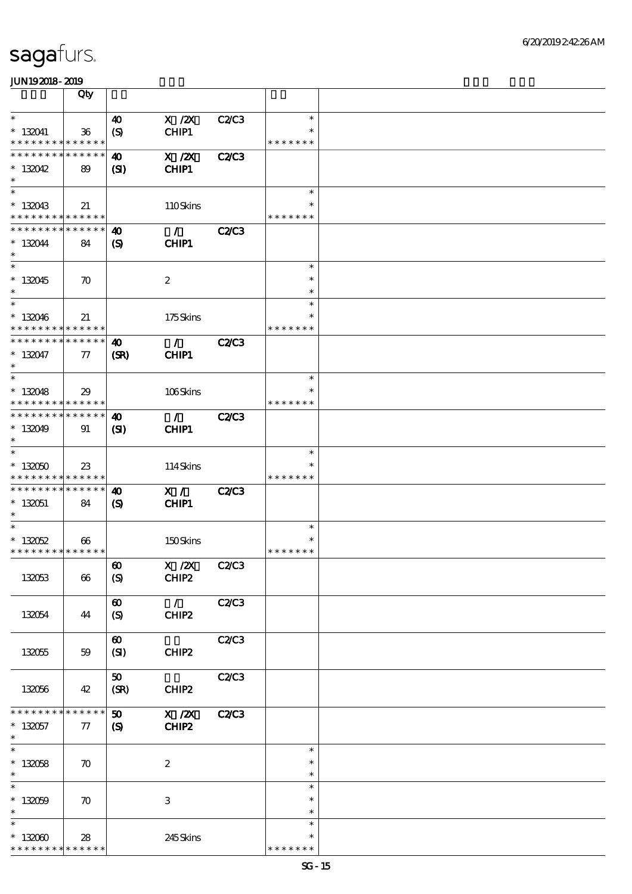|                                                            | Qty                   |                                  |                                       |              |                         |  |
|------------------------------------------------------------|-----------------------|----------------------------------|---------------------------------------|--------------|-------------------------|--|
| $\ast$                                                     |                       |                                  | $X$ / $ZX$                            |              | $\ast$                  |  |
| $* 132041$<br>* * * * * * * * * * * * * *                  | 36                    | $\boldsymbol{\omega}$<br>(S)     | CHIP1                                 | C2C3         | $\ast$<br>* * * * * * * |  |
| * * * * * * * * * * * * * *                                |                       | $\boldsymbol{\omega}$            | $X$ / $ZX$                            | <b>C2/C3</b> |                         |  |
| $*13042$<br>$\ast$                                         | 89                    | (S)                              | CHIP1                                 |              |                         |  |
| $\ast$                                                     |                       |                                  |                                       |              | $\ast$                  |  |
| $*132043$<br>* * * * * * * * * * * * * *                   | 21                    |                                  | 110Skins                              |              | $\ast$<br>* * * * * * * |  |
| * * * * * * * * * * * * * *                                |                       | 40                               | $\mathcal{F}$                         | C2C3         |                         |  |
| $*132044$<br>$\ast$                                        | 84                    | $\mathbf{S}$                     | CHIP1                                 |              |                         |  |
| $\overline{\phantom{0}}$                                   |                       |                                  |                                       |              | $\ast$                  |  |
| $* 132045$<br>$\ast$                                       | $\boldsymbol{\pi}$    |                                  | $\boldsymbol{z}$                      |              | $\ast$<br>$\ast$        |  |
| $\overline{\ast}$                                          |                       |                                  |                                       |              | $\ast$                  |  |
| $* 132046$<br>* * * * * * * * * * * * * *                  | 21                    |                                  | 175Skins                              |              | $\ast$<br>* * * * * * * |  |
| * * * * * * * * * * * * * *                                |                       | $\boldsymbol{\omega}$            | $\mathcal{L}$                         | <b>C2/C3</b> |                         |  |
| $* 132047$<br>$\ast$                                       | $\tau$                | (SR)                             | CHIP1                                 |              |                         |  |
| $\ast$                                                     |                       |                                  |                                       |              | $\ast$                  |  |
| $*13048$                                                   | 29                    |                                  | 106Skins                              |              | $\ast$                  |  |
| * * * * * * * * * * * * * *<br>* * * * * * * * * * * * * * |                       | 40                               | $\mathcal{T}$                         | <b>C2/C3</b> | * * * * * * *           |  |
| $*13049$<br>$\ast$                                         | 91                    | (S)                              | CHIP1                                 |              |                         |  |
| $\ast$                                                     |                       |                                  |                                       |              | $\ast$                  |  |
| $*132050$                                                  | 23                    |                                  | 114Skins                              |              | $\ast$                  |  |
| * * * * * * * * * * * * * *                                |                       |                                  |                                       |              | * * * * * * *           |  |
| * * * * * * * * * * * * * *<br>$*132051$                   | 84                    | 40<br>$\boldsymbol{\mathcal{S}}$ | X /<br>CHIP1                          | <b>C2/C3</b> |                         |  |
| $\ast$                                                     |                       |                                  |                                       |              |                         |  |
| $\overline{\ast}$                                          |                       |                                  |                                       |              | $\ast$<br>$\ast$        |  |
| $*13052$<br>* * * * * * * * * * * * * *                    | $\boldsymbol{\omega}$ |                                  | 150Skins                              |              | * * * * * * *           |  |
|                                                            |                       | $\pmb{\infty}$                   | $X \, /ZX$                            | <b>C2/C3</b> |                         |  |
| 132053                                                     | 66                    | (S)                              | CHIP <sub>2</sub>                     |              |                         |  |
|                                                            |                       | $\boldsymbol{\omega}$            | $\mathcal{L}$                         | C2C3         |                         |  |
| 132054                                                     | 44                    | (S)                              | CHIP2                                 |              |                         |  |
|                                                            |                       | $\boldsymbol{\omega}$            |                                       | C2/C3        |                         |  |
| 132055                                                     | 59                    | (SI)                             | CHIP2                                 |              |                         |  |
|                                                            |                       | 50                               |                                       | C2C3         |                         |  |
| 132056                                                     | 42                    | (SR)                             | CHIP2                                 |              |                         |  |
| * * * * * * * *                                            | * * * * * *           | $\boldsymbol{\mathfrak{D}}$      | $\boldsymbol{\mathrm{X}}$ / <b>ZX</b> | <b>C2/C3</b> |                         |  |
| $* 132057$<br>$*$                                          | 77                    | $\mathbf{S}$                     | CHIP2                                 |              |                         |  |
| $\overline{\phantom{0}}$                                   |                       |                                  |                                       |              | $\ast$                  |  |
| $* 132058$<br>$\ast$                                       | $\boldsymbol{\pi}$    |                                  | $\boldsymbol{2}$                      |              | $\ast$<br>$\ast$        |  |
| $\overline{\ast}$                                          |                       |                                  |                                       |              | $\ast$                  |  |
| $* 132059$                                                 | $\boldsymbol{\pi}$    |                                  | $\ensuremath{\mathsf{3}}$             |              | $\ast$                  |  |
| $\ast$                                                     |                       |                                  |                                       |              | $\ast$                  |  |
| $\ast$                                                     |                       |                                  |                                       |              | $\ast$                  |  |
| $*132000$<br>* * * * * * * * <mark>* * * * * *</mark>      | 28                    |                                  | 245Skins                              |              | $\ast$<br>* * * * * * * |  |
|                                                            |                       |                                  |                                       |              |                         |  |